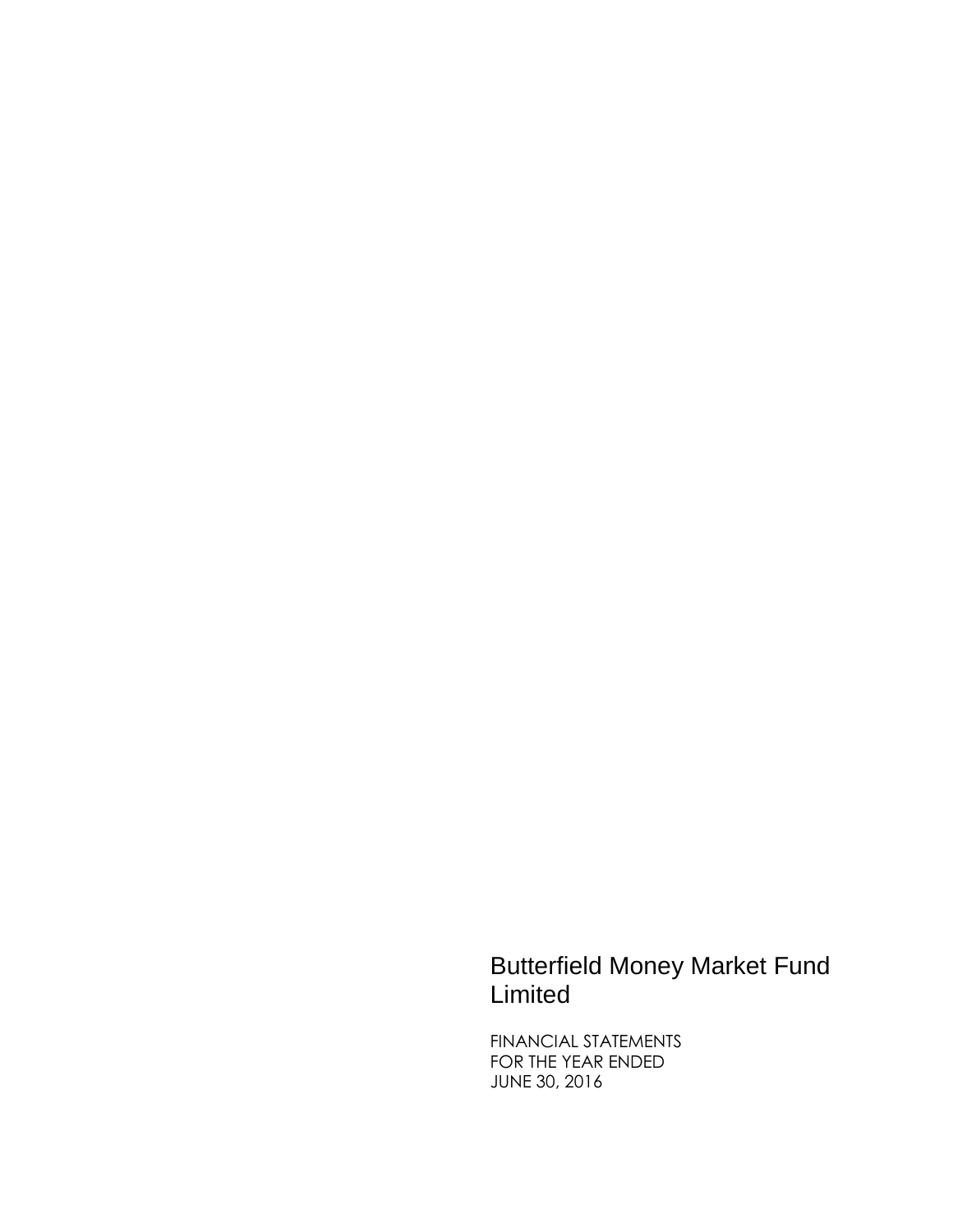# Butterfield Money Market Fund Limited

FINANCIAL STATEMENTS FOR THE YEAR ENDED JUNE 30, 2016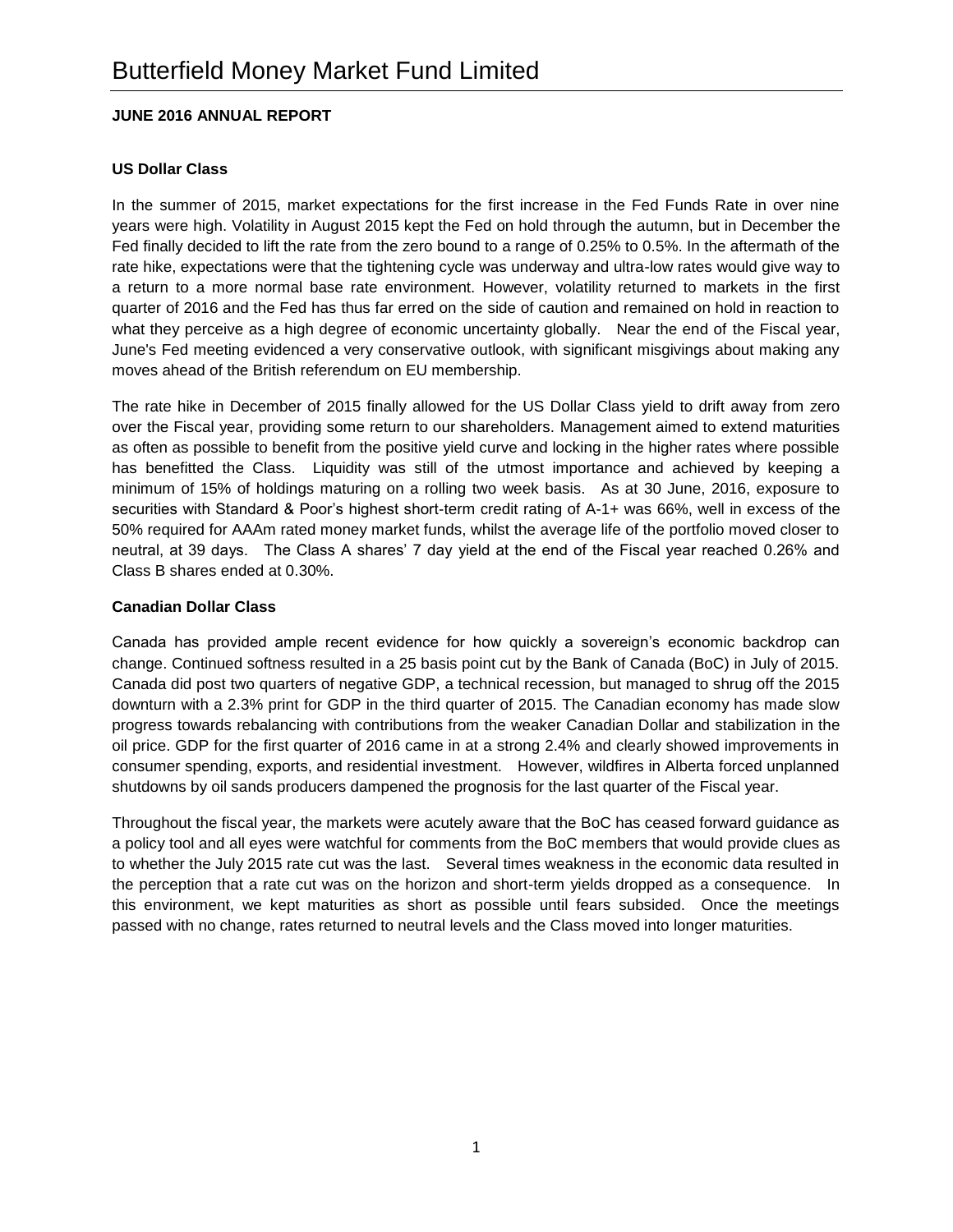## **JUNE 2016 ANNUAL REPORT**

## **US Dollar Class**

In the summer of 2015, market expectations for the first increase in the Fed Funds Rate in over nine years were high. Volatility in August 2015 kept the Fed on hold through the autumn, but in December the Fed finally decided to lift the rate from the zero bound to a range of 0.25% to 0.5%. In the aftermath of the rate hike, expectations were that the tightening cycle was underway and ultra-low rates would give way to a return to a more normal base rate environment. However, volatility returned to markets in the first quarter of 2016 and the Fed has thus far erred on the side of caution and remained on hold in reaction to what they perceive as a high degree of economic uncertainty globally. Near the end of the Fiscal year, June's Fed meeting evidenced a very conservative outlook, with significant misgivings about making any moves ahead of the British referendum on EU membership.

The rate hike in December of 2015 finally allowed for the US Dollar Class yield to drift away from zero over the Fiscal year, providing some return to our shareholders. Management aimed to extend maturities as often as possible to benefit from the positive yield curve and locking in the higher rates where possible has benefitted the Class. Liquidity was still of the utmost importance and achieved by keeping a minimum of 15% of holdings maturing on a rolling two week basis. As at 30 June, 2016, exposure to securities with Standard & Poor's highest short-term credit rating of A-1+ was 66%, well in excess of the 50% required for AAAm rated money market funds, whilst the average life of the portfolio moved closer to neutral, at 39 days. The Class A shares' 7 day yield at the end of the Fiscal year reached 0.26% and Class B shares ended at 0.30%.

## **Canadian Dollar Class**

Canada has provided ample recent evidence for how quickly a sovereign's economic backdrop can change. Continued softness resulted in a 25 basis point cut by the Bank of Canada (BoC) in July of 2015. Canada did post two quarters of negative GDP, a technical recession, but managed to shrug off the 2015 downturn with a 2.3% print for GDP in the third quarter of 2015. The Canadian economy has made slow progress towards rebalancing with contributions from the weaker Canadian Dollar and stabilization in the oil price. GDP for the first quarter of 2016 came in at a strong 2.4% and clearly showed improvements in consumer spending, exports, and residential investment. However, wildfires in Alberta forced unplanned shutdowns by oil sands producers dampened the prognosis for the last quarter of the Fiscal year.

Throughout the fiscal year, the markets were acutely aware that the BoC has ceased forward guidance as a policy tool and all eyes were watchful for comments from the BoC members that would provide clues as to whether the July 2015 rate cut was the last. Several times weakness in the economic data resulted in the perception that a rate cut was on the horizon and short-term yields dropped as a consequence. In this environment, we kept maturities as short as possible until fears subsided. Once the meetings passed with no change, rates returned to neutral levels and the Class moved into longer maturities.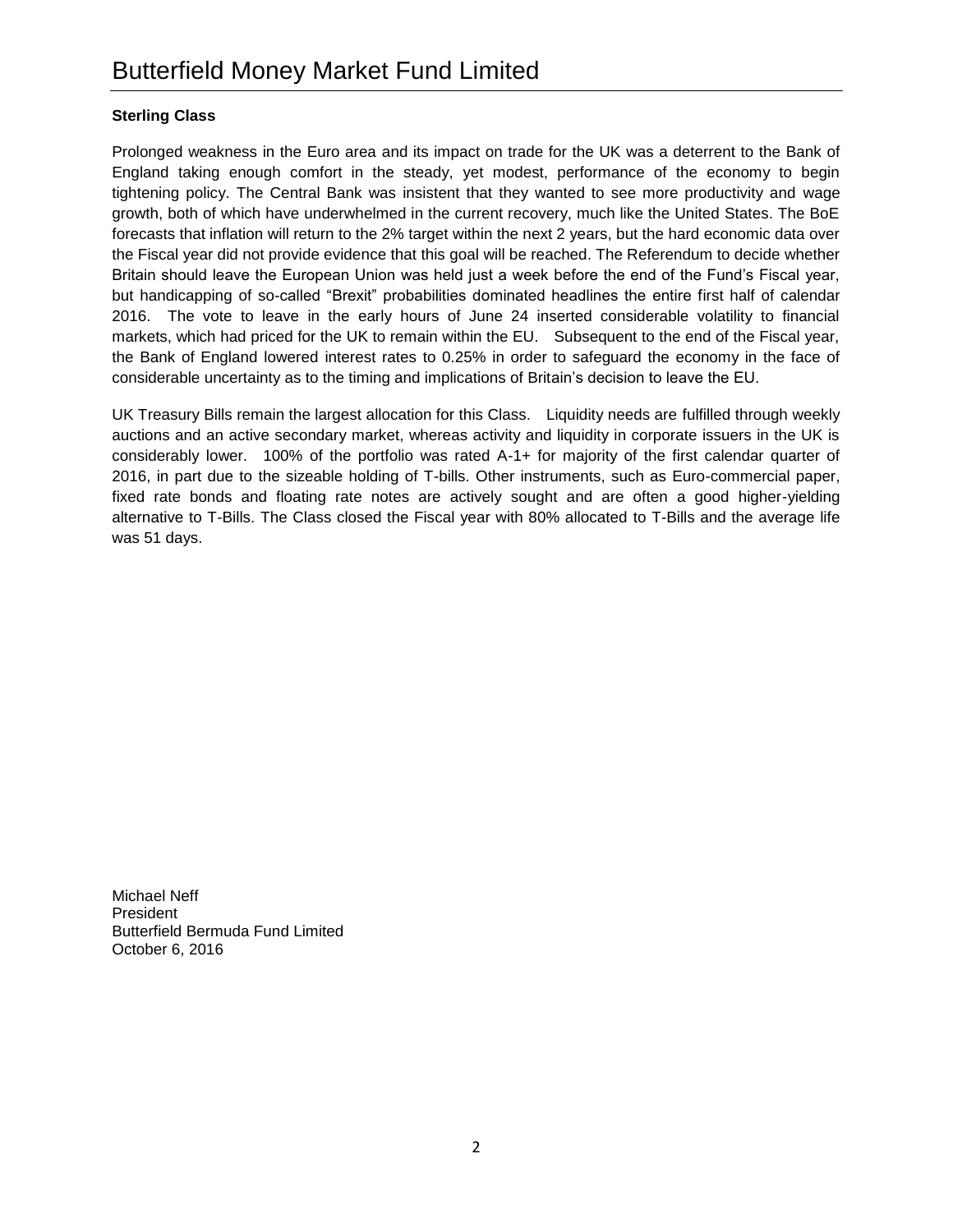## **Sterling Class**

Prolonged weakness in the Euro area and its impact on trade for the UK was a deterrent to the Bank of England taking enough comfort in the steady, yet modest, performance of the economy to begin tightening policy. The Central Bank was insistent that they wanted to see more productivity and wage growth, both of which have underwhelmed in the current recovery, much like the United States. The BoE forecasts that inflation will return to the 2% target within the next 2 years, but the hard economic data over the Fiscal year did not provide evidence that this goal will be reached. The Referendum to decide whether Britain should leave the European Union was held just a week before the end of the Fund's Fiscal year, but handicapping of so-called "Brexit" probabilities dominated headlines the entire first half of calendar 2016. The vote to leave in the early hours of June 24 inserted considerable volatility to financial markets, which had priced for the UK to remain within the EU. Subsequent to the end of the Fiscal year, the Bank of England lowered interest rates to 0.25% in order to safeguard the economy in the face of considerable uncertainty as to the timing and implications of Britain's decision to leave the EU.

UK Treasury Bills remain the largest allocation for this Class. Liquidity needs are fulfilled through weekly auctions and an active secondary market, whereas activity and liquidity in corporate issuers in the UK is considerably lower. 100% of the portfolio was rated A-1+ for majority of the first calendar quarter of 2016, in part due to the sizeable holding of T-bills. Other instruments, such as Euro-commercial paper, fixed rate bonds and floating rate notes are actively sought and are often a good higher-yielding alternative to T-Bills. The Class closed the Fiscal year with 80% allocated to T-Bills and the average life was 51 days.

Michael Neff President Butterfield Bermuda Fund Limited October 6, 2016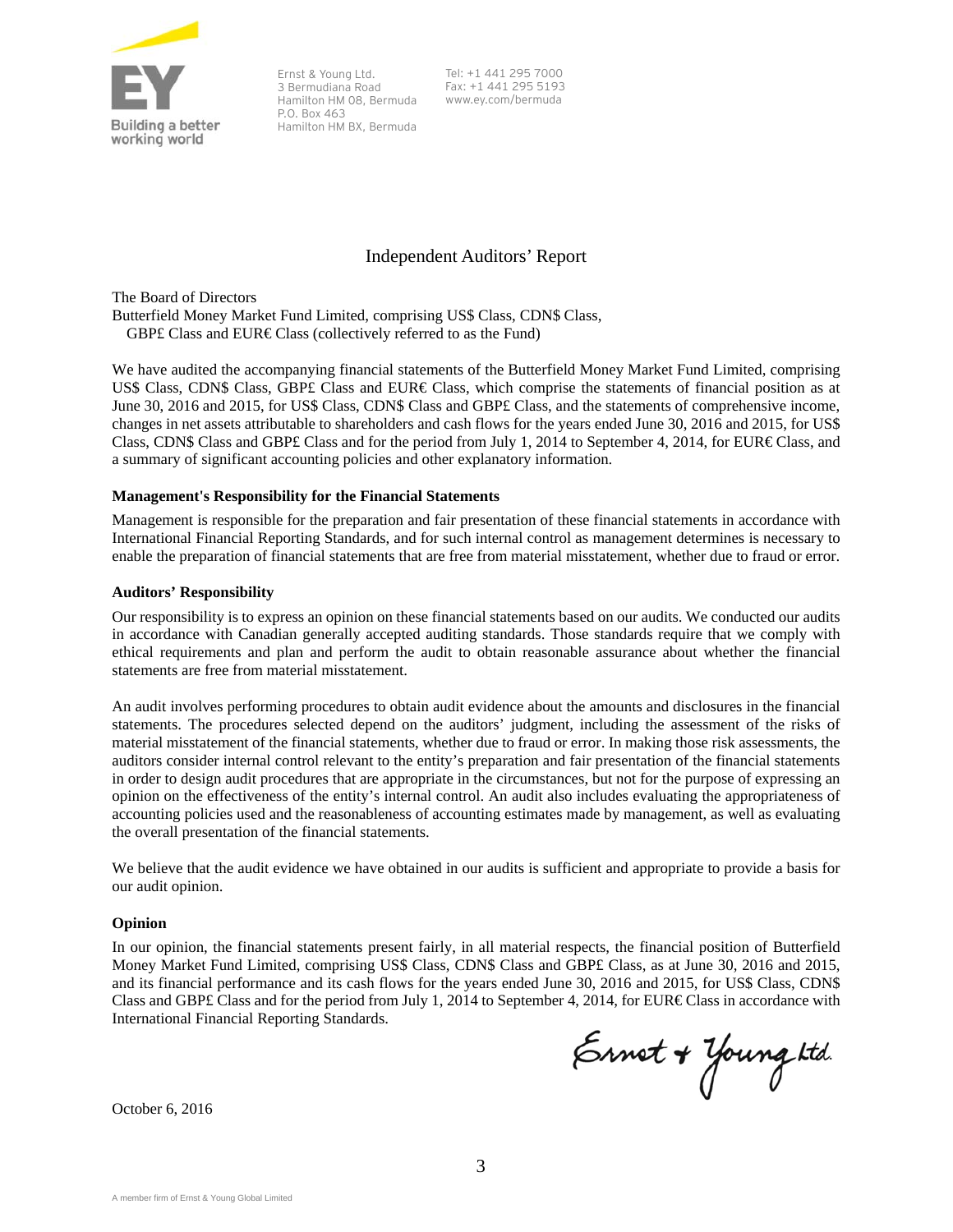

Ernst & Young Ltd. 3 Bermudiana Road Hamilton HM 08, Bermuda P.O. Box 463 Hamilton HM BX, Bermuda Tel: +1 441 295 7000 Fax: +1 441 295 5193 www.ey.com/bermuda

## Independent Auditors' Report

The Board of Directors Butterfield Money Market Fund Limited, comprising US\$ Class, CDN\$ Class, GBP£ Class and EUR€ Class (collectively referred to as the Fund)

We have audited the accompanying financial statements of the Butterfield Money Market Fund Limited, comprising US\$ Class, CDN\$ Class, GBP£ Class and EUR€ Class, which comprise the statements of financial position as at June 30, 2016 and 2015, for US\$ Class, CDN\$ Class and GBP£ Class, and the statements of comprehensive income, changes in net assets attributable to shareholders and cash flows for the years ended June 30, 2016 and 2015, for US\$ Class, CDN\$ Class and GBP£ Class and for the period from July 1, 2014 to September 4, 2014, for EUR€ Class, and a summary of significant accounting policies and other explanatory information.

#### **Management's Responsibility for the Financial Statements**

Management is responsible for the preparation and fair presentation of these financial statements in accordance with International Financial Reporting Standards, and for such internal control as management determines is necessary to enable the preparation of financial statements that are free from material misstatement, whether due to fraud or error.

#### **Auditors' Responsibility**

Our responsibility is to express an opinion on these financial statements based on our audits. We conducted our audits in accordance with Canadian generally accepted auditing standards. Those standards require that we comply with ethical requirements and plan and perform the audit to obtain reasonable assurance about whether the financial statements are free from material misstatement.

An audit involves performing procedures to obtain audit evidence about the amounts and disclosures in the financial statements. The procedures selected depend on the auditors' judgment, including the assessment of the risks of material misstatement of the financial statements, whether due to fraud or error. In making those risk assessments, the auditors consider internal control relevant to the entity's preparation and fair presentation of the financial statements in order to design audit procedures that are appropriate in the circumstances, but not for the purpose of expressing an opinion on the effectiveness of the entity's internal control. An audit also includes evaluating the appropriateness of accounting policies used and the reasonableness of accounting estimates made by management, as well as evaluating the overall presentation of the financial statements.

We believe that the audit evidence we have obtained in our audits is sufficient and appropriate to provide a basis for our audit opinion.

#### **Opinion**

In our opinion, the financial statements present fairly, in all material respects, the financial position of Butterfield Money Market Fund Limited, comprising US\$ Class, CDN\$ Class and GBP£ Class, as at June 30, 2016 and 2015, and its financial performance and its cash flows for the years ended June 30, 2016 and 2015, for US\$ Class, CDN\$ Class and GBP£ Class and for the period from July 1, 2014 to September 4, 2014, for EUR€ Class in accordance with International Financial Reporting Standards.

Ernet + Young ktd.

October 6, 2016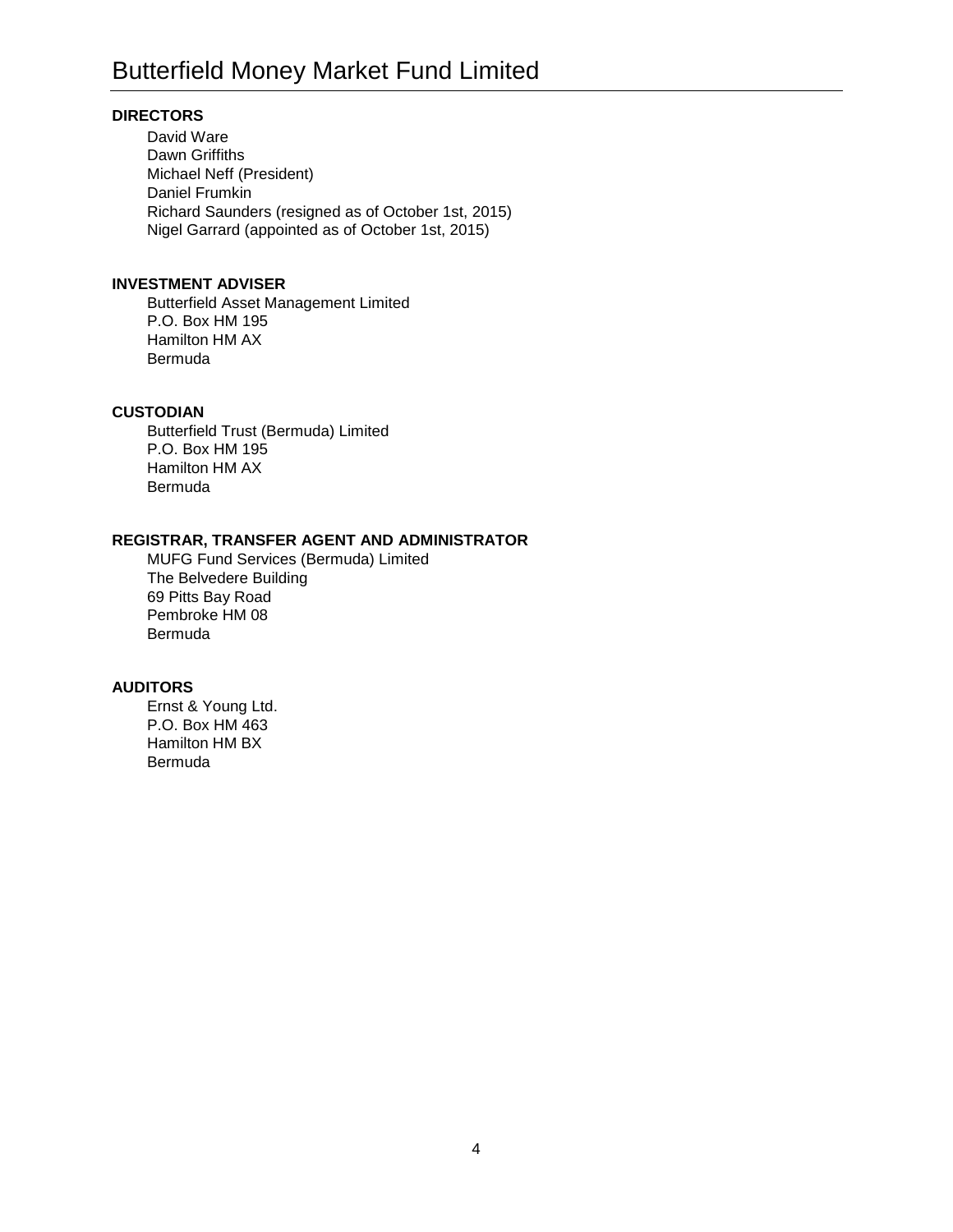## **DIRECTORS**

David Ware Dawn Griffiths Michael Neff (President) Daniel Frumkin Richard Saunders (resigned as of October 1st, 2015) Nigel Garrard (appointed as of October 1st, 2015)

## **INVESTMENT ADVISER**

Butterfield Asset Management Limited P.O. Box HM 195 Hamilton HM AX Bermuda

## **CUSTODIAN**

Butterfield Trust (Bermuda) Limited P.O. Box HM 195 Hamilton HM AX Bermuda

## **REGISTRAR, TRANSFER AGENT AND ADMINISTRATOR**

MUFG Fund Services (Bermuda) Limited The Belvedere Building 69 Pitts Bay Road Pembroke HM 08 Bermuda

## **AUDITORS**

Ernst & Young Ltd. P.O. Box HM 463 Hamilton HM BX Bermuda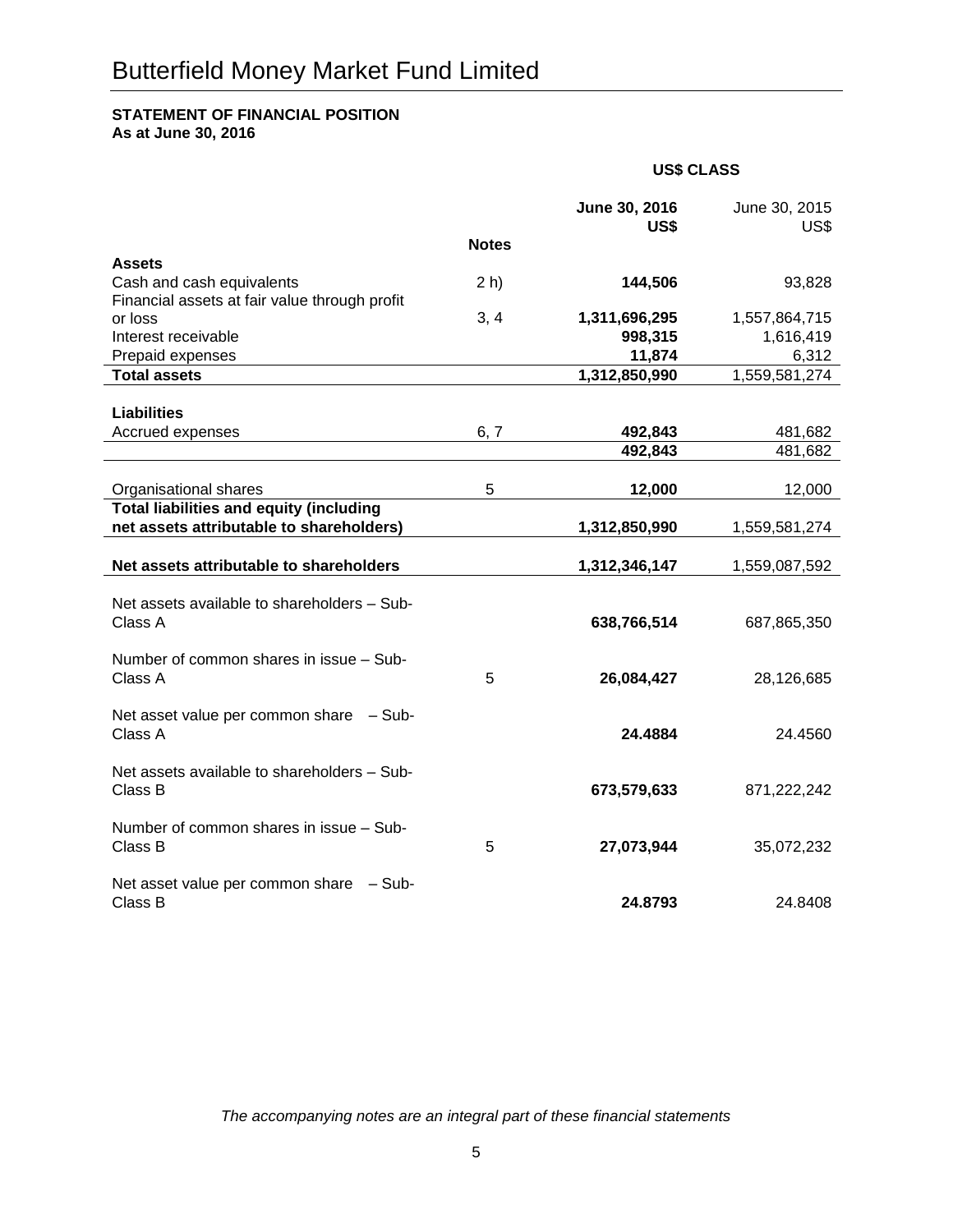## **STATEMENT OF FINANCIAL POSITION**

**As at June 30, 2016**

|                                                                            |              | June 30, 2016<br>US\$ | June 30, 2015<br>US\$ |
|----------------------------------------------------------------------------|--------------|-----------------------|-----------------------|
|                                                                            | <b>Notes</b> |                       |                       |
| <b>Assets</b>                                                              |              |                       |                       |
| Cash and cash equivalents<br>Financial assets at fair value through profit | $2h$ )       | 144,506               | 93,828                |
| or loss                                                                    | 3, 4         | 1,311,696,295         | 1,557,864,715         |
| Interest receivable                                                        |              | 998,315               | 1,616,419             |
| Prepaid expenses                                                           |              | 11,874                | 6,312                 |
| <b>Total assets</b>                                                        |              | 1,312,850,990         | 1,559,581,274         |
|                                                                            |              |                       |                       |
| <b>Liabilities</b><br>Accrued expenses                                     | 6, 7         | 492,843               | 481,682               |
|                                                                            |              | 492,843               | 481,682               |
|                                                                            |              |                       |                       |
| Organisational shares                                                      | 5            | 12,000                | 12,000                |
| <b>Total liabilities and equity (including</b>                             |              |                       |                       |
| net assets attributable to shareholders)                                   |              | 1,312,850,990         | 1,559,581,274         |
| Net assets attributable to shareholders                                    |              | 1,312,346,147         | 1,559,087,592         |
|                                                                            |              |                       |                       |
| Net assets available to shareholders - Sub-                                |              |                       |                       |
| Class A                                                                    |              | 638,766,514           | 687,865,350           |
| Number of common shares in issue - Sub-                                    |              |                       |                       |
| Class A                                                                    | 5            | 26,084,427            | 28,126,685            |
|                                                                            |              |                       |                       |
| Net asset value per common share - Sub-                                    |              |                       |                       |
| Class A                                                                    |              | 24.4884               | 24.4560               |
| Net assets available to shareholders - Sub-                                |              |                       |                       |
| Class B                                                                    |              | 673,579,633           | 871,222,242           |
|                                                                            |              |                       |                       |
| Number of common shares in issue - Sub-                                    |              |                       |                       |
| Class B                                                                    | 5            | 27,073,944            | 35,072,232            |
| Net asset value per common share - Sub-                                    |              |                       |                       |
| Class B                                                                    |              | 24.8793               | 24.8408               |
|                                                                            |              |                       |                       |

**US\$ CLASS**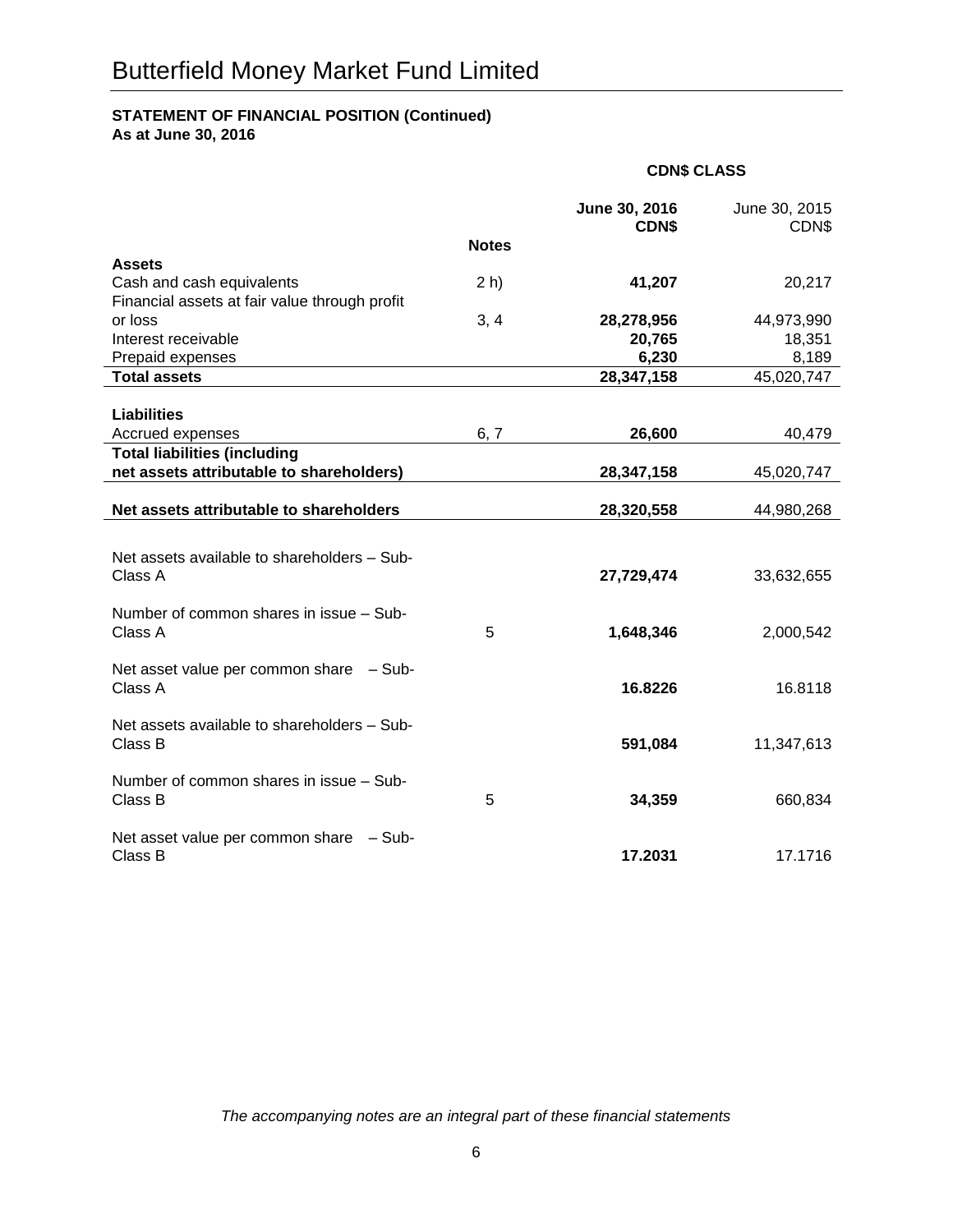## **STATEMENT OF FINANCIAL POSITION (Continued)**

**As at June 30, 2016**

|                                                                            | <b>CDN\$ CLASS</b> |                               |                        |
|----------------------------------------------------------------------------|--------------------|-------------------------------|------------------------|
|                                                                            |                    | June 30, 2016<br><b>CDN\$</b> | June 30, 2015<br>CDN\$ |
|                                                                            | <b>Notes</b>       |                               |                        |
| <b>Assets</b>                                                              |                    |                               |                        |
| Cash and cash equivalents<br>Financial assets at fair value through profit | $2h$ )             | 41,207                        | 20,217                 |
| or loss                                                                    | 3, 4               | 28,278,956                    | 44,973,990             |
| Interest receivable                                                        |                    | 20,765                        | 18,351                 |
| Prepaid expenses                                                           |                    | 6,230                         | 8,189                  |
| <b>Total assets</b>                                                        |                    | 28,347,158                    | 45,020,747             |
|                                                                            |                    |                               |                        |
| <b>Liabilities</b>                                                         |                    |                               |                        |
| Accrued expenses                                                           | 6, 7               | 26,600                        | 40,479                 |
| <b>Total liabilities (including</b>                                        |                    |                               |                        |
| net assets attributable to shareholders)                                   |                    | 28,347,158                    | 45,020,747             |
| Net assets attributable to shareholders                                    |                    | 28,320,558                    | 44,980,268             |
|                                                                            |                    |                               |                        |
| Net assets available to shareholders - Sub-                                |                    |                               |                        |
| Class A                                                                    |                    | 27,729,474                    | 33,632,655             |
|                                                                            |                    |                               |                        |
| Number of common shares in issue - Sub-                                    |                    |                               |                        |
| Class A                                                                    | 5                  | 1,648,346                     | 2,000,542              |
| Net asset value per common share - Sub-                                    |                    |                               |                        |
| Class A                                                                    |                    | 16.8226                       | 16.8118                |
|                                                                            |                    |                               |                        |
| Net assets available to shareholders - Sub-                                |                    |                               |                        |
| Class B                                                                    |                    | 591,084                       | 11,347,613             |
|                                                                            |                    |                               |                        |
| Number of common shares in issue - Sub-                                    |                    |                               |                        |
| Class B                                                                    | 5                  | 34,359                        | 660,834                |
| Net asset value per common share - Sub-                                    |                    |                               |                        |
| Class B                                                                    |                    | 17.2031                       | 17.1716                |
|                                                                            |                    |                               |                        |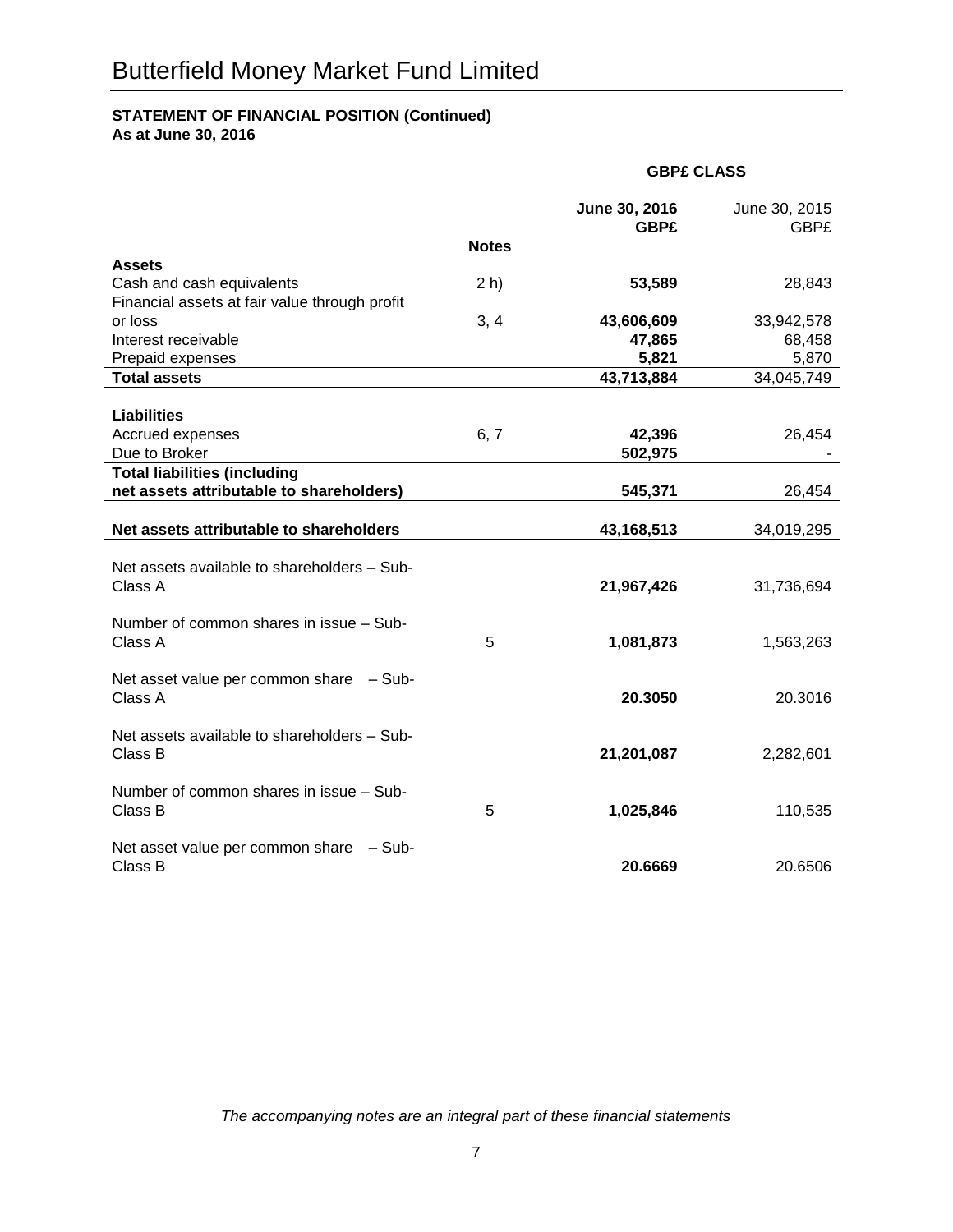## **STATEMENT OF FINANCIAL POSITION (Continued)**

**As at June 30, 2016**

|                                                                            |              | <b>GBP£ CLASS</b>            |                              |  |
|----------------------------------------------------------------------------|--------------|------------------------------|------------------------------|--|
|                                                                            |              | June 30, 2016<br><b>GBP£</b> | June 30, 2015<br><b>GBP£</b> |  |
|                                                                            | <b>Notes</b> |                              |                              |  |
| <b>Assets</b>                                                              |              |                              |                              |  |
| Cash and cash equivalents<br>Financial assets at fair value through profit | $2h$ )       | 53,589                       | 28,843                       |  |
| or loss                                                                    | 3, 4         | 43,606,609                   | 33,942,578                   |  |
| Interest receivable                                                        |              | 47,865                       | 68,458                       |  |
| Prepaid expenses                                                           |              | 5,821                        | 5,870                        |  |
| <b>Total assets</b>                                                        |              | 43,713,884                   | 34,045,749                   |  |
|                                                                            |              |                              |                              |  |
| <b>Liabilities</b><br>Accrued expenses                                     | 6, 7         | 42,396                       | 26,454                       |  |
| Due to Broker                                                              |              | 502,975                      |                              |  |
| <b>Total liabilities (including</b>                                        |              |                              |                              |  |
| net assets attributable to shareholders)                                   |              | 545,371                      | 26,454                       |  |
|                                                                            |              |                              |                              |  |
| Net assets attributable to shareholders                                    |              | 43,168,513                   | 34,019,295                   |  |
|                                                                            |              |                              |                              |  |
| Net assets available to shareholders - Sub-<br>Class A                     |              | 21,967,426                   | 31,736,694                   |  |
|                                                                            |              |                              |                              |  |
| Number of common shares in issue - Sub-                                    |              |                              |                              |  |
| Class A                                                                    | 5            | 1,081,873                    | 1,563,263                    |  |
|                                                                            |              |                              |                              |  |
| Net asset value per common share - Sub-                                    |              |                              |                              |  |
| Class A                                                                    |              | 20.3050                      | 20.3016                      |  |
| Net assets available to shareholders - Sub-                                |              |                              |                              |  |
| Class B                                                                    |              | 21,201,087                   | 2,282,601                    |  |
|                                                                            |              |                              |                              |  |
| Number of common shares in issue - Sub-                                    |              |                              |                              |  |
| Class B                                                                    | 5            | 1,025,846                    | 110,535                      |  |
|                                                                            |              |                              |                              |  |
| Net asset value per common share - Sub-<br>Class B                         |              | 20.6669                      | 20.6506                      |  |
|                                                                            |              |                              |                              |  |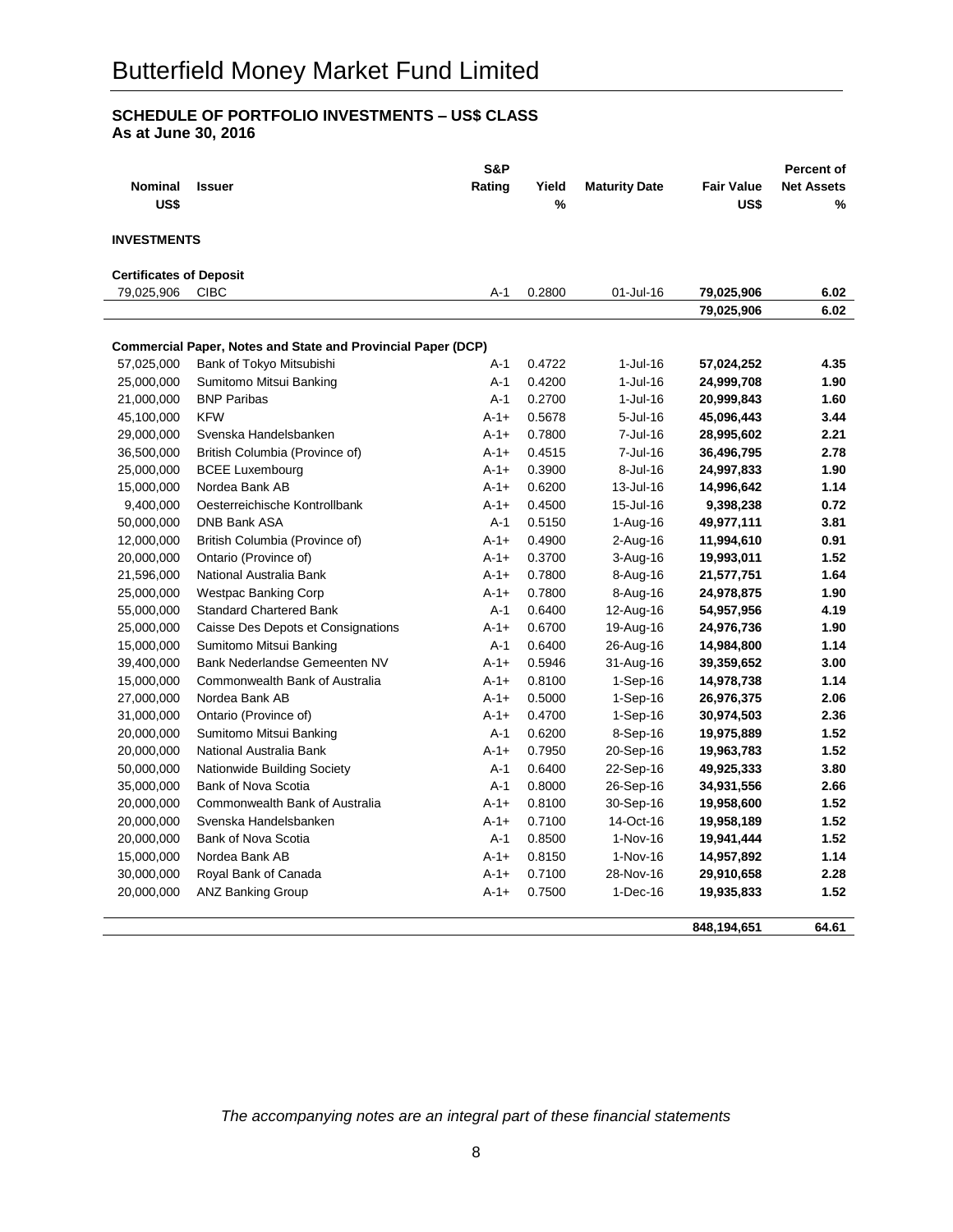## **SCHEDULE OF PORTFOLIO INVESTMENTS – US\$ CLASS As at June 30, 2016**

|                                |                                                                     | S&P       |        |                      |                   | Percent of        |
|--------------------------------|---------------------------------------------------------------------|-----------|--------|----------------------|-------------------|-------------------|
| Nominal                        | <b>Issuer</b>                                                       | Rating    | Yield  | <b>Maturity Date</b> | <b>Fair Value</b> | <b>Net Assets</b> |
| US\$                           |                                                                     |           | %      |                      | US\$              | %                 |
|                                |                                                                     |           |        |                      |                   |                   |
| <b>INVESTMENTS</b>             |                                                                     |           |        |                      |                   |                   |
| <b>Certificates of Deposit</b> |                                                                     |           |        |                      |                   |                   |
| 79,025,906                     | <b>CIBC</b>                                                         | A-1       | 0.2800 | 01-Jul-16            | 79,025,906        | 6.02              |
|                                |                                                                     |           |        |                      | 79,025,906        | 6.02              |
|                                |                                                                     |           |        |                      |                   |                   |
|                                | <b>Commercial Paper, Notes and State and Provincial Paper (DCP)</b> |           |        |                      |                   |                   |
| 57,025,000                     | Bank of Tokyo Mitsubishi                                            | $A-1$     | 0.4722 | 1-Jul-16             | 57,024,252        | 4.35              |
| 25,000,000                     | Sumitomo Mitsui Banking                                             | A-1       | 0.4200 | $1$ -Jul-16          | 24,999,708        | 1.90              |
| 21,000,000                     | <b>BNP Paribas</b>                                                  | $A-1$     | 0.2700 | 1-Jul-16             | 20,999,843        | 1.60              |
| 45,100,000                     | <b>KFW</b>                                                          | $A - 1 +$ | 0.5678 | 5-Jul-16             | 45,096,443        | 3.44              |
| 29,000,000                     | Svenska Handelsbanken                                               | $A-1+$    | 0.7800 | 7-Jul-16             | 28,995,602        | 2.21              |
| 36,500,000                     | British Columbia (Province of)                                      | $A - 1 +$ | 0.4515 | 7-Jul-16             | 36,496,795        | 2.78              |
| 25,000,000                     | <b>BCEE Luxembourg</b>                                              | $A-1+$    | 0.3900 | $8 -$ Jul $-16$      | 24,997,833        | 1.90              |
| 15,000,000                     | Nordea Bank AB                                                      | $A-1+$    | 0.6200 | 13-Jul-16            | 14,996,642        | 1.14              |
| 9,400,000                      | Oesterreichische Kontrollbank                                       | $A - 1 +$ | 0.4500 | 15-Jul-16            | 9,398,238         | 0.72              |
| 50,000,000                     | <b>DNB Bank ASA</b>                                                 | $A-1$     | 0.5150 | 1-Aug-16             | 49,977,111        | 3.81              |
| 12,000,000                     | British Columbia (Province of)                                      | $A - 1 +$ | 0.4900 | 2-Aug-16             | 11,994,610        | 0.91              |
| 20,000,000                     | Ontario (Province of)                                               | $A - 1 +$ | 0.3700 | 3-Aug-16             | 19,993,011        | 1.52              |
| 21,596,000                     | National Australia Bank                                             | $A - 1 +$ | 0.7800 | 8-Aug-16             | 21,577,751        | 1.64              |
| 25,000,000                     | Westpac Banking Corp                                                | $A - 1 +$ | 0.7800 | 8-Aug-16             | 24,978,875        | 1.90              |
| 55,000,000                     | <b>Standard Chartered Bank</b>                                      | A-1       | 0.6400 | 12-Aug-16            | 54,957,956        | 4.19              |
| 25,000,000                     | Caisse Des Depots et Consignations                                  | $A - 1 +$ | 0.6700 | 19-Aug-16            | 24,976,736        | 1.90              |
| 15,000,000                     | Sumitomo Mitsui Banking                                             | $A-1$     | 0.6400 | 26-Aug-16            | 14,984,800        | 1.14              |
| 39,400,000                     | Bank Nederlandse Gemeenten NV                                       | $A-1+$    | 0.5946 | 31-Aug-16            | 39,359,652        | 3.00              |
| 15,000,000                     | Commonwealth Bank of Australia                                      | $A - 1 +$ | 0.8100 | $1-Sep-16$           | 14,978,738        | 1.14              |
| 27,000,000                     | Nordea Bank AB                                                      | $A-1+$    | 0.5000 | $1-Sep-16$           | 26,976,375        | 2.06              |
| 31,000,000                     | Ontario (Province of)                                               | $A-1+$    | 0.4700 | $1-Sep-16$           | 30,974,503        | 2.36              |
| 20,000,000                     | Sumitomo Mitsui Banking                                             | $A-1$     | 0.6200 | 8-Sep-16             | 19,975,889        | 1.52              |
| 20,000,000                     | National Australia Bank                                             | $A - 1 +$ | 0.7950 | 20-Sep-16            | 19,963,783        | 1.52              |
| 50,000,000                     | Nationwide Building Society                                         | $A-1$     | 0.6400 | 22-Sep-16            | 49,925,333        | 3.80              |
| 35,000,000                     | Bank of Nova Scotia                                                 | $A-1$     | 0.8000 | 26-Sep-16            | 34,931,556        | 2.66              |
| 20,000,000                     | Commonwealth Bank of Australia                                      | $A - 1 +$ | 0.8100 | 30-Sep-16            | 19,958,600        | 1.52              |
| 20,000,000                     | Svenska Handelsbanken                                               | $A - 1 +$ | 0.7100 | 14-Oct-16            | 19,958,189        | 1.52              |
| 20,000,000                     | Bank of Nova Scotia                                                 | $A-1$     | 0.8500 | 1-Nov-16             | 19,941,444        | 1.52              |
| 15,000,000                     | Nordea Bank AB                                                      | $A-1+$    | 0.8150 | 1-Nov-16             | 14,957,892        | 1.14              |
| 30,000,000                     | Royal Bank of Canada                                                | $A - 1 +$ | 0.7100 | 28-Nov-16            | 29,910,658        | 2.28              |
| 20,000,000                     | <b>ANZ Banking Group</b>                                            | $A - 1 +$ | 0.7500 | $1-Dec-16$           | 19,935,833        | 1.52              |
|                                |                                                                     |           |        |                      |                   |                   |
|                                |                                                                     |           |        |                      | 848,194,651       | 64.61             |
|                                |                                                                     |           |        |                      |                   |                   |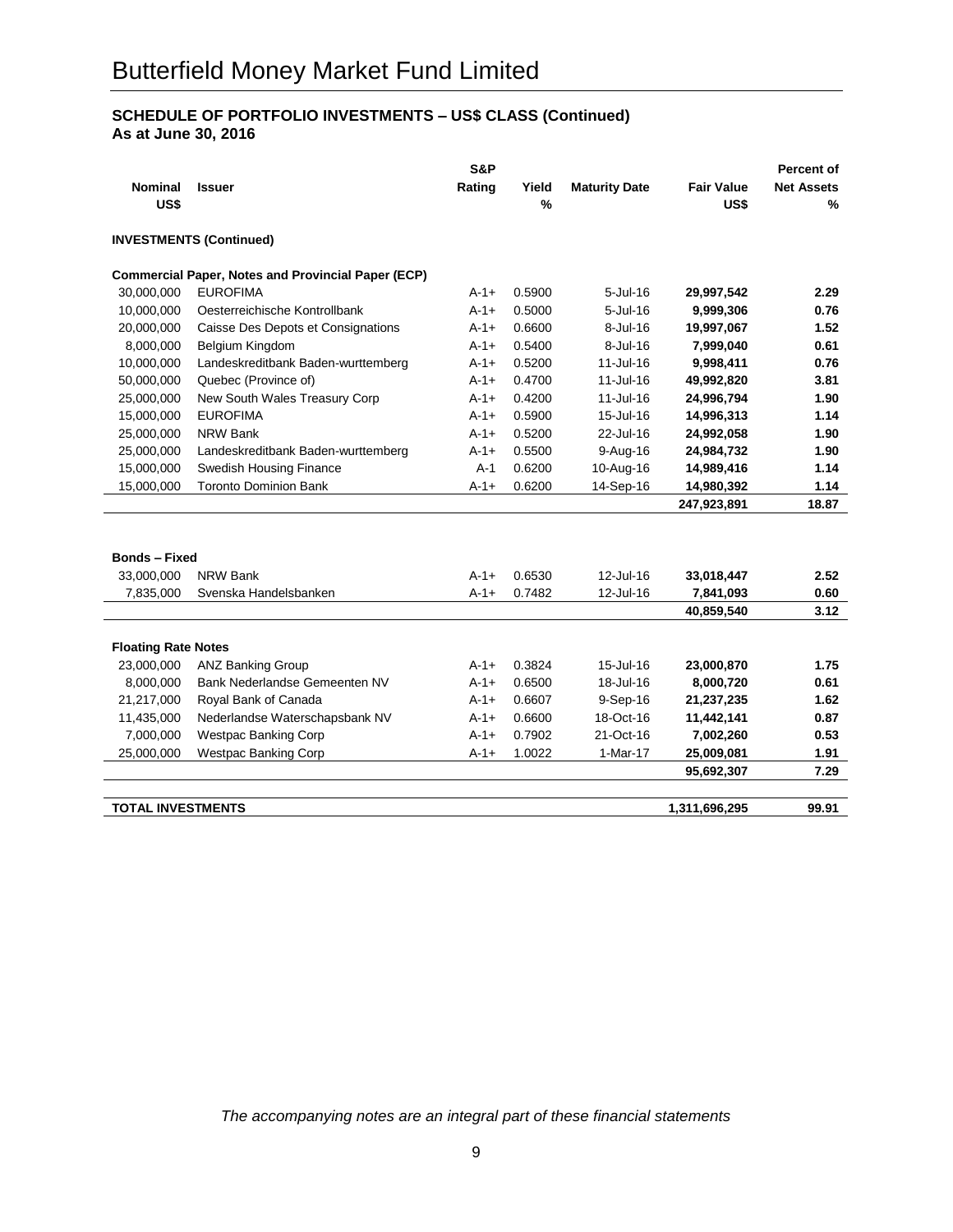## **SCHEDULE OF PORTFOLIO INVESTMENTS – US\$ CLASS (Continued) As at June 30, 2016**

|                            |                                                           | S&P       |        |                      |                   | Percent of        |
|----------------------------|-----------------------------------------------------------|-----------|--------|----------------------|-------------------|-------------------|
| <b>Nominal</b>             | <b>Issuer</b>                                             | Rating    | Yield  | <b>Maturity Date</b> | <b>Fair Value</b> | <b>Net Assets</b> |
| US\$                       |                                                           |           | $\%$   |                      | US\$              | %                 |
|                            | <b>INVESTMENTS (Continued)</b>                            |           |        |                      |                   |                   |
|                            | <b>Commercial Paper, Notes and Provincial Paper (ECP)</b> |           |        |                      |                   |                   |
| 30,000,000                 | <b>EUROFIMA</b>                                           | $A - 1 +$ | 0.5900 | 5-Jul-16             | 29,997,542        | 2.29              |
| 10,000,000                 | Oesterreichische Kontrollbank                             | $A-1+$    | 0.5000 | $5$ -Jul-16          | 9,999,306         | 0.76              |
| 20,000,000                 | Caisse Des Depots et Consignations                        | $A - 1 +$ | 0.6600 | 8-Jul-16             | 19,997,067        | 1.52              |
| 8,000,000                  | Belgium Kingdom                                           | $A - 1 +$ | 0.5400 | 8-Jul-16             | 7,999,040         | 0.61              |
| 10,000,000                 | Landeskreditbank Baden-wurttemberg                        | $A - 1 +$ | 0.5200 | 11-Jul-16            | 9,998,411         | 0.76              |
| 50,000,000                 | Quebec (Province of)                                      | $A - 1 +$ | 0.4700 | 11-Jul-16            | 49,992,820        | 3.81              |
| 25,000,000                 | New South Wales Treasury Corp                             | $A - 1 +$ | 0.4200 | 11-Jul-16            | 24,996,794        | 1.90              |
| 15,000,000                 | <b>EUROFIMA</b>                                           | $A - 1 +$ | 0.5900 | 15-Jul-16            | 14,996,313        | 1.14              |
| 25,000,000                 | <b>NRW Bank</b>                                           | $A - 1 +$ | 0.5200 | 22-Jul-16            | 24,992,058        | 1.90              |
| 25,000,000                 | Landeskreditbank Baden-wurttemberg                        | $A - 1 +$ | 0.5500 | 9-Aug-16             | 24,984,732        | 1.90              |
| 15,000,000                 | <b>Swedish Housing Finance</b>                            | $A-1$     | 0.6200 | 10-Aug-16            | 14,989,416        | 1.14              |
| 15,000,000                 | <b>Toronto Dominion Bank</b>                              | $A-1+$    | 0.6200 | 14-Sep-16            | 14,980,392        | 1.14              |
|                            |                                                           |           |        |                      | 247,923,891       | 18.87             |
|                            |                                                           |           |        |                      |                   |                   |
|                            |                                                           |           |        |                      |                   |                   |
| <b>Bonds - Fixed</b>       |                                                           |           |        |                      |                   |                   |
| 33,000,000                 | NRW Bank                                                  | $A - 1 +$ | 0.6530 | 12-Jul-16            | 33,018,447        | 2.52              |
| 7,835,000                  | Svenska Handelsbanken                                     | $A - 1 +$ | 0.7482 | 12-Jul-16            | 7,841,093         | 0.60              |
|                            |                                                           |           |        |                      | 40,859,540        | 3.12              |
|                            |                                                           |           |        |                      |                   |                   |
| <b>Floating Rate Notes</b> |                                                           |           |        |                      |                   |                   |
| 23,000,000                 | <b>ANZ Banking Group</b>                                  | $A - 1 +$ | 0.3824 | 15-Jul-16            | 23,000,870        | 1.75              |
| 8,000,000                  | Bank Nederlandse Gemeenten NV                             | $A - 1 +$ | 0.6500 | 18-Jul-16            | 8,000,720         | 0.61              |
| 21,217,000                 | Royal Bank of Canada                                      | $A-1+$    | 0.6607 | 9-Sep-16             | 21,237,235        | 1.62              |
| 11,435,000                 | Nederlandse Waterschapsbank NV                            | $A-1+$    | 0.6600 | 18-Oct-16            | 11,442,141        | 0.87              |
| 7,000,000                  | <b>Westpac Banking Corp</b>                               | $A - 1 +$ | 0.7902 | 21-Oct-16            | 7,002,260         | 0.53              |
| 25,000,000                 | <b>Westpac Banking Corp</b>                               | $A - 1 +$ | 1.0022 | 1-Mar-17             | 25,009,081        | 1.91              |
|                            |                                                           |           |        |                      | 95,692,307        | 7.29              |
|                            |                                                           |           |        |                      |                   |                   |
| <b>TOTAL INVESTMENTS</b>   |                                                           |           |        |                      | 1,311,696,295     | 99.91             |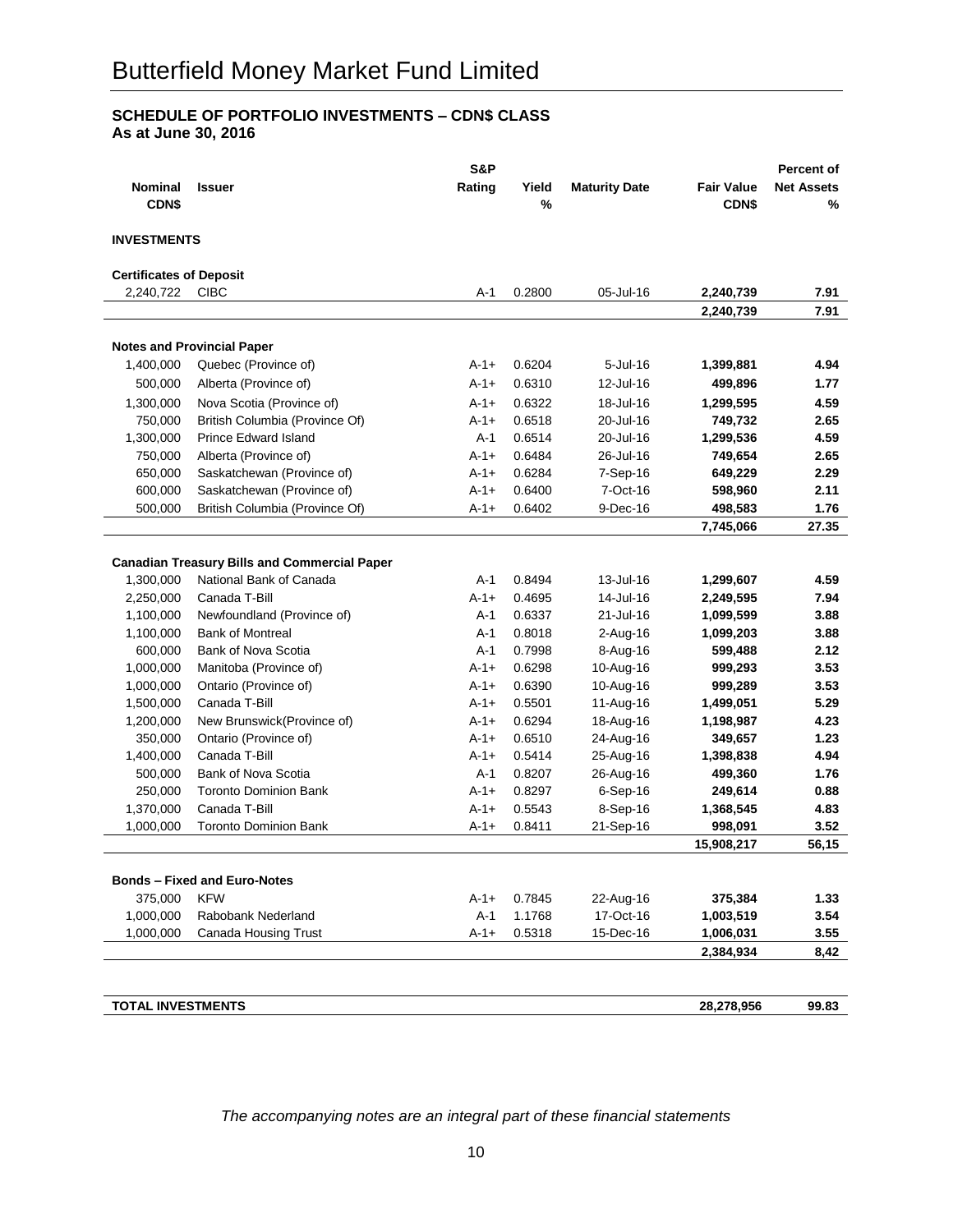## **SCHEDULE OF PORTFOLIO INVESTMENTS – CDN\$ CLASS As at June 30, 2016**

|                                |                                                     | S&P       |        |                      |                   | <b>Percent of</b> |
|--------------------------------|-----------------------------------------------------|-----------|--------|----------------------|-------------------|-------------------|
| <b>Nominal</b>                 | <b>Issuer</b>                                       | Rating    | Yield  | <b>Maturity Date</b> | <b>Fair Value</b> | <b>Net Assets</b> |
| CDN\$                          |                                                     |           | $\%$   |                      | CDN\$             | %                 |
|                                |                                                     |           |        |                      |                   |                   |
| <b>INVESTMENTS</b>             |                                                     |           |        |                      |                   |                   |
| <b>Certificates of Deposit</b> |                                                     |           |        |                      |                   |                   |
| 2,240,722                      | <b>CIBC</b>                                         | A-1       | 0.2800 | 05-Jul-16            | 2,240,739         | 7.91              |
|                                |                                                     |           |        |                      | 2,240,739         | 7.91              |
|                                |                                                     |           |        |                      |                   |                   |
|                                | <b>Notes and Provincial Paper</b>                   |           |        |                      |                   |                   |
| 1,400,000                      | Quebec (Province of)                                | $A-1+$    | 0.6204 | 5-Jul-16             | 1,399,881         | 4.94              |
| 500,000                        | Alberta (Province of)                               | $A-1+$    | 0.6310 | 12-Jul-16            | 499,896           | 1.77              |
| 1,300,000                      | Nova Scotia (Province of)                           | $A-1+$    | 0.6322 | 18-Jul-16            | 1,299,595         | 4.59              |
| 750,000                        | British Columbia (Province Of)                      | $A-1+$    | 0.6518 | 20-Jul-16            | 749,732           | 2.65              |
| 1,300,000                      | <b>Prince Edward Island</b>                         | $A-1$     | 0.6514 | 20-Jul-16            | 1,299,536         | 4.59              |
| 750,000                        | Alberta (Province of)                               | $A-1+$    | 0.6484 | 26-Jul-16            | 749,654           | 2.65              |
| 650,000                        | Saskatchewan (Province of)                          | $A-1+$    | 0.6284 | 7-Sep-16             | 649,229           | 2.29              |
| 600,000                        | Saskatchewan (Province of)                          | $A-1+$    | 0.6400 | 7-Oct-16             | 598,960           | 2.11              |
| 500,000                        | British Columbia (Province Of)                      | $A-1+$    | 0.6402 | 9-Dec-16             | 498,583           | 1.76              |
|                                |                                                     |           |        |                      | 7,745,066         | 27.35             |
|                                |                                                     |           |        |                      |                   |                   |
|                                | <b>Canadian Treasury Bills and Commercial Paper</b> |           |        |                      |                   |                   |
| 1,300,000                      | National Bank of Canada                             | A-1       | 0.8494 | 13-Jul-16            | 1,299,607         | 4.59              |
| 2,250,000                      | Canada T-Bill                                       | $A - 1 +$ | 0.4695 | 14-Jul-16            | 2,249,595         | 7.94              |
| 1,100,000                      | Newfoundland (Province of)                          | A-1       | 0.6337 | 21-Jul-16            | 1,099,599         | 3.88              |
| 1,100,000                      | <b>Bank of Montreal</b>                             | $A-1$     | 0.8018 | $2$ -Aug-16          | 1,099,203         | 3.88              |
| 600,000                        | <b>Bank of Nova Scotia</b>                          | A-1       | 0.7998 | 8-Aug-16             | 599,488           | 2.12              |
| 1,000,000                      | Manitoba (Province of)                              | $A - 1 +$ | 0.6298 | 10-Aug-16            | 999,293           | 3.53              |
| 1,000,000                      | Ontario (Province of)                               | $A - 1 +$ | 0.6390 | 10-Aug-16            | 999,289           | 3.53              |
| 1,500,000                      | Canada T-Bill                                       | $A - 1 +$ | 0.5501 | 11-Aug-16            | 1,499,051         | 5.29              |
| 1,200,000                      | New Brunswick(Province of)                          | $A-1+$    | 0.6294 | 18-Aug-16            | 1,198,987         | 4.23              |
| 350,000                        | Ontario (Province of)                               | $A - 1 +$ | 0.6510 | 24-Aug-16            | 349,657           | 1.23              |
| 1,400,000                      | Canada T-Bill                                       | $A - 1 +$ | 0.5414 | 25-Aug-16            | 1,398,838         | 4.94              |
| 500,000                        | Bank of Nova Scotia                                 | A-1       | 0.8207 | 26-Aug-16            | 499,360           | 1.76              |
| 250,000                        | <b>Toronto Dominion Bank</b>                        | $A - 1 +$ | 0.8297 | $6-Sep-16$           | 249,614           | 0.88              |
| 1,370,000                      | Canada T-Bill                                       | $A - 1 +$ | 0.5543 | 8-Sep-16             | 1,368,545         | 4.83              |
| 1,000,000                      | <b>Toronto Dominion Bank</b>                        | $A - 1 +$ | 0.8411 | 21-Sep-16            | 998,091           | 3.52              |
|                                |                                                     |           |        |                      | 15,908,217        | 56,15             |
|                                |                                                     |           |        |                      |                   |                   |
|                                | <b>Bonds - Fixed and Euro-Notes</b>                 |           |        |                      |                   |                   |
| 375,000                        | <b>KFW</b>                                          | $A-1+$    | 0.7845 | 22-Aug-16            | 375,384           | 1.33              |
| 1,000,000                      | Rabobank Nederland                                  | $A-1$     | 1.1768 | 17-Oct-16            | 1,003,519         | 3.54              |
| 1,000,000                      | <b>Canada Housing Trust</b>                         | $A-1+$    | 0.5318 | 15-Dec-16            | 1,006,031         | 3.55              |
|                                |                                                     |           |        |                      | 2,384,934         | 8,42              |
|                                |                                                     |           |        |                      |                   |                   |
|                                |                                                     |           |        |                      |                   |                   |
| <b>TOTAL INVESTMENTS</b>       |                                                     |           |        |                      | 28,278,956        | 99.83             |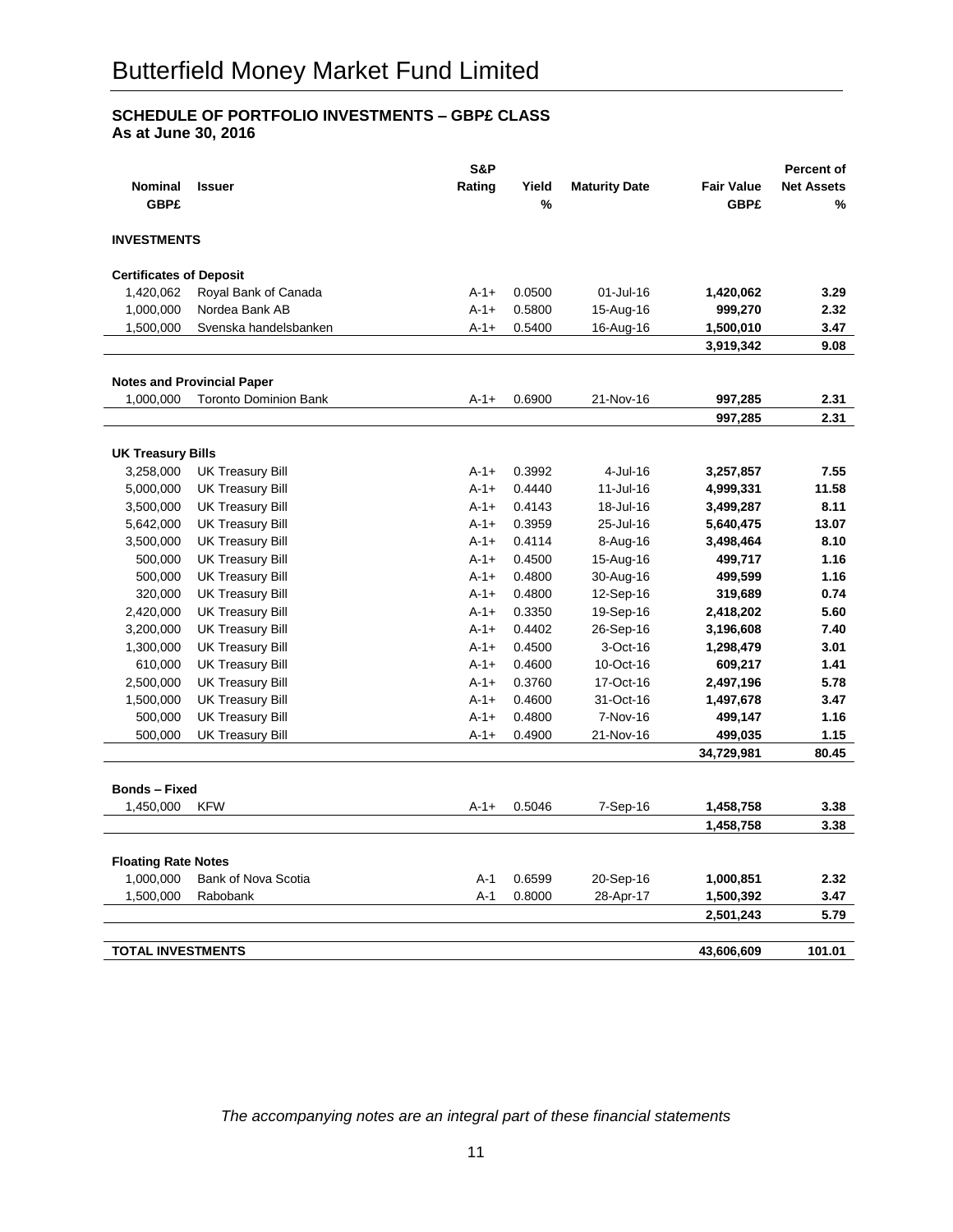## **SCHEDULE OF PORTFOLIO INVESTMENTS – GBP£ CLASS As at June 30, 2016**

|                                |                                   | S&P       |        |                      |                   | <b>Percent of</b> |
|--------------------------------|-----------------------------------|-----------|--------|----------------------|-------------------|-------------------|
| <b>Nominal</b>                 | <b>Issuer</b>                     | Rating    | Yield  | <b>Maturity Date</b> | <b>Fair Value</b> | <b>Net Assets</b> |
| <b>GBP£</b>                    |                                   |           | %      |                      | <b>GBP£</b>       | %                 |
|                                |                                   |           |        |                      |                   |                   |
| <b>INVESTMENTS</b>             |                                   |           |        |                      |                   |                   |
| <b>Certificates of Deposit</b> |                                   |           |        |                      |                   |                   |
| 1,420,062                      | Royal Bank of Canada              | $A-1+$    | 0.0500 | 01-Jul-16            | 1,420,062         | 3.29              |
| 1,000,000                      | Nordea Bank AB                    | $A - 1 +$ | 0.5800 | 15-Aug-16            | 999,270           | 2.32              |
| 1,500,000                      | Svenska handelsbanken             | $A-1+$    | 0.5400 | 16-Aug-16            | 1,500,010         | 3.47              |
|                                |                                   |           |        |                      | 3,919,342         | 9.08              |
|                                |                                   |           |        |                      |                   |                   |
|                                | <b>Notes and Provincial Paper</b> |           |        |                      |                   |                   |
| 1,000,000                      | <b>Toronto Dominion Bank</b>      | $A-1+$    | 0.6900 | 21-Nov-16            | 997,285           | 2.31              |
|                                |                                   |           |        |                      | 997,285           | 2.31              |
|                                |                                   |           |        |                      |                   |                   |
| <b>UK Treasury Bills</b>       |                                   |           |        |                      |                   |                   |
| 3,258,000                      | <b>UK Treasury Bill</b>           | $A - 1 +$ | 0.3992 | 4-Jul-16             | 3,257,857         | 7.55              |
| 5,000,000                      | <b>UK Treasury Bill</b>           | $A - 1 +$ | 0.4440 | 11-Jul-16            | 4,999,331         | 11.58             |
| 3,500,000                      | <b>UK Treasury Bill</b>           | $A - 1 +$ | 0.4143 | 18-Jul-16            | 3,499,287         | 8.11              |
| 5,642,000                      | <b>UK Treasury Bill</b>           | $A-1+$    | 0.3959 | 25-Jul-16            | 5,640,475         | 13.07             |
| 3,500,000                      | <b>UK Treasury Bill</b>           | $A - 1 +$ | 0.4114 | 8-Aug-16             | 3,498,464         | 8.10              |
| 500,000                        | <b>UK Treasury Bill</b>           | $A - 1 +$ | 0.4500 | 15-Aug-16            | 499,717           | 1.16              |
| 500,000                        | <b>UK Treasury Bill</b>           | $A-1+$    | 0.4800 | 30-Aug-16            | 499,599           | 1.16              |
| 320,000                        | <b>UK Treasury Bill</b>           | $A-1+$    | 0.4800 | 12-Sep-16            | 319,689           | 0.74              |
| 2,420,000                      | <b>UK Treasury Bill</b>           | $A-1+$    | 0.3350 | 19-Sep-16            | 2,418,202         | 5.60              |
| 3,200,000                      | <b>UK Treasury Bill</b>           | $A - 1 +$ | 0.4402 | 26-Sep-16            | 3,196,608         | 7.40              |
| 1,300,000                      | <b>UK Treasury Bill</b>           | $A - 1 +$ | 0.4500 | 3-Oct-16             | 1,298,479         | 3.01              |
| 610,000                        | <b>UK Treasury Bill</b>           | $A - 1 +$ | 0.4600 | 10-Oct-16            | 609,217           | 1.41              |
| 2,500,000                      | <b>UK Treasury Bill</b>           | $A-1+$    | 0.3760 | 17-Oct-16            | 2,497,196         | 5.78              |
| 1,500,000                      | <b>UK Treasury Bill</b>           | $A-1+$    | 0.4600 | 31-Oct-16            | 1,497,678         | 3.47              |
| 500,000                        | <b>UK Treasury Bill</b>           | $A - 1 +$ | 0.4800 | 7-Nov-16             | 499,147           | 1.16              |
| 500,000                        | <b>UK Treasury Bill</b>           | $A - 1 +$ | 0.4900 | 21-Nov-16            | 499,035           | 1.15              |
|                                |                                   |           |        |                      | 34,729,981        | 80.45             |
|                                |                                   |           |        |                      |                   |                   |
| <b>Bonds - Fixed</b>           |                                   |           |        |                      |                   |                   |
| 1,450,000                      | <b>KFW</b>                        | $A-1+$    | 0.5046 | 7-Sep-16             | 1,458,758         | 3.38              |
|                                |                                   |           |        |                      | 1,458,758         | 3.38              |
| <b>Floating Rate Notes</b>     |                                   |           |        |                      |                   |                   |
| 1,000,000                      | <b>Bank of Nova Scotia</b>        | A-1       | 0.6599 | 20-Sep-16            | 1,000,851         | 2.32              |
| 1,500,000                      | Rabobank                          | $A-1$     | 0.8000 | 28-Apr-17            | 1,500,392         | 3.47              |
|                                |                                   |           |        |                      | 2,501,243         | 5.79              |
|                                |                                   |           |        |                      |                   |                   |
| <b>TOTAL INVESTMENTS</b>       |                                   |           |        |                      | 43,606,609        | 101.01            |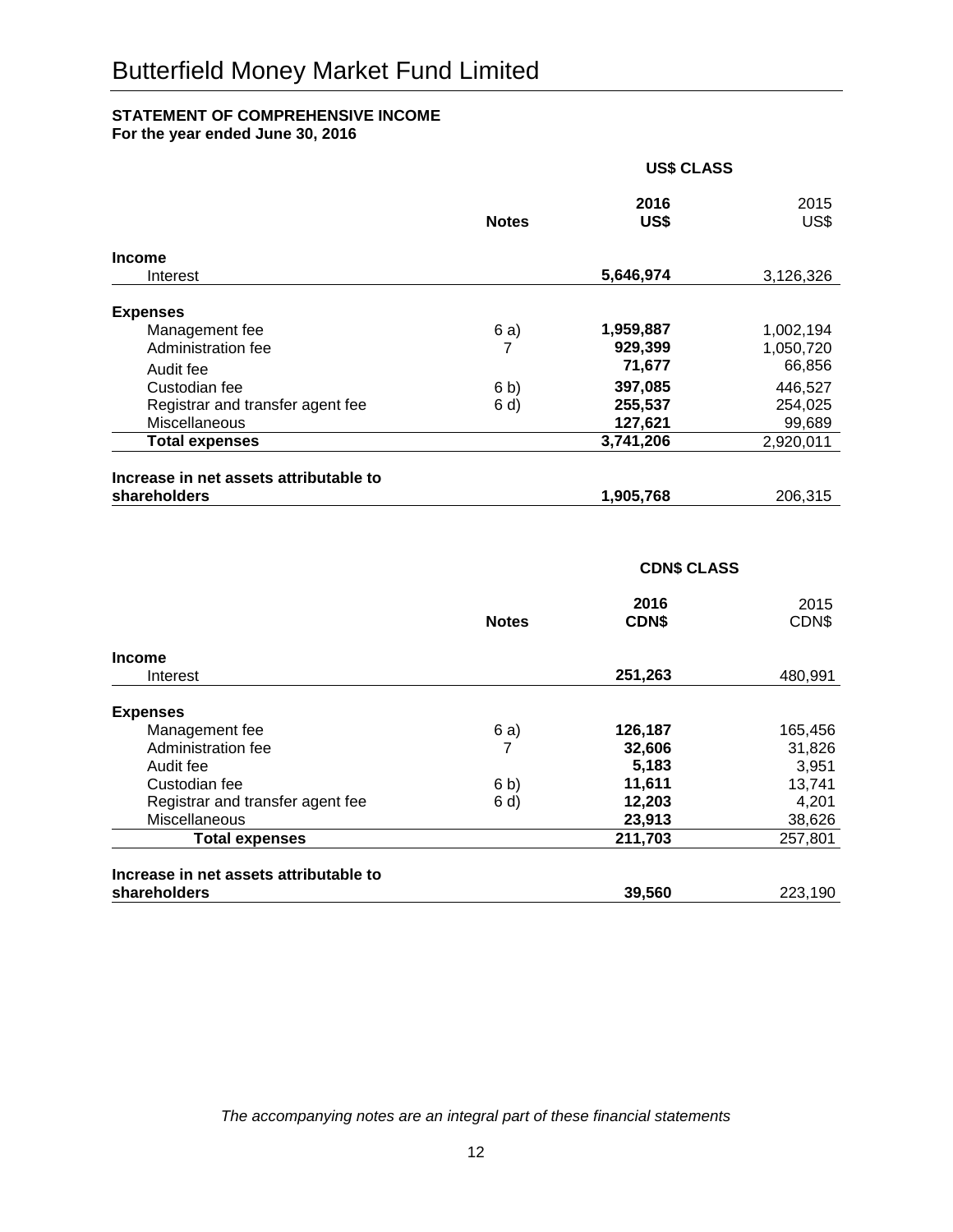## **STATEMENT OF COMPREHENSIVE INCOME**

**For the year ended June 30, 2016**

|                                                        | <b>US\$ CLASS</b> |              |              |
|--------------------------------------------------------|-------------------|--------------|--------------|
|                                                        | <b>Notes</b>      | 2016<br>US\$ | 2015<br>US\$ |
| <b>Income</b>                                          |                   |              |              |
| Interest                                               |                   | 5,646,974    | 3,126,326    |
| <b>Expenses</b>                                        |                   |              |              |
| Management fee                                         | 6 a)              | 1,959,887    | 1,002,194    |
| Administration fee                                     |                   | 929,399      | 1,050,720    |
| Audit fee                                              |                   | 71,677       | 66,856       |
| Custodian fee                                          | 6 b)              | 397,085      | 446,527      |
| Registrar and transfer agent fee                       | 6 d               | 255,537      | 254,025      |
| Miscellaneous                                          |                   | 127,621      | 99,689       |
| <b>Total expenses</b>                                  |                   | 3,741,206    | 2,920,011    |
|                                                        |                   |              |              |
| Increase in net assets attributable to<br>shareholders |                   | 1,905,768    | 206,315      |

## **CDN\$ CLASS**

|                                        | <b>Notes</b> | 2016<br><b>CDNS</b> | 2015<br>CDN\$ |
|----------------------------------------|--------------|---------------------|---------------|
| <b>Income</b>                          |              |                     |               |
| Interest                               |              | 251,263             | 480,991       |
| <b>Expenses</b>                        |              |                     |               |
| Management fee                         | 6 a)         | 126,187             | 165,456       |
| Administration fee                     | 7            | 32,606              | 31,826        |
| Audit fee                              |              | 5,183               | 3,951         |
| Custodian fee                          | 6 b)         | 11,611              | 13,741        |
| Registrar and transfer agent fee       | 6 d)         | 12,203              | 4,201         |
| Miscellaneous                          |              | 23,913              | 38,626        |
| <b>Total expenses</b>                  |              | 211,703             | 257,801       |
| Increase in net assets attributable to |              |                     |               |
| shareholders                           |              | 39,560              | 223,190       |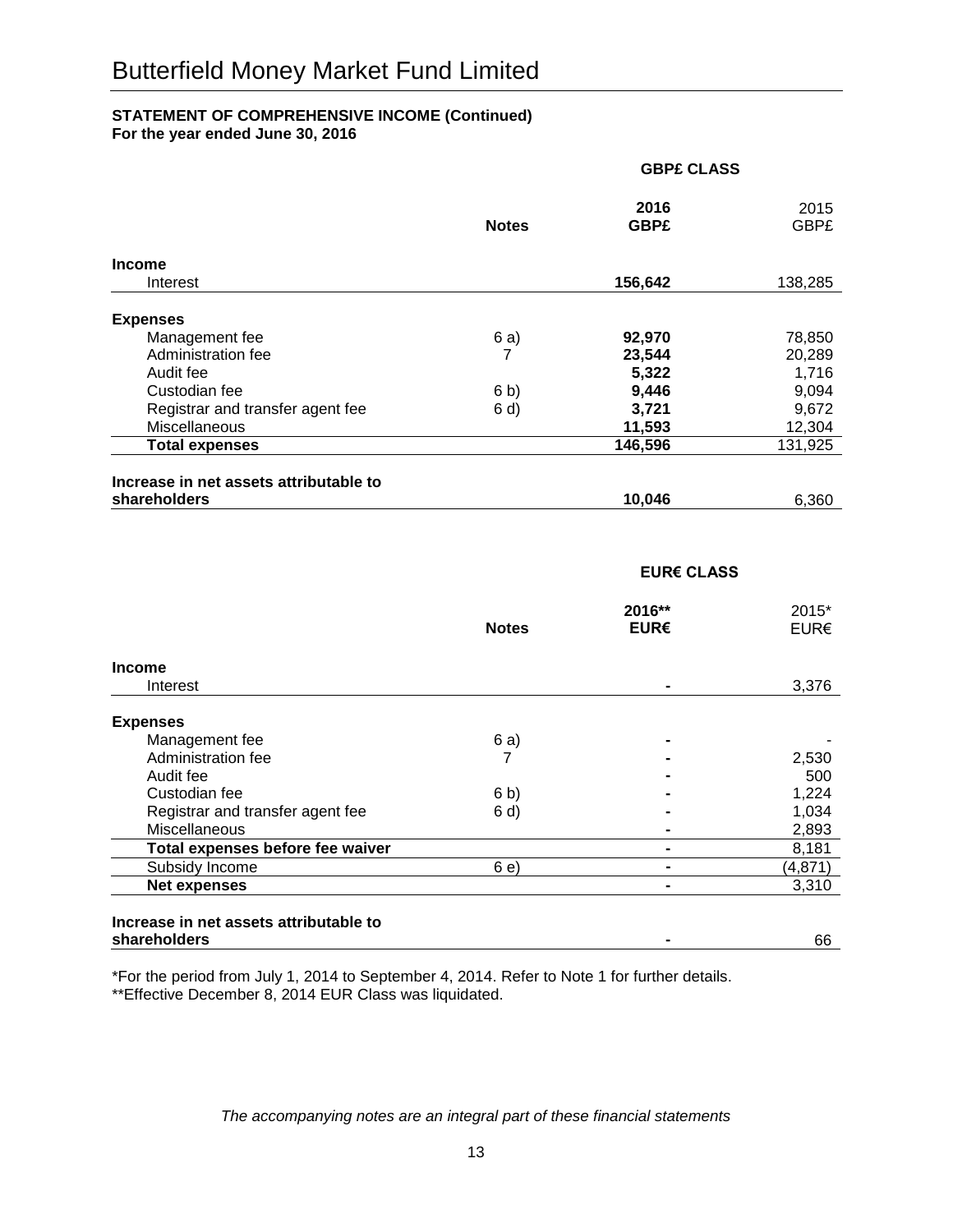## **STATEMENT OF COMPREHENSIVE INCOME (Continued) For the year ended June 30, 2016**

|                                        | <b>GBP£ CLASS</b> |                     |                     |
|----------------------------------------|-------------------|---------------------|---------------------|
|                                        | <b>Notes</b>      | 2016<br><b>GBP£</b> | 2015<br><b>GBP£</b> |
| <b>Income</b>                          |                   |                     |                     |
| Interest                               |                   | 156,642             | 138,285             |
| <b>Expenses</b>                        |                   |                     |                     |
| Management fee                         | 6 a)              | 92,970              | 78,850              |
| Administration fee                     | 7                 | 23,544              | 20,289              |
| Audit fee                              |                   | 5,322               | 1,716               |
| Custodian fee                          | 6 <sub>b</sub>    | 9,446               | 9,094               |
| Registrar and transfer agent fee       | 6 d)              | 3,721               | 9,672               |
| Miscellaneous                          |                   | 11,593              | 12,304              |
| <b>Total expenses</b>                  |                   | 146,596             | 131,925             |
| Increase in net assets attributable to |                   |                     |                     |
| shareholders                           |                   | 10,046              | 6,360               |

## **EUR€ CLASS**

|                                  | <b>Notes</b> | $2016**$<br>EUR€ | $2015*$<br>EURE |
|----------------------------------|--------------|------------------|-----------------|
| <b>Income</b>                    |              |                  |                 |
| Interest                         |              |                  | 3,376           |
| <b>Expenses</b>                  |              |                  |                 |
| Management fee                   | 6 a)         | $\blacksquare$   |                 |
| Administration fee               |              |                  | 2,530           |
| Audit fee                        |              |                  | 500             |
| Custodian fee                    | 6 b)         |                  | 1,224           |
| Registrar and transfer agent fee | 6 d          |                  | 1,034           |
| Miscellaneous                    |              |                  | 2,893           |
| Total expenses before fee waiver |              |                  | 8,181           |
| Subsidy Income                   | 6 e)         | $\blacksquare$   | (4,871)         |
| <b>Net expenses</b>              |              |                  | 3,310           |
|                                  |              |                  |                 |

#### **Increase in net assets attributable to shareholders** 66

\*For the period from July 1, 2014 to September 4, 2014. Refer to Note 1 for further details. \*\*Effective December 8, 2014 EUR Class was liquidated.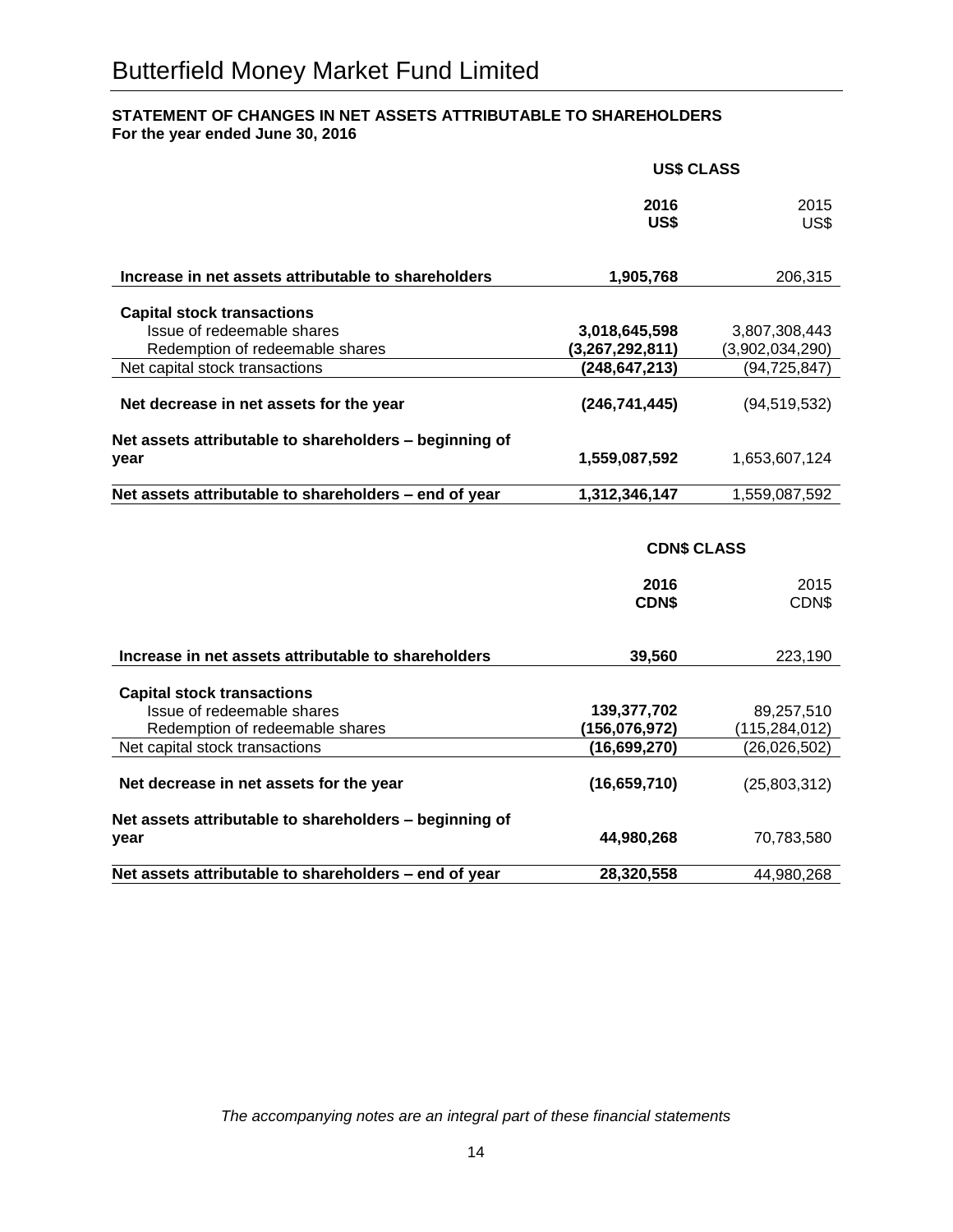## **STATEMENT OF CHANGES IN NET ASSETS ATTRIBUTABLE TO SHAREHOLDERS For the year ended June 30, 2016**

|                                                                | <b>US\$ CLASS</b>    |                 |  |
|----------------------------------------------------------------|----------------------|-----------------|--|
|                                                                | 2016<br>US\$         | 2015<br>US\$    |  |
| Increase in net assets attributable to shareholders            | 1,905,768            | 206,315         |  |
| <b>Capital stock transactions</b>                              |                      |                 |  |
| Issue of redeemable shares                                     | 3,018,645,598        | 3,807,308,443   |  |
| Redemption of redeemable shares                                | (3,267,292,811)      | (3,902,034,290) |  |
| Net capital stock transactions                                 | (248, 647, 213)      | (94, 725, 847)  |  |
| Net decrease in net assets for the year                        | (246, 741, 445)      | (94, 519, 532)  |  |
| Net assets attributable to shareholders - beginning of<br>year | 1,559,087,592        | 1,653,607,124   |  |
| Net assets attributable to shareholders - end of year          | 1,312,346,147        | 1,559,087,592   |  |
|                                                                | <b>CDN\$ CLASS</b>   |                 |  |
|                                                                | 2016<br><b>CDN\$</b> | 2015<br>CDN\$   |  |
| Increase in net assets attributable to shareholders            | 39,560               | 223,190         |  |
| <b>Capital stock transactions</b>                              |                      |                 |  |
| Issue of redeemable shares                                     | 139,377,702          | 89,257,510      |  |
| Redemption of redeemable shares                                | (156, 076, 972)      | (115, 284, 012) |  |
| Net capital stock transactions                                 | (16, 699, 270)       | (26, 026, 502)  |  |
| Net decrease in net assets for the year                        | (16, 659, 710)       | (25,803,312)    |  |
| Net assets attributable to shareholders - beginning of<br>year | 44,980,268           | 70,783,580      |  |
| Net assets attributable to shareholders - end of year          | 28,320,558           | 44,980,268      |  |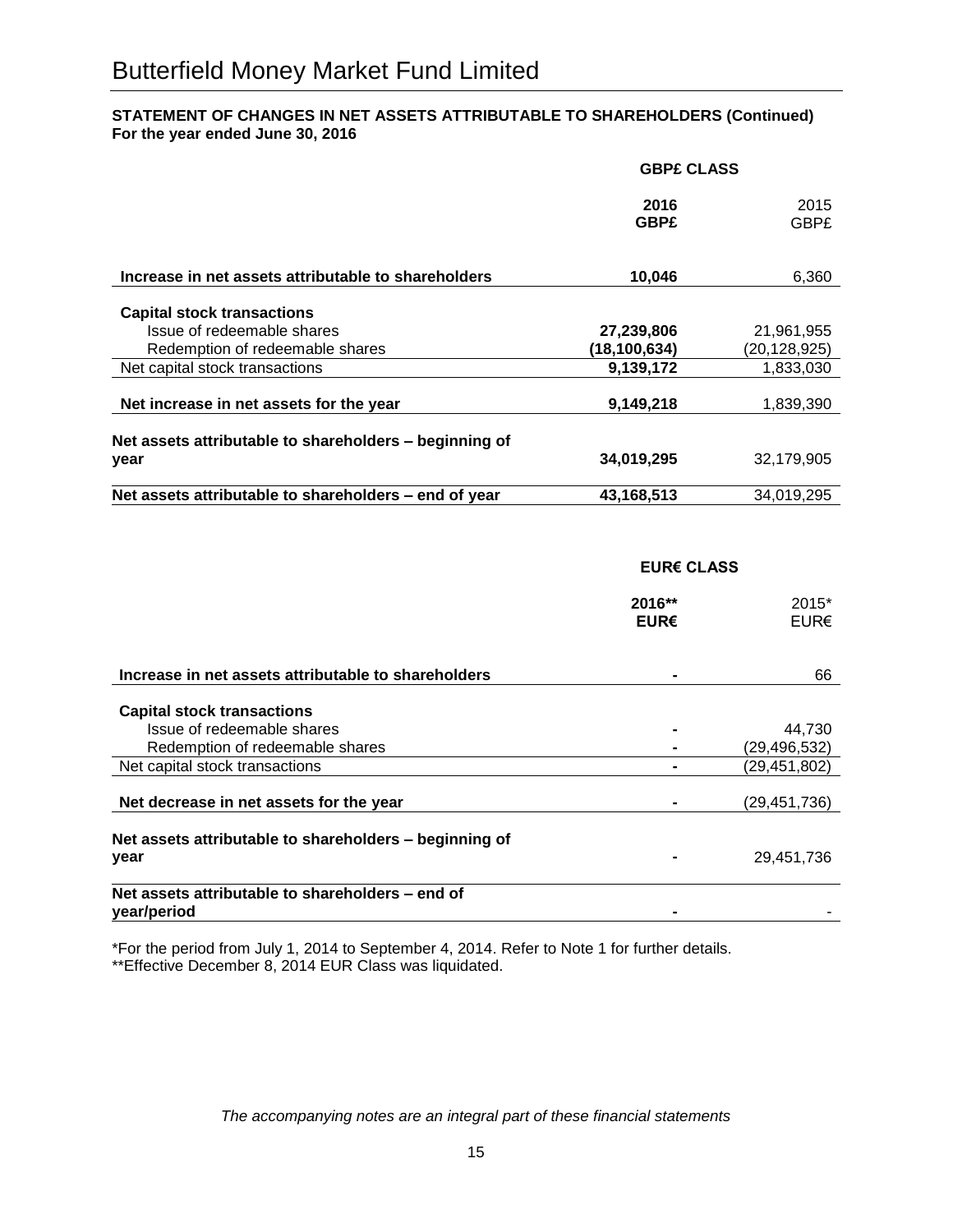## **STATEMENT OF CHANGES IN NET ASSETS ATTRIBUTABLE TO SHAREHOLDERS (Continued) For the year ended June 30, 2016**

|                                                        | <b>GBPE CLASS</b>   |                |
|--------------------------------------------------------|---------------------|----------------|
|                                                        | 2016<br><b>GBP£</b> | 2015<br>GBP£   |
| Increase in net assets attributable to shareholders    | 10,046              | 6,360          |
| <b>Capital stock transactions</b>                      |                     |                |
| Issue of redeemable shares                             | 27,239,806          | 21,961,955     |
| Redemption of redeemable shares                        | (18, 100, 634)      | (20, 128, 925) |
| Net capital stock transactions                         | 9,139,172           | 1,833,030      |
| Net increase in net assets for the year                | 9,149,218           | 1,839,390      |
| Net assets attributable to shareholders - beginning of |                     |                |
| year                                                   | 34,019,295          | 32.179.905     |
| Net assets attributable to shareholders – end of year  | 43,168,513          | 34.019.295     |

## **EUR€ CLASS**

|                                                                 | 2016**<br>EUR€ | 2015*<br>EUR€  |
|-----------------------------------------------------------------|----------------|----------------|
| Increase in net assets attributable to shareholders             |                | 66             |
| <b>Capital stock transactions</b>                               |                |                |
| Issue of redeemable shares                                      |                | 44,730         |
| Redemption of redeemable shares                                 |                | (29,496,532)   |
| Net capital stock transactions                                  |                | (29,451,802)   |
| Net decrease in net assets for the year                         |                | (29, 451, 736) |
| Net assets attributable to shareholders - beginning of          |                |                |
| year                                                            |                | 29,451,736     |
| Net assets attributable to shareholders – end of<br>year/period |                |                |

\*For the period from July 1, 2014 to September 4, 2014. Refer to Note 1 for further details. \*\*Effective December 8, 2014 EUR Class was liquidated.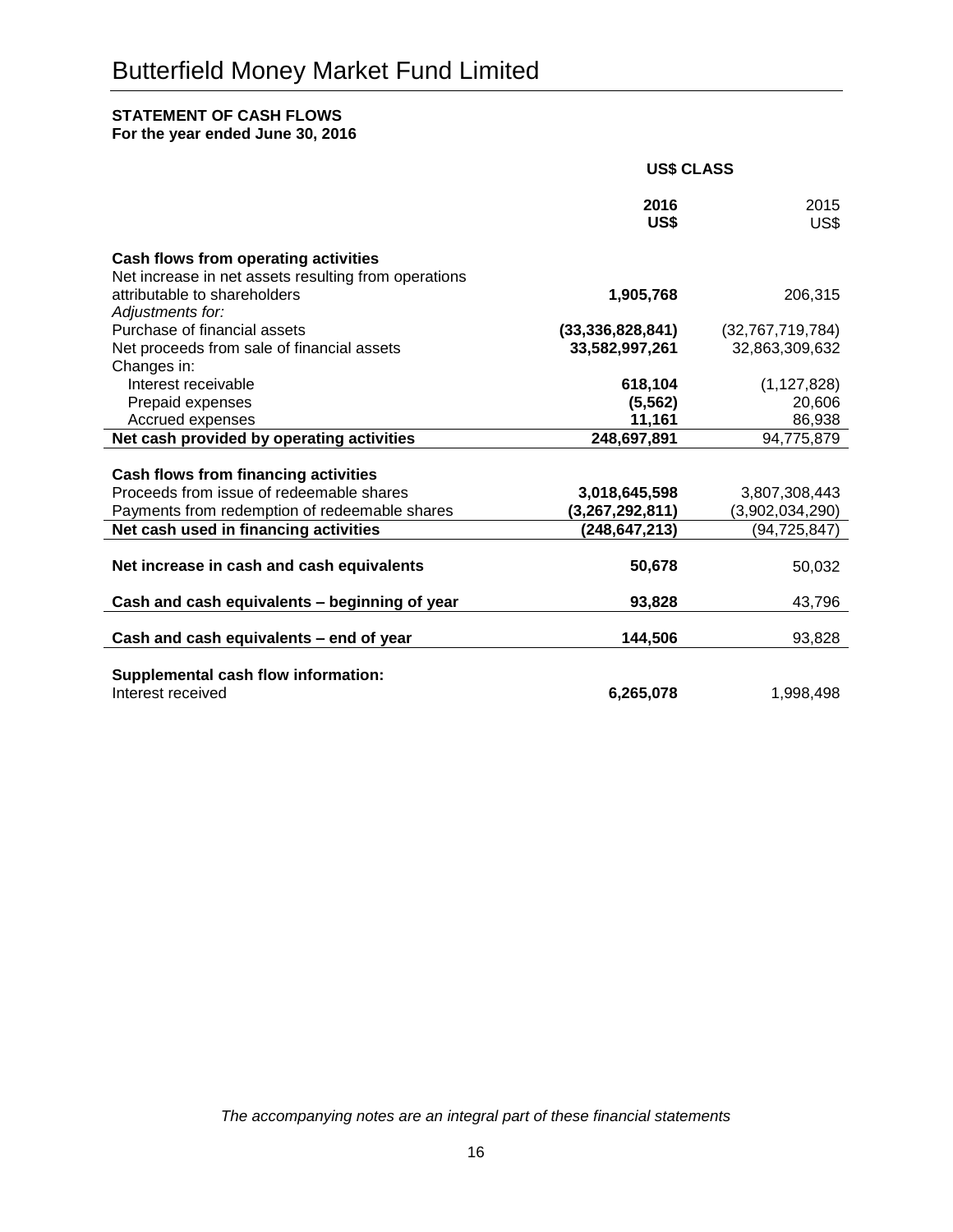## **STATEMENT OF CASH FLOWS**

**For the year ended June 30, 2016**

|                                                                                      | <b>US\$ CLASS</b>   |                  |
|--------------------------------------------------------------------------------------|---------------------|------------------|
|                                                                                      | 2016<br>US\$        | 2015<br>US\$     |
| Cash flows from operating activities                                                 |                     |                  |
| Net increase in net assets resulting from operations<br>attributable to shareholders | 1,905,768           | 206,315          |
| Adjustments for:                                                                     |                     |                  |
| Purchase of financial assets                                                         | (33, 336, 828, 841) | (32,767,719,784) |
| Net proceeds from sale of financial assets                                           | 33,582,997,261      | 32,863,309,632   |
| Changes in:                                                                          |                     |                  |
| Interest receivable                                                                  | 618,104             | (1, 127, 828)    |
| Prepaid expenses<br>Accrued expenses                                                 | (5, 562)<br>11,161  | 20,606<br>86,938 |
| Net cash provided by operating activities                                            | 248,697,891         | 94,775,879       |
|                                                                                      |                     |                  |
| Cash flows from financing activities                                                 |                     |                  |
| Proceeds from issue of redeemable shares                                             | 3,018,645,598       | 3,807,308,443    |
| Payments from redemption of redeemable shares                                        | (3,267,292,811)     | (3,902,034,290)  |
| Net cash used in financing activities                                                | (248, 647, 213)     | (94, 725, 847)   |
|                                                                                      |                     |                  |
| Net increase in cash and cash equivalents                                            | 50,678              | 50,032           |
| Cash and cash equivalents - beginning of year                                        | 93,828              | 43,796           |
| Cash and cash equivalents - end of year                                              | 144,506             | 93,828           |
|                                                                                      |                     |                  |
| Supplemental cash flow information:                                                  |                     |                  |
| Interest received                                                                    | 6,265,078           | 1,998,498        |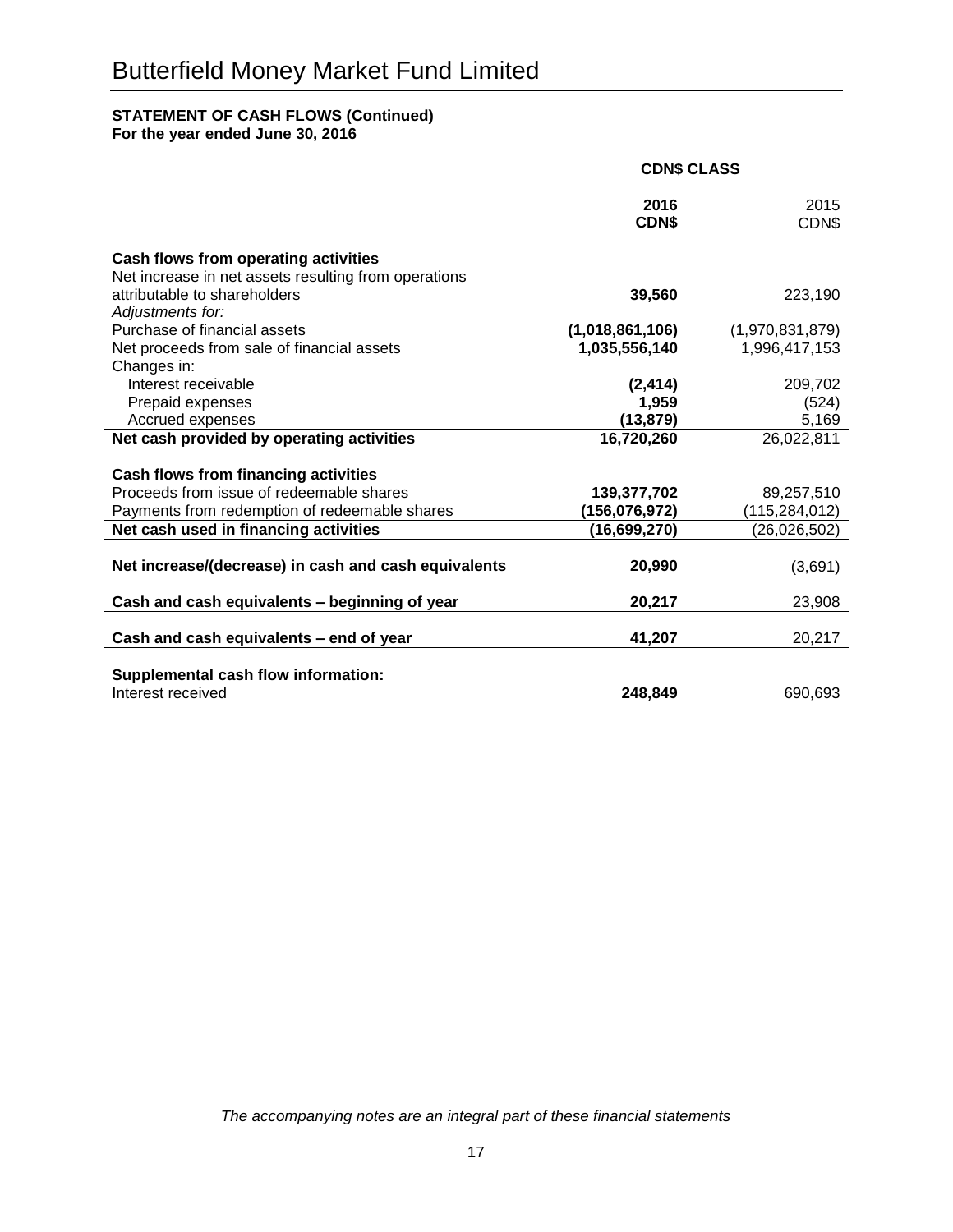## **STATEMENT OF CASH FLOWS (Continued)**

**For the year ended June 30, 2016**

|                                                                                        | <b>CDN\$ CLASS</b>            |                                 |
|----------------------------------------------------------------------------------------|-------------------------------|---------------------------------|
|                                                                                        | 2016<br><b>CDNS</b>           | 2015<br>CDN\$                   |
| Cash flows from operating activities                                                   |                               |                                 |
| Net increase in net assets resulting from operations<br>attributable to shareholders   | 39,560                        | 223,190                         |
| Adjustments for:                                                                       |                               |                                 |
| Purchase of financial assets                                                           | (1,018,861,106)               | (1,970,831,879)                 |
| Net proceeds from sale of financial assets                                             | 1,035,556,140                 | 1,996,417,153                   |
| Changes in:                                                                            |                               |                                 |
| Interest receivable<br>Prepaid expenses                                                | (2, 414)<br>1,959             | 209,702<br>(524)                |
| Accrued expenses                                                                       | (13, 879)                     | 5,169                           |
| Net cash provided by operating activities                                              | 16,720,260                    | 26,022,811                      |
|                                                                                        |                               |                                 |
| Cash flows from financing activities                                                   |                               |                                 |
| Proceeds from issue of redeemable shares                                               | 139,377,702                   | 89,257,510                      |
| Payments from redemption of redeemable shares<br>Net cash used in financing activities | (156,076,972)<br>(16,699,270) | (115,284,012)<br>(26, 026, 502) |
|                                                                                        |                               |                                 |
| Net increase/(decrease) in cash and cash equivalents                                   | 20,990                        | (3,691)                         |
|                                                                                        |                               |                                 |
| Cash and cash equivalents - beginning of year                                          | 20,217                        | 23,908                          |
| Cash and cash equivalents - end of year                                                | 41,207                        | 20,217                          |
| Supplemental cash flow information:                                                    |                               |                                 |
| Interest received                                                                      | 248,849                       | 690,693                         |
|                                                                                        |                               |                                 |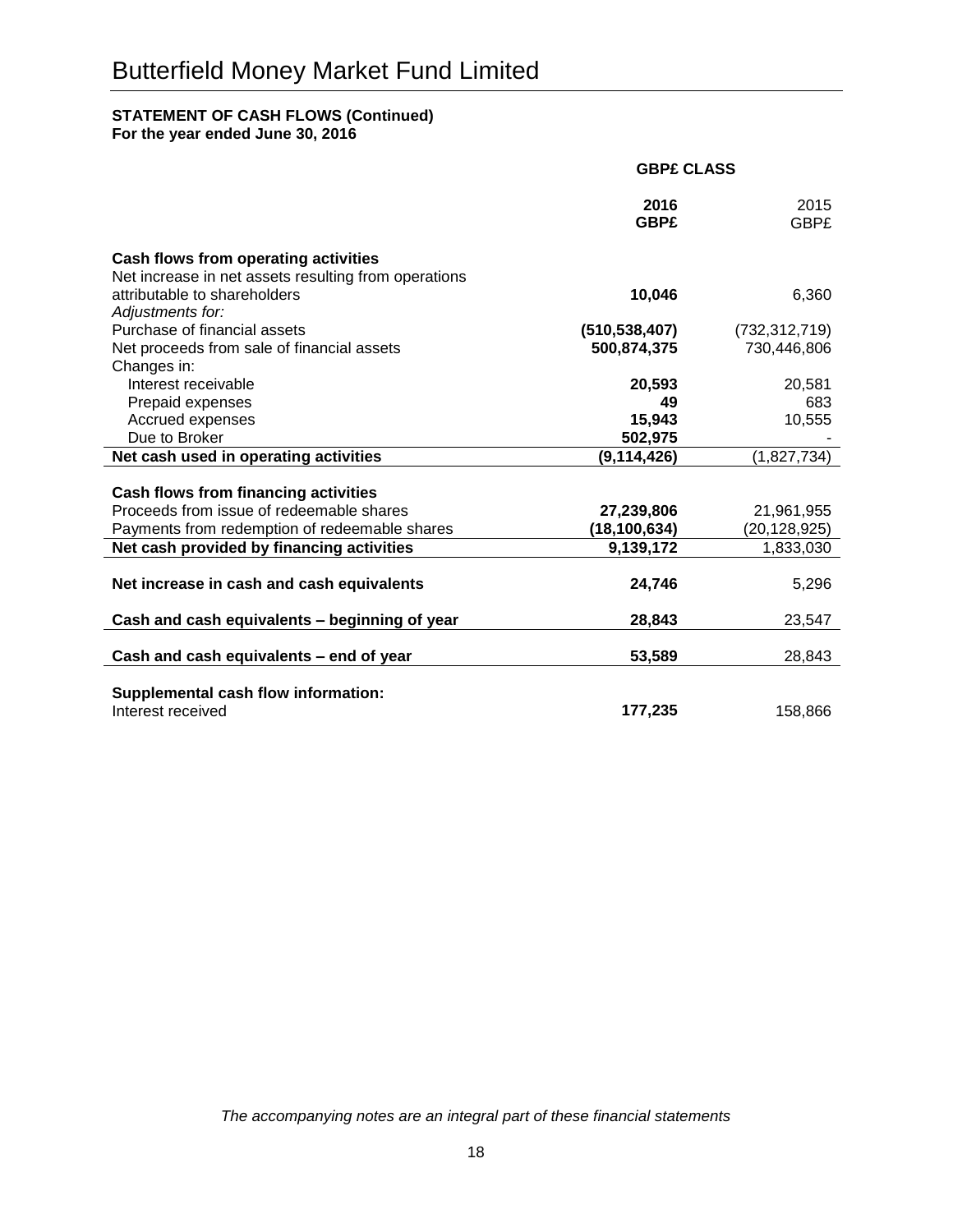## **STATEMENT OF CASH FLOWS (Continued)**

**For the year ended June 30, 2016**

|                                                      | <b>GBPE CLASS</b>   |                     |
|------------------------------------------------------|---------------------|---------------------|
|                                                      | 2016<br><b>GBP£</b> | 2015<br><b>GBP£</b> |
| Cash flows from operating activities                 |                     |                     |
| Net increase in net assets resulting from operations |                     |                     |
| attributable to shareholders                         | 10,046              | 6,360               |
| Adjustments for:                                     |                     |                     |
| Purchase of financial assets                         | (510, 538, 407)     | (732, 312, 719)     |
| Net proceeds from sale of financial assets           | 500,874,375         | 730,446,806         |
| Changes in:                                          |                     |                     |
| Interest receivable                                  | 20,593              | 20,581              |
| Prepaid expenses                                     | 49                  | 683                 |
| Accrued expenses                                     | 15,943              | 10,555              |
| Due to Broker                                        | 502,975             |                     |
| Net cash used in operating activities                | (9, 114, 426)       | (1,827,734)         |
|                                                      |                     |                     |
| Cash flows from financing activities                 |                     |                     |
| Proceeds from issue of redeemable shares             | 27,239,806          | 21,961,955          |
| Payments from redemption of redeemable shares        | (18, 100, 634)      | (20, 128, 925)      |
| Net cash provided by financing activities            | 9,139,172           | 1,833,030           |
|                                                      |                     |                     |
| Net increase in cash and cash equivalents            | 24,746              | 5,296               |
| Cash and cash equivalents - beginning of year        | 28,843              | 23,547              |
| Cash and cash equivalents - end of year              | 53,589              | 28,843              |
|                                                      |                     |                     |
| Supplemental cash flow information:                  |                     |                     |
| Interest received                                    | 177,235             | 158,866             |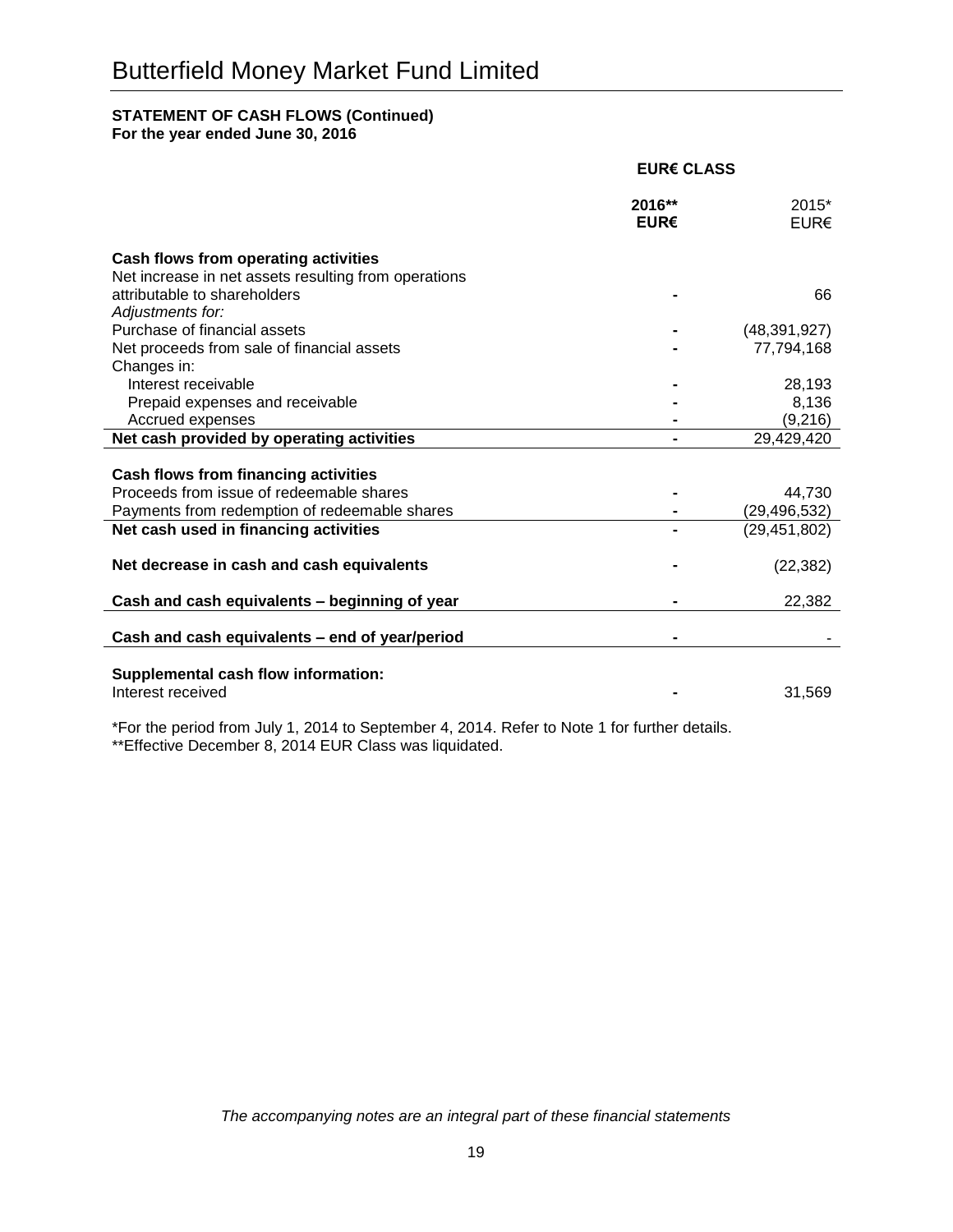## **STATEMENT OF CASH FLOWS (Continued)**

**For the year ended June 30, 2016**

|                                                                                      | <b>EUR€ CLASS</b> |                 |
|--------------------------------------------------------------------------------------|-------------------|-----------------|
|                                                                                      | 2016**<br>EUR€    | 2015*<br>EUR€   |
| Cash flows from operating activities                                                 |                   |                 |
| Net increase in net assets resulting from operations<br>attributable to shareholders |                   | 66              |
| Adjustments for:                                                                     |                   |                 |
| Purchase of financial assets                                                         |                   | (48, 391, 927)  |
| Net proceeds from sale of financial assets                                           |                   | 77,794,168      |
| Changes in:                                                                          |                   |                 |
| Interest receivable<br>Prepaid expenses and receivable                               |                   | 28,193<br>8,136 |
| Accrued expenses                                                                     |                   | (9,216)         |
| Net cash provided by operating activities                                            |                   | 29,429,420      |
|                                                                                      |                   |                 |
| Cash flows from financing activities                                                 |                   |                 |
| Proceeds from issue of redeemable shares                                             |                   | 44,730          |
| Payments from redemption of redeemable shares                                        |                   | (29, 496, 532)  |
| Net cash used in financing activities                                                |                   | (29, 451, 802)  |
| Net decrease in cash and cash equivalents                                            |                   | (22, 382)       |
| Cash and cash equivalents - beginning of year                                        |                   | 22,382          |
| Cash and cash equivalents - end of year/period                                       |                   |                 |
| Supplemental cash flow information:                                                  |                   |                 |
| Interest received                                                                    |                   | 31,569          |

\*For the period from July 1, 2014 to September 4, 2014. Refer to Note 1 for further details. \*\*Effective December 8, 2014 EUR Class was liquidated.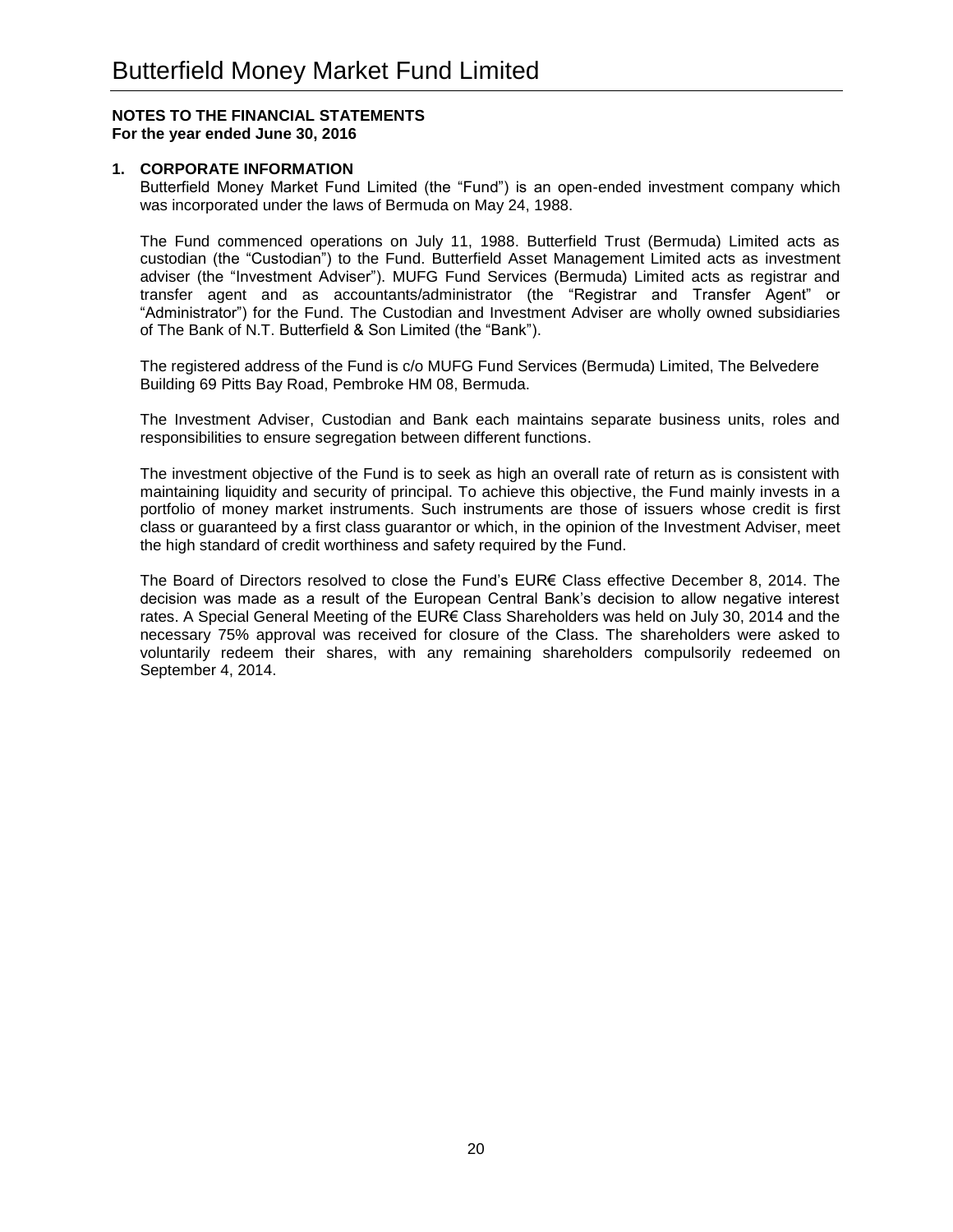## **1. CORPORATE INFORMATION**

Butterfield Money Market Fund Limited (the "Fund") is an open-ended investment company which was incorporated under the laws of Bermuda on May 24, 1988.

The Fund commenced operations on July 11, 1988. Butterfield Trust (Bermuda) Limited acts as custodian (the "Custodian") to the Fund. Butterfield Asset Management Limited acts as investment adviser (the "Investment Adviser"). MUFG Fund Services (Bermuda) Limited acts as registrar and transfer agent and as accountants/administrator (the "Registrar and Transfer Agent" or "Administrator") for the Fund. The Custodian and Investment Adviser are wholly owned subsidiaries of The Bank of N.T. Butterfield & Son Limited (the "Bank").

The registered address of the Fund is c/o MUFG Fund Services (Bermuda) Limited, The Belvedere Building 69 Pitts Bay Road, Pembroke HM 08, Bermuda.

The Investment Adviser, Custodian and Bank each maintains separate business units, roles and responsibilities to ensure segregation between different functions.

The investment objective of the Fund is to seek as high an overall rate of return as is consistent with maintaining liquidity and security of principal. To achieve this objective, the Fund mainly invests in a portfolio of money market instruments. Such instruments are those of issuers whose credit is first class or guaranteed by a first class guarantor or which, in the opinion of the Investment Adviser, meet the high standard of credit worthiness and safety required by the Fund.

The Board of Directors resolved to close the Fund's EUR€ Class effective December 8, 2014. The decision was made as a result of the European Central Bank's decision to allow negative interest rates. A Special General Meeting of the EUR€ Class Shareholders was held on July 30, 2014 and the necessary 75% approval was received for closure of the Class. The shareholders were asked to voluntarily redeem their shares, with any remaining shareholders compulsorily redeemed on September 4, 2014.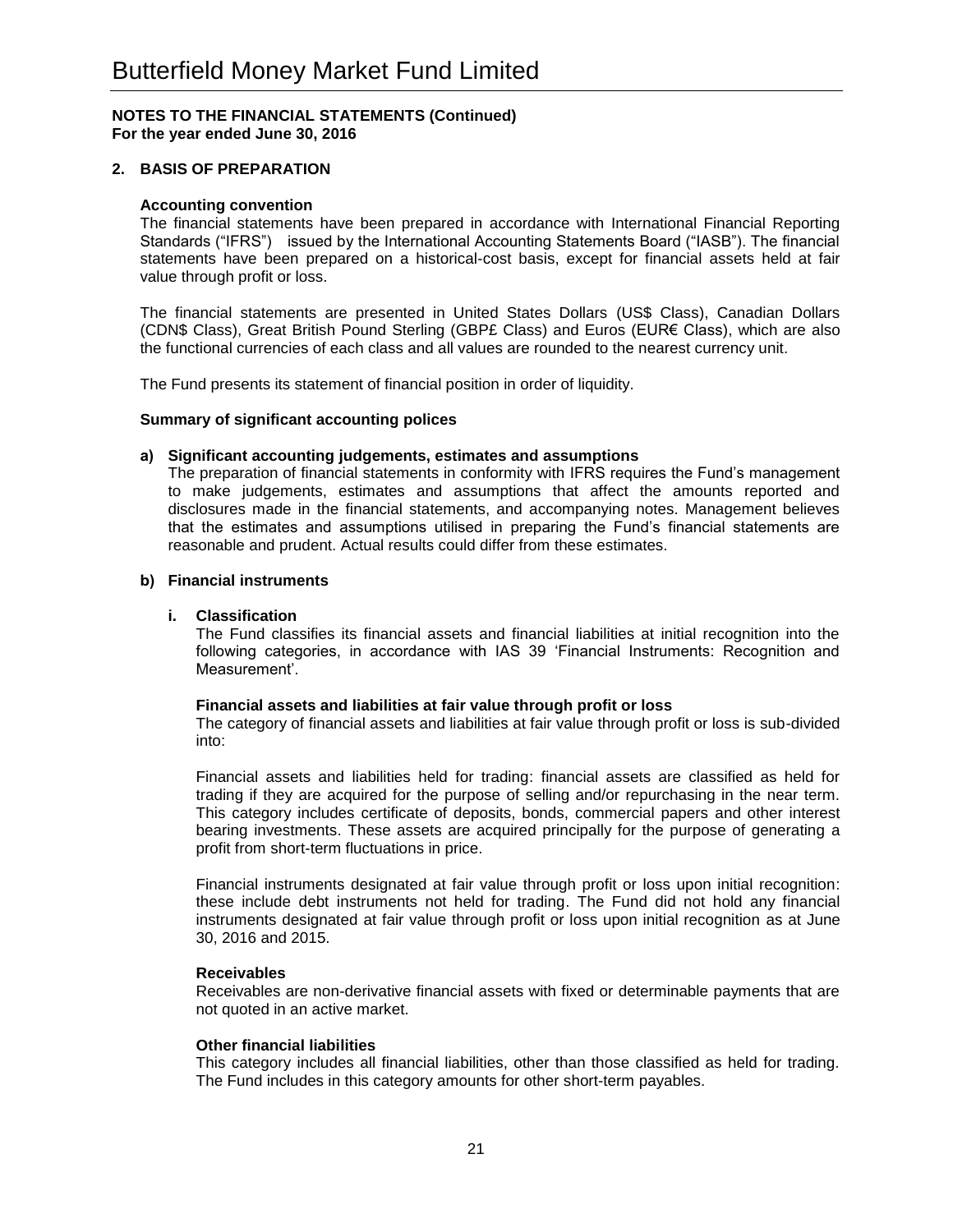## **2. BASIS OF PREPARATION**

#### **Accounting convention**

The financial statements have been prepared in accordance with International Financial Reporting Standards ("IFRS") issued by the International Accounting Statements Board ("IASB"). The financial statements have been prepared on a historical-cost basis, except for financial assets held at fair value through profit or loss.

The financial statements are presented in United States Dollars (US\$ Class), Canadian Dollars (CDN\$ Class), Great British Pound Sterling (GBP£ Class) and Euros (EUR€ Class), which are also the functional currencies of each class and all values are rounded to the nearest currency unit.

The Fund presents its statement of financial position in order of liquidity.

#### **Summary of significant accounting polices**

#### **a) Significant accounting judgements, estimates and assumptions**

The preparation of financial statements in conformity with IFRS requires the Fund's management to make judgements, estimates and assumptions that affect the amounts reported and disclosures made in the financial statements, and accompanying notes. Management believes that the estimates and assumptions utilised in preparing the Fund's financial statements are reasonable and prudent. Actual results could differ from these estimates.

#### **b) Financial instruments**

#### **i. Classification**

The Fund classifies its financial assets and financial liabilities at initial recognition into the following categories, in accordance with IAS 39 'Financial Instruments: Recognition and Measurement'.

#### **Financial assets and liabilities at fair value through profit or loss**

The category of financial assets and liabilities at fair value through profit or loss is sub-divided into:

Financial assets and liabilities held for trading: financial assets are classified as held for trading if they are acquired for the purpose of selling and/or repurchasing in the near term. This category includes certificate of deposits, bonds, commercial papers and other interest bearing investments. These assets are acquired principally for the purpose of generating a profit from short-term fluctuations in price.

Financial instruments designated at fair value through profit or loss upon initial recognition: these include debt instruments not held for trading. The Fund did not hold any financial instruments designated at fair value through profit or loss upon initial recognition as at June 30, 2016 and 2015.

#### **Receivables**

Receivables are non-derivative financial assets with fixed or determinable payments that are not quoted in an active market.

#### **Other financial liabilities**

This category includes all financial liabilities, other than those classified as held for trading. The Fund includes in this category amounts for other short-term payables.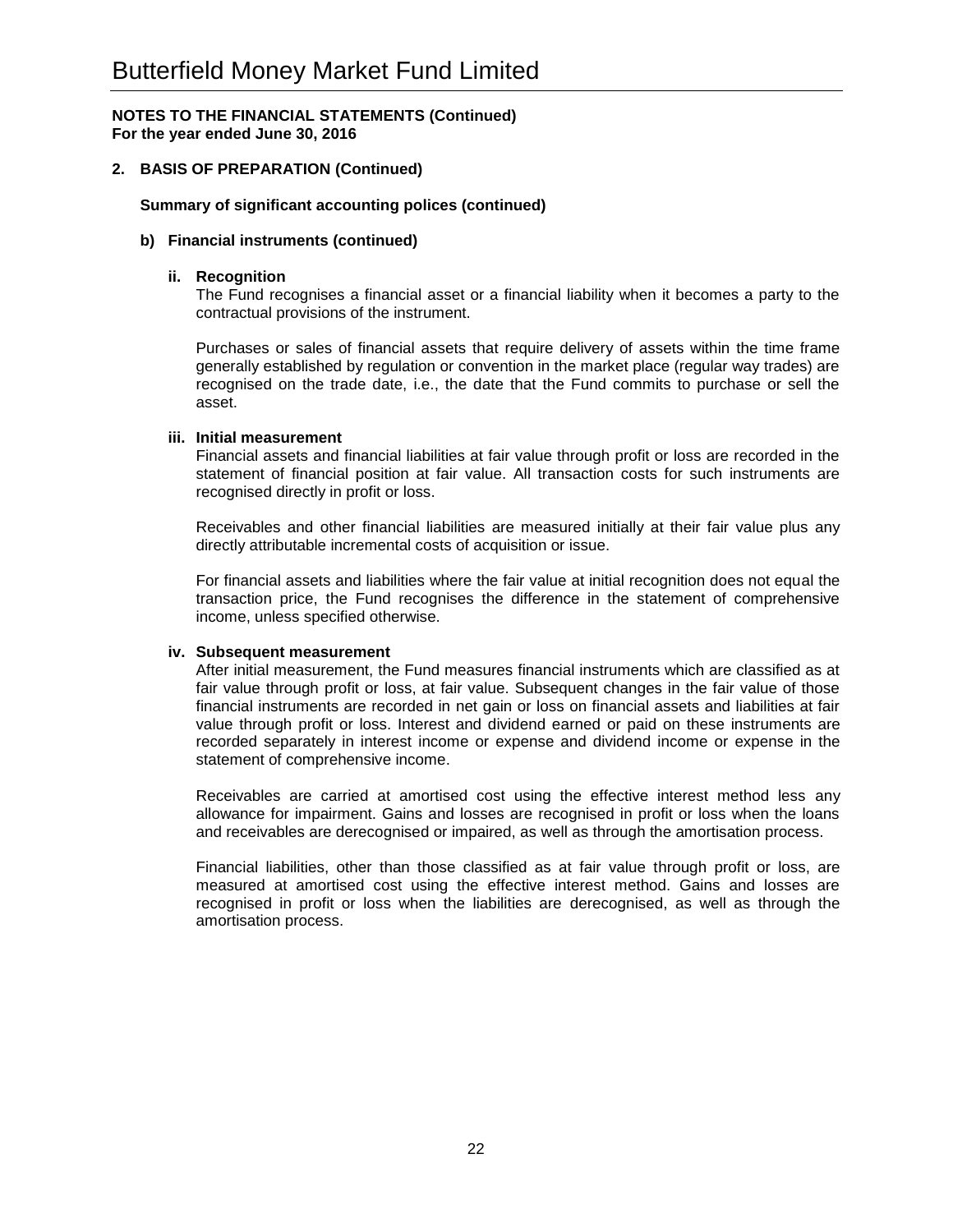## **2. BASIS OF PREPARATION (Continued)**

#### **Summary of significant accounting polices (continued)**

#### **b) Financial instruments (continued)**

#### **ii. Recognition**

The Fund recognises a financial asset or a financial liability when it becomes a party to the contractual provisions of the instrument.

Purchases or sales of financial assets that require delivery of assets within the time frame generally established by regulation or convention in the market place (regular way trades) are recognised on the trade date, i.e., the date that the Fund commits to purchase or sell the asset.

#### **iii. Initial measurement**

Financial assets and financial liabilities at fair value through profit or loss are recorded in the statement of financial position at fair value. All transaction costs for such instruments are recognised directly in profit or loss.

Receivables and other financial liabilities are measured initially at their fair value plus any directly attributable incremental costs of acquisition or issue.

For financial assets and liabilities where the fair value at initial recognition does not equal the transaction price, the Fund recognises the difference in the statement of comprehensive income, unless specified otherwise.

#### **iv. Subsequent measurement**

After initial measurement, the Fund measures financial instruments which are classified as at fair value through profit or loss, at fair value. Subsequent changes in the fair value of those financial instruments are recorded in net gain or loss on financial assets and liabilities at fair value through profit or loss. Interest and dividend earned or paid on these instruments are recorded separately in interest income or expense and dividend income or expense in the statement of comprehensive income.

Receivables are carried at amortised cost using the effective interest method less any allowance for impairment. Gains and losses are recognised in profit or loss when the loans and receivables are derecognised or impaired, as well as through the amortisation process.

Financial liabilities, other than those classified as at fair value through profit or loss, are measured at amortised cost using the effective interest method. Gains and losses are recognised in profit or loss when the liabilities are derecognised, as well as through the amortisation process.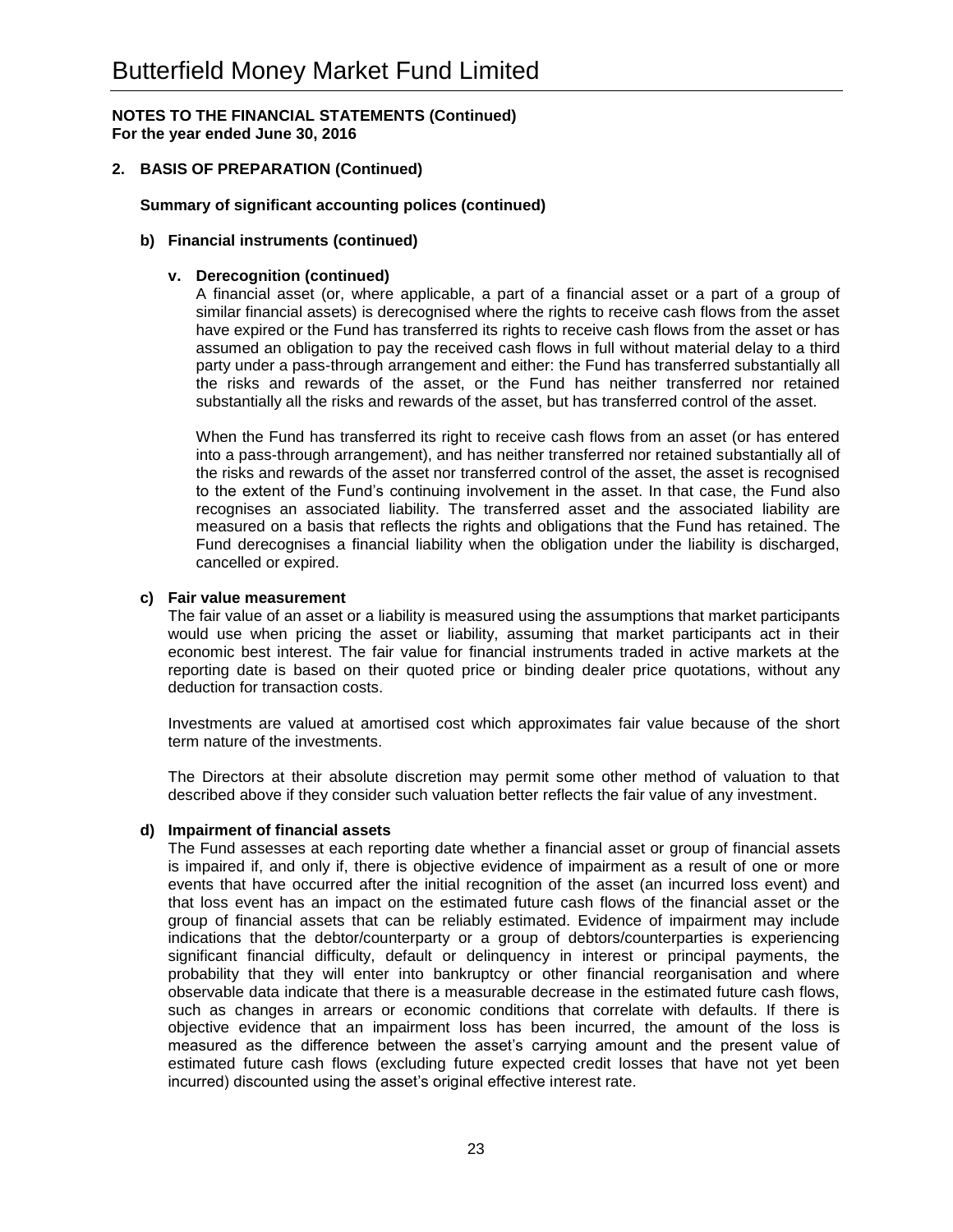## **2. BASIS OF PREPARATION (Continued)**

#### **Summary of significant accounting polices (continued)**

#### **b) Financial instruments (continued)**

#### **v. Derecognition (continued)**

A financial asset (or, where applicable, a part of a financial asset or a part of a group of similar financial assets) is derecognised where the rights to receive cash flows from the asset have expired or the Fund has transferred its rights to receive cash flows from the asset or has assumed an obligation to pay the received cash flows in full without material delay to a third party under a pass-through arrangement and either: the Fund has transferred substantially all the risks and rewards of the asset, or the Fund has neither transferred nor retained substantially all the risks and rewards of the asset, but has transferred control of the asset.

When the Fund has transferred its right to receive cash flows from an asset (or has entered into a pass-through arrangement), and has neither transferred nor retained substantially all of the risks and rewards of the asset nor transferred control of the asset, the asset is recognised to the extent of the Fund's continuing involvement in the asset. In that case, the Fund also recognises an associated liability. The transferred asset and the associated liability are measured on a basis that reflects the rights and obligations that the Fund has retained. The Fund derecognises a financial liability when the obligation under the liability is discharged, cancelled or expired.

#### **c) Fair value measurement**

The fair value of an asset or a liability is measured using the assumptions that market participants would use when pricing the asset or liability, assuming that market participants act in their economic best interest. The fair value for financial instruments traded in active markets at the reporting date is based on their quoted price or binding dealer price quotations, without any deduction for transaction costs.

Investments are valued at amortised cost which approximates fair value because of the short term nature of the investments.

The Directors at their absolute discretion may permit some other method of valuation to that described above if they consider such valuation better reflects the fair value of any investment.

#### **d) Impairment of financial assets**

The Fund assesses at each reporting date whether a financial asset or group of financial assets is impaired if, and only if, there is objective evidence of impairment as a result of one or more events that have occurred after the initial recognition of the asset (an incurred loss event) and that loss event has an impact on the estimated future cash flows of the financial asset or the group of financial assets that can be reliably estimated. Evidence of impairment may include indications that the debtor/counterparty or a group of debtors/counterparties is experiencing significant financial difficulty, default or delinquency in interest or principal payments, the probability that they will enter into bankruptcy or other financial reorganisation and where observable data indicate that there is a measurable decrease in the estimated future cash flows, such as changes in arrears or economic conditions that correlate with defaults. If there is objective evidence that an impairment loss has been incurred, the amount of the loss is measured as the difference between the asset's carrying amount and the present value of estimated future cash flows (excluding future expected credit losses that have not yet been incurred) discounted using the asset's original effective interest rate.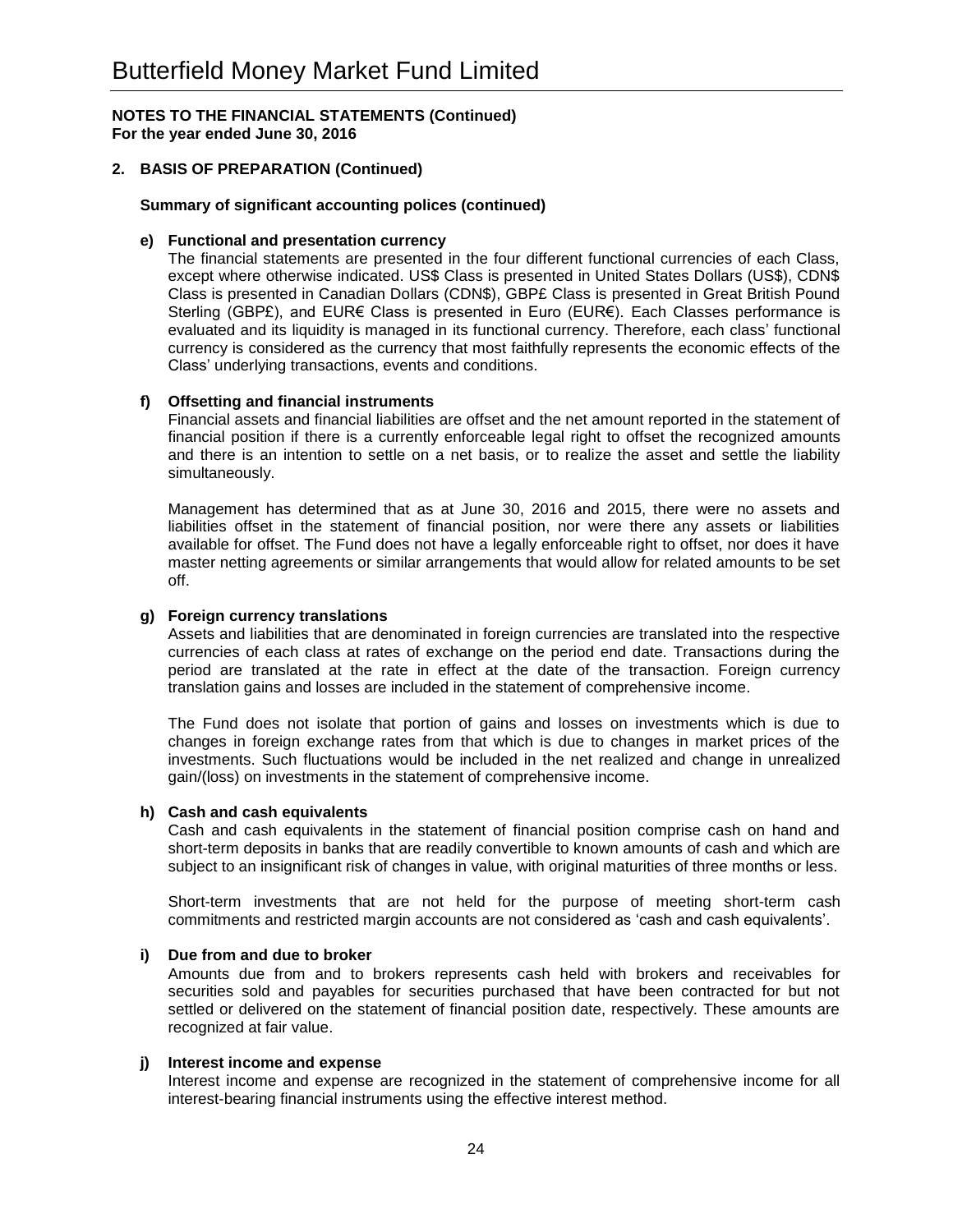## **2. BASIS OF PREPARATION (Continued)**

## **Summary of significant accounting polices (continued)**

#### **e) Functional and presentation currency**

The financial statements are presented in the four different functional currencies of each Class, except where otherwise indicated. US\$ Class is presented in United States Dollars (US\$), CDN\$ Class is presented in Canadian Dollars (CDN\$), GBP£ Class is presented in Great British Pound Sterling (GBP£), and EUR€ Class is presented in Euro (EUR€). Each Classes performance is evaluated and its liquidity is managed in its functional currency. Therefore, each class' functional currency is considered as the currency that most faithfully represents the economic effects of the Class' underlying transactions, events and conditions.

## **f) Offsetting and financial instruments**

Financial assets and financial liabilities are offset and the net amount reported in the statement of financial position if there is a currently enforceable legal right to offset the recognized amounts and there is an intention to settle on a net basis, or to realize the asset and settle the liability simultaneously.

Management has determined that as at June 30, 2016 and 2015, there were no assets and liabilities offset in the statement of financial position, nor were there any assets or liabilities available for offset. The Fund does not have a legally enforceable right to offset, nor does it have master netting agreements or similar arrangements that would allow for related amounts to be set off.

## **g) Foreign currency translations**

Assets and liabilities that are denominated in foreign currencies are translated into the respective currencies of each class at rates of exchange on the period end date. Transactions during the period are translated at the rate in effect at the date of the transaction. Foreign currency translation gains and losses are included in the statement of comprehensive income.

The Fund does not isolate that portion of gains and losses on investments which is due to changes in foreign exchange rates from that which is due to changes in market prices of the investments. Such fluctuations would be included in the net realized and change in unrealized gain/(loss) on investments in the statement of comprehensive income.

#### **h) Cash and cash equivalents**

Cash and cash equivalents in the statement of financial position comprise cash on hand and short-term deposits in banks that are readily convertible to known amounts of cash and which are subject to an insignificant risk of changes in value, with original maturities of three months or less.

Short-term investments that are not held for the purpose of meeting short-term cash commitments and restricted margin accounts are not considered as 'cash and cash equivalents'.

#### **i) Due from and due to broker**

Amounts due from and to brokers represents cash held with brokers and receivables for securities sold and payables for securities purchased that have been contracted for but not settled or delivered on the statement of financial position date, respectively. These amounts are recognized at fair value.

## **j) Interest income and expense**

Interest income and expense are recognized in the statement of comprehensive income for all interest-bearing financial instruments using the effective interest method.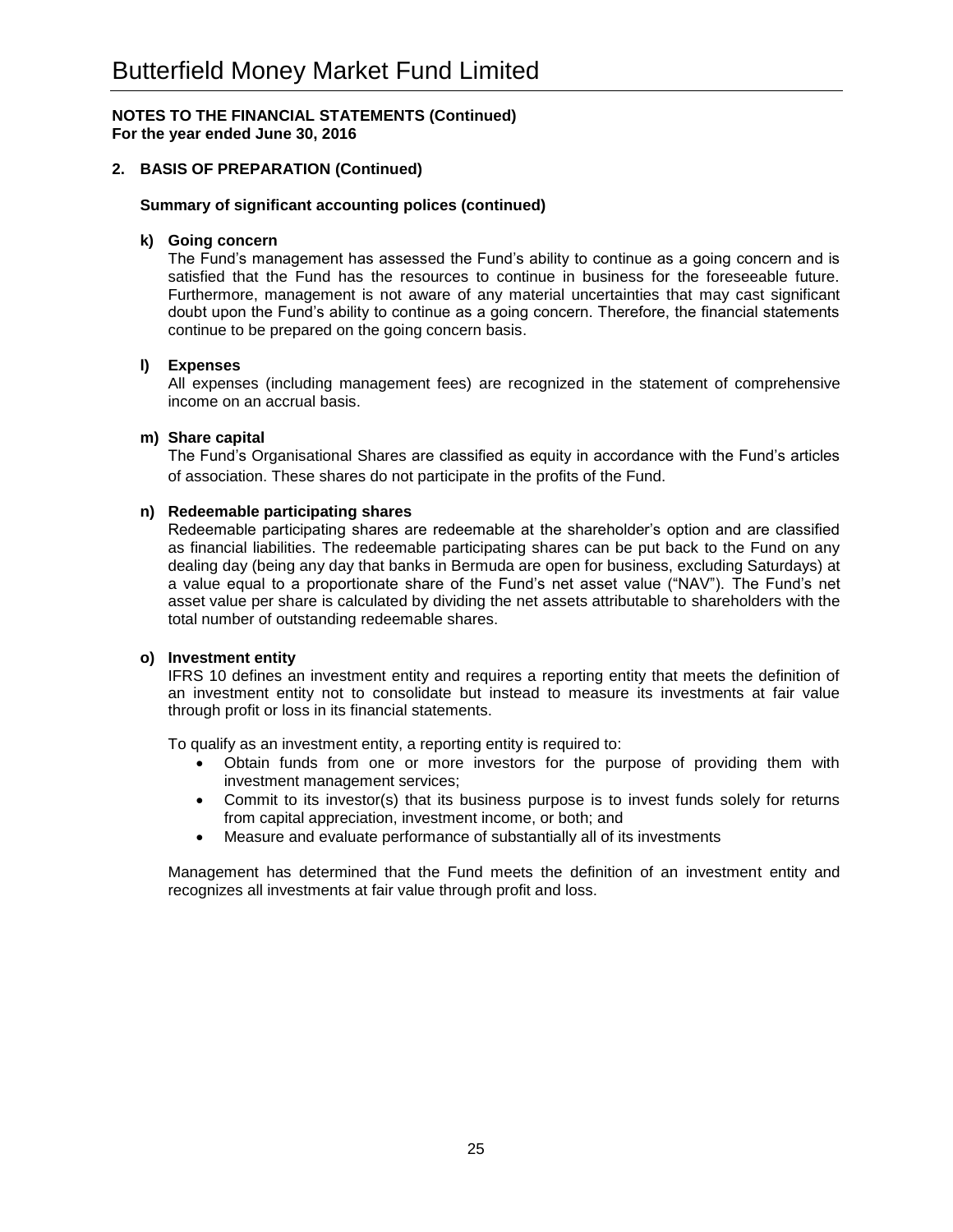## **2. BASIS OF PREPARATION (Continued)**

#### **Summary of significant accounting polices (continued)**

#### **k) Going concern**

The Fund's management has assessed the Fund's ability to continue as a going concern and is satisfied that the Fund has the resources to continue in business for the foreseeable future. Furthermore, management is not aware of any material uncertainties that may cast significant doubt upon the Fund's ability to continue as a going concern. Therefore, the financial statements continue to be prepared on the going concern basis.

## **l) Expenses**

All expenses (including management fees) are recognized in the statement of comprehensive income on an accrual basis.

## **m) Share capital**

The Fund's Organisational Shares are classified as equity in accordance with the Fund's articles of association. These shares do not participate in the profits of the Fund.

#### **n) Redeemable participating shares**

Redeemable participating shares are redeemable at the shareholder's option and are classified as financial liabilities. The redeemable participating shares can be put back to the Fund on any dealing day (being any day that banks in Bermuda are open for business, excluding Saturdays) at a value equal to a proportionate share of the Fund's net asset value ("NAV"). The Fund's net asset value per share is calculated by dividing the net assets attributable to shareholders with the total number of outstanding redeemable shares.

#### **o) Investment entity**

IFRS 10 defines an investment entity and requires a reporting entity that meets the definition of an investment entity not to consolidate but instead to measure its investments at fair value through profit or loss in its financial statements.

To qualify as an investment entity, a reporting entity is required to:

- Obtain funds from one or more investors for the purpose of providing them with investment management services;
- Commit to its investor(s) that its business purpose is to invest funds solely for returns from capital appreciation, investment income, or both; and
- Measure and evaluate performance of substantially all of its investments

Management has determined that the Fund meets the definition of an investment entity and recognizes all investments at fair value through profit and loss.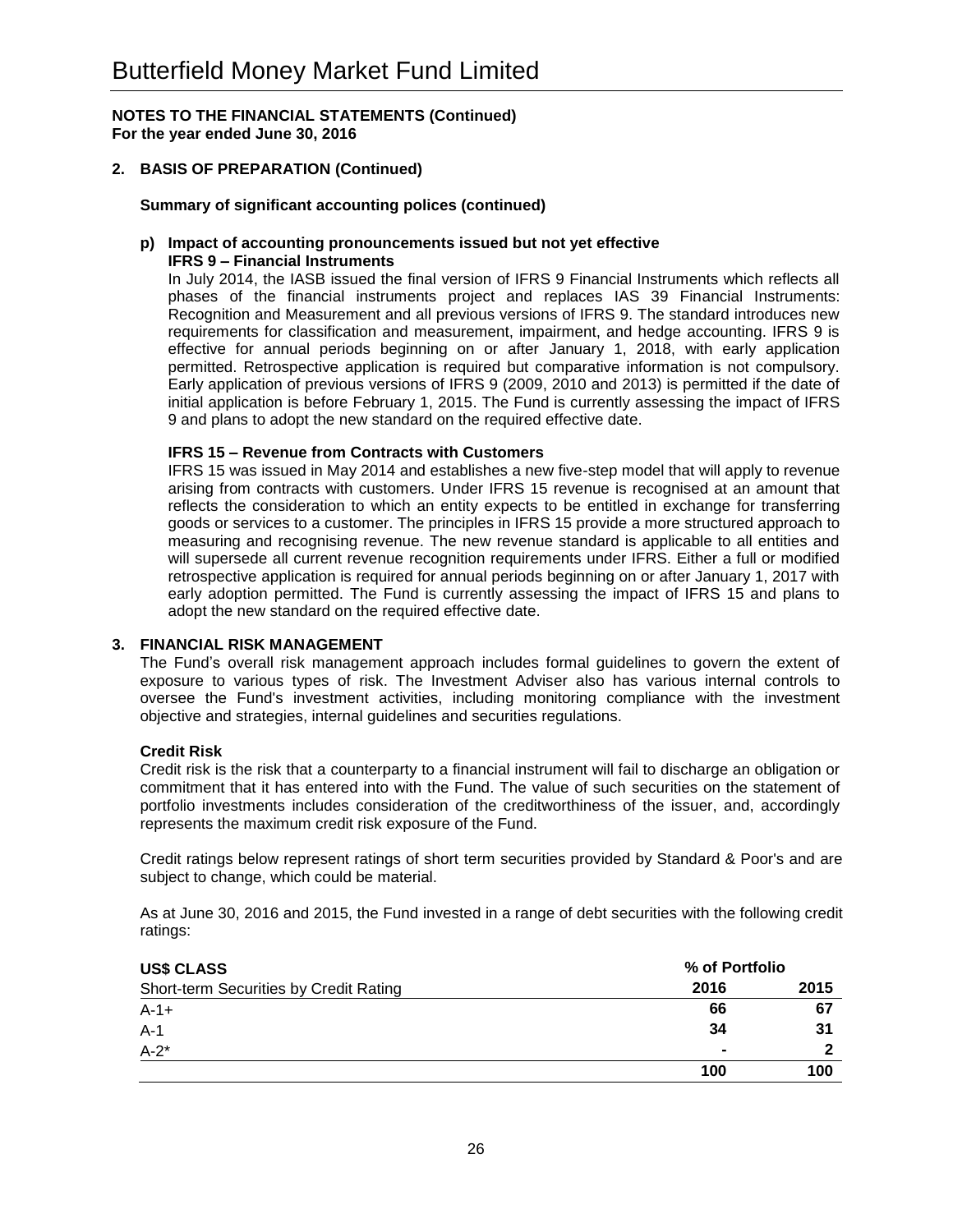## **2. BASIS OF PREPARATION (Continued)**

#### **Summary of significant accounting polices (continued)**

## **p) Impact of accounting pronouncements issued but not yet effective**

## **IFRS 9 – Financial Instruments**

In July 2014, the IASB issued the final version of IFRS 9 Financial Instruments which reflects all phases of the financial instruments project and replaces IAS 39 Financial Instruments: Recognition and Measurement and all previous versions of IFRS 9. The standard introduces new requirements for classification and measurement, impairment, and hedge accounting. IFRS 9 is effective for annual periods beginning on or after January 1, 2018, with early application permitted. Retrospective application is required but comparative information is not compulsory. Early application of previous versions of IFRS 9 (2009, 2010 and 2013) is permitted if the date of initial application is before February 1, 2015. The Fund is currently assessing the impact of IFRS 9 and plans to adopt the new standard on the required effective date.

## **IFRS 15 – Revenue from Contracts with Customers**

IFRS 15 was issued in May 2014 and establishes a new five-step model that will apply to revenue arising from contracts with customers. Under IFRS 15 revenue is recognised at an amount that reflects the consideration to which an entity expects to be entitled in exchange for transferring goods or services to a customer. The principles in IFRS 15 provide a more structured approach to measuring and recognising revenue. The new revenue standard is applicable to all entities and will supersede all current revenue recognition requirements under IFRS. Either a full or modified retrospective application is required for annual periods beginning on or after January 1, 2017 with early adoption permitted. The Fund is currently assessing the impact of IFRS 15 and plans to adopt the new standard on the required effective date.

## **3. FINANCIAL RISK MANAGEMENT**

The Fund's overall risk management approach includes formal guidelines to govern the extent of exposure to various types of risk. The Investment Adviser also has various internal controls to oversee the Fund's investment activities, including monitoring compliance with the investment objective and strategies, internal guidelines and securities regulations.

#### **Credit Risk**

Credit risk is the risk that a counterparty to a financial instrument will fail to discharge an obligation or commitment that it has entered into with the Fund. The value of such securities on the statement of portfolio investments includes consideration of the creditworthiness of the issuer, and, accordingly represents the maximum credit risk exposure of the Fund.

Credit ratings below represent ratings of short term securities provided by Standard & Poor's and are subject to change, which could be material.

As at June 30, 2016 and 2015, the Fund invested in a range of debt securities with the following credit ratings:

| <b>US\$ CLASS</b>                      | % of Portfolio |      |
|----------------------------------------|----------------|------|
| Short-term Securities by Credit Rating | 2016           | 2015 |
| $A-1+$                                 | 66             | 67   |
| $A-1$                                  | 34             | 31   |
| $A-2^*$                                | $\blacksquare$ | -    |
|                                        | 100            | 100  |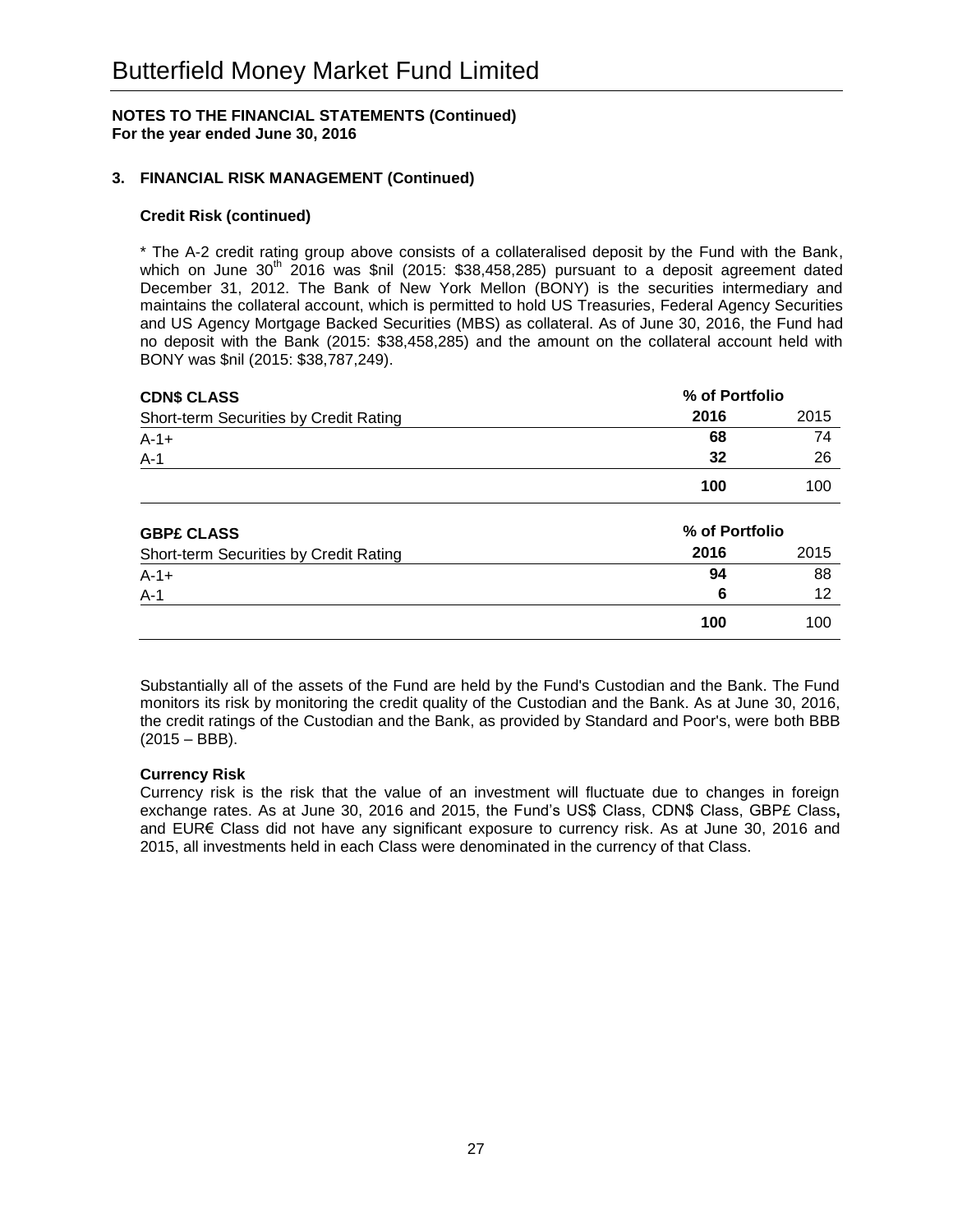## **3. FINANCIAL RISK MANAGEMENT (Continued)**

#### **Credit Risk (continued)**

\* The A-2 credit rating group above consists of a collateralised deposit by the Fund with the Bank, which on June  $30<sup>th</sup>$  2016 was \$nil (2015: \$38,458,285) pursuant to a deposit agreement dated December 31, 2012. The Bank of New York Mellon (BONY) is the securities intermediary and maintains the collateral account, which is permitted to hold US Treasuries, Federal Agency Securities and US Agency Mortgage Backed Securities (MBS) as collateral. As of June 30, 2016, the Fund had no deposit with the Bank (2015: \$38,458,285) and the amount on the collateral account held with BONY was \$nil (2015: \$38,787,249).

| <b>CDN\$ CLASS</b>                     | % of Portfolio |      |
|----------------------------------------|----------------|------|
| Short-term Securities by Credit Rating | 2016           | 2015 |
| $A - 1 +$                              | 68             | 74   |
| $A-1$                                  | 32             | 26   |
|                                        | 100            | 100  |
| <b>GBP£ CLASS</b>                      | % of Portfolio |      |
| Short-term Securities by Credit Rating | 2016           | 2015 |
| $A - 1 +$                              | 94             | 88   |
| $A-1$                                  | 6              | 12   |
|                                        | 100            | 100  |

Substantially all of the assets of the Fund are held by the Fund's Custodian and the Bank. The Fund monitors its risk by monitoring the credit quality of the Custodian and the Bank. As at June 30, 2016, the credit ratings of the Custodian and the Bank, as provided by Standard and Poor's, were both BBB (2015 – BBB).

#### **Currency Risk**

Currency risk is the risk that the value of an investment will fluctuate due to changes in foreign exchange rates. As at June 30, 2016 and 2015, the Fund's US\$ Class, CDN\$ Class, GBP£ Class**,** and EUR€ Class did not have any significant exposure to currency risk. As at June 30, 2016 and 2015, all investments held in each Class were denominated in the currency of that Class.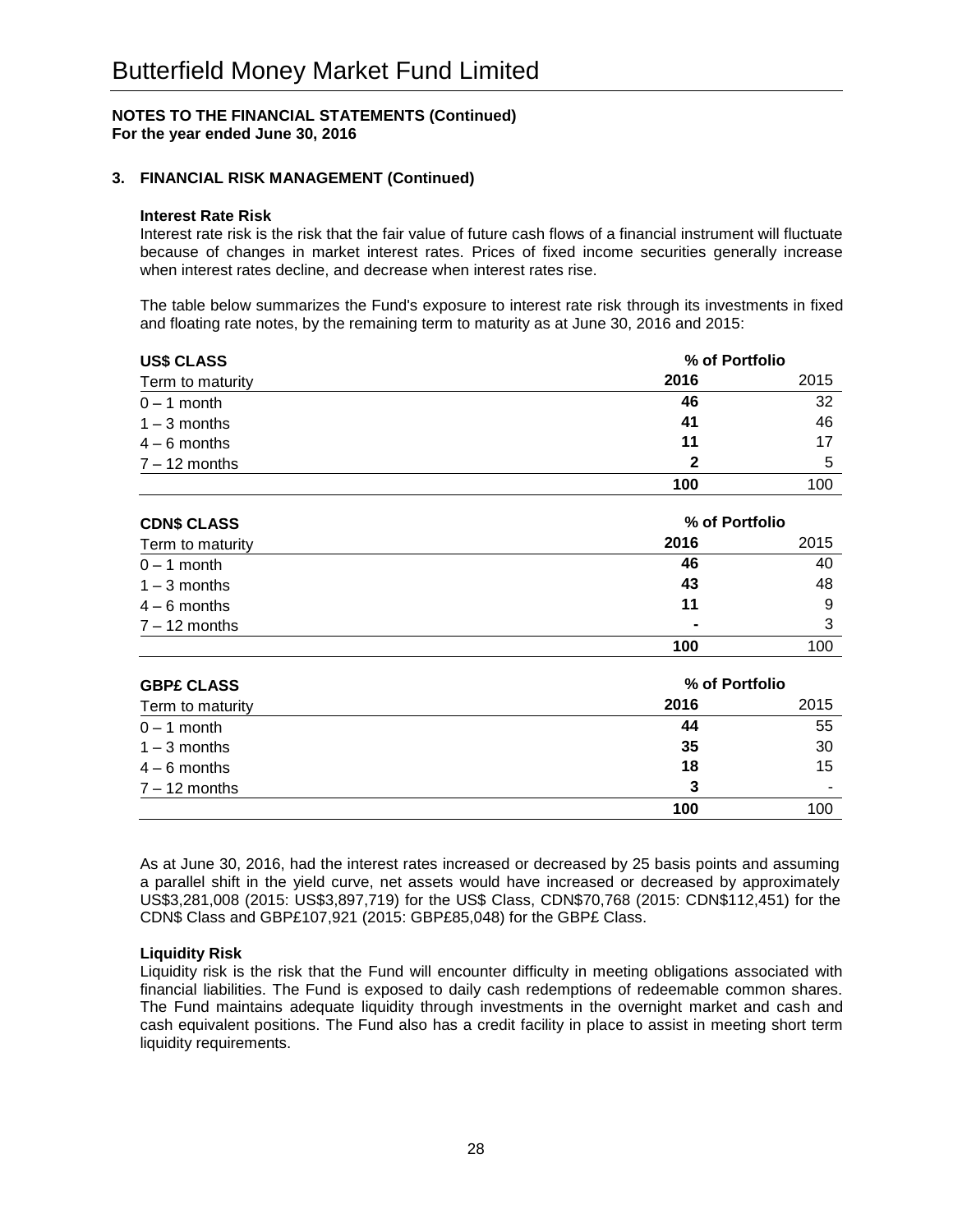## **3. FINANCIAL RISK MANAGEMENT (Continued)**

#### **Interest Rate Risk**

Interest rate risk is the risk that the fair value of future cash flows of a financial instrument will fluctuate because of changes in market interest rates. Prices of fixed income securities generally increase when interest rates decline, and decrease when interest rates rise.

The table below summarizes the Fund's exposure to interest rate risk through its investments in fixed and floating rate notes, by the remaining term to maturity as at June 30, 2016 and 2015:

| <b>US\$ CLASS</b> |      | % of Portfolio |  |
|-------------------|------|----------------|--|
| Term to maturity  | 2016 | 2015           |  |
| $0 - 1$ month     | 46   | 32             |  |
| $1 - 3$ months    | 41   | 46             |  |
| $4 - 6$ months    | 11   | 17             |  |
| $7 - 12$ months   | 2    | 5              |  |
|                   | 100  | 100            |  |

| <b>CDN\$ CLASS</b> |                | % of Portfolio |  |
|--------------------|----------------|----------------|--|
| Term to maturity   | 2016           | 2015           |  |
| $0 - 1$ month      | 46             | 40             |  |
| $1 - 3$ months     | 43             | 48             |  |
| $4 - 6$ months     | 11             | 9              |  |
| $7 - 12$ months    | $\blacksquare$ | 3              |  |
|                    | 100            | 100            |  |

| <b>GBP£ CLASS</b> | % of Portfolio |      |
|-------------------|----------------|------|
| Term to maturity  | 2016           | 2015 |
| $0 - 1$ month     | 44             | 55   |
| $1 - 3$ months    | 35             | 30   |
| $4 - 6$ months    | 18             | 15   |
| $7 - 12$ months   | 3              | ۰    |
|                   | 100            | 100  |

As at June 30, 2016, had the interest rates increased or decreased by 25 basis points and assuming a parallel shift in the yield curve, net assets would have increased or decreased by approximately US\$3,281,008 (2015: US\$3,897,719) for the US\$ Class, CDN\$70,768 (2015: CDN\$112,451) for the CDN\$ Class and GBP£107,921 (2015: GBP£85,048) for the GBP£ Class.

#### **Liquidity Risk**

Liquidity risk is the risk that the Fund will encounter difficulty in meeting obligations associated with financial liabilities. The Fund is exposed to daily cash redemptions of redeemable common shares. The Fund maintains adequate liquidity through investments in the overnight market and cash and cash equivalent positions. The Fund also has a credit facility in place to assist in meeting short term liquidity requirements.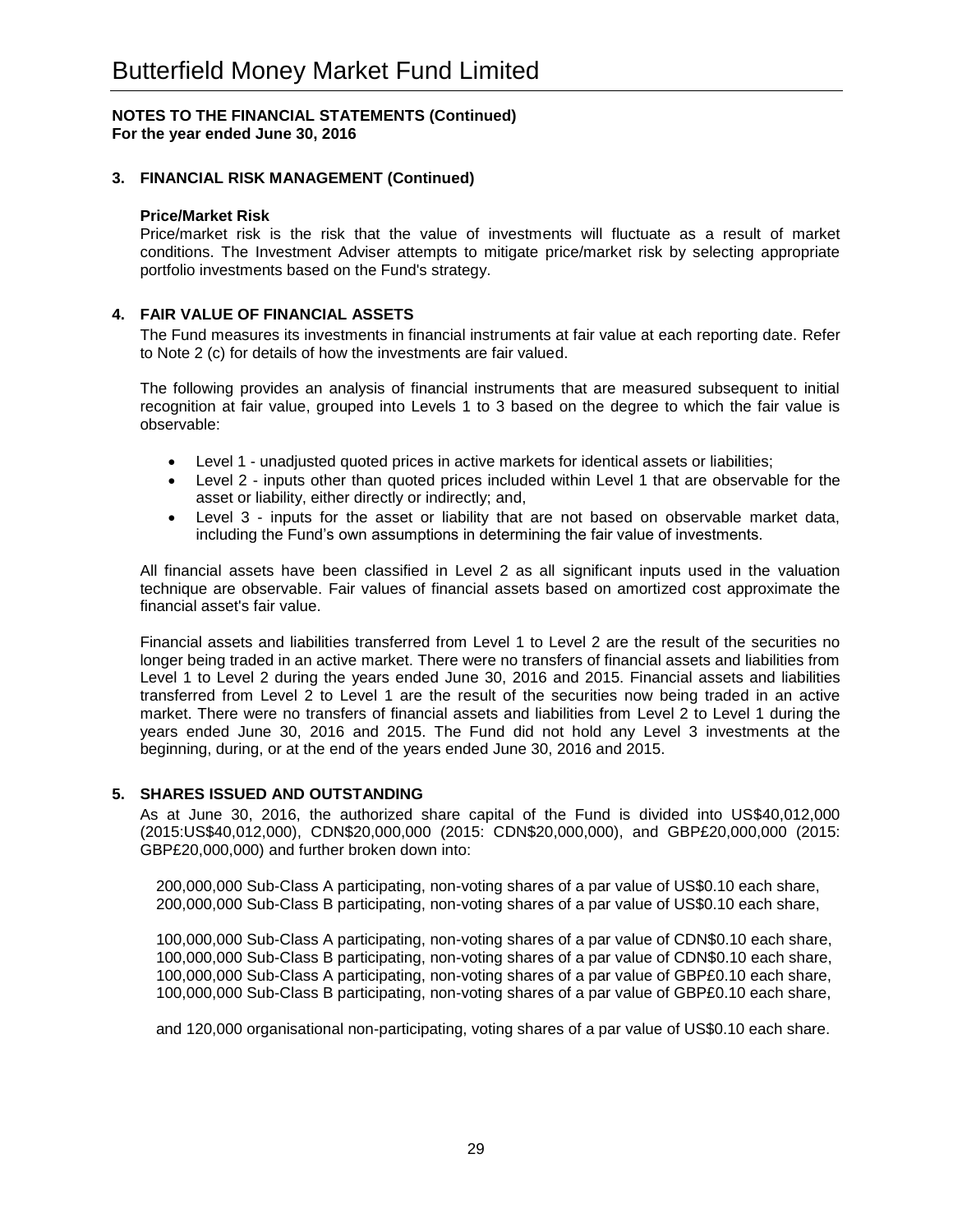## **3. FINANCIAL RISK MANAGEMENT (Continued)**

#### **Price/Market Risk**

Price/market risk is the risk that the value of investments will fluctuate as a result of market conditions. The Investment Adviser attempts to mitigate price/market risk by selecting appropriate portfolio investments based on the Fund's strategy.

#### **4. FAIR VALUE OF FINANCIAL ASSETS**

The Fund measures its investments in financial instruments at fair value at each reporting date. Refer to Note 2 (c) for details of how the investments are fair valued.

The following provides an analysis of financial instruments that are measured subsequent to initial recognition at fair value, grouped into Levels 1 to 3 based on the degree to which the fair value is observable:

- Level 1 unadjusted quoted prices in active markets for identical assets or liabilities;
- Level 2 inputs other than quoted prices included within Level 1 that are observable for the asset or liability, either directly or indirectly; and,
- Level 3 inputs for the asset or liability that are not based on observable market data, including the Fund's own assumptions in determining the fair value of investments.

All financial assets have been classified in Level 2 as all significant inputs used in the valuation technique are observable. Fair values of financial assets based on amortized cost approximate the financial asset's fair value.

Financial assets and liabilities transferred from Level 1 to Level 2 are the result of the securities no longer being traded in an active market. There were no transfers of financial assets and liabilities from Level 1 to Level 2 during the years ended June 30, 2016 and 2015. Financial assets and liabilities transferred from Level 2 to Level 1 are the result of the securities now being traded in an active market. There were no transfers of financial assets and liabilities from Level 2 to Level 1 during the years ended June 30, 2016 and 2015. The Fund did not hold any Level 3 investments at the beginning, during, or at the end of the years ended June 30, 2016 and 2015.

#### **5. SHARES ISSUED AND OUTSTANDING**

As at June 30, 2016, the authorized share capital of the Fund is divided into US\$40,012,000 (2015:US\$40,012,000), CDN\$20,000,000 (2015: CDN\$20,000,000), and GBP£20,000,000 (2015: GBP£20,000,000) and further broken down into:

200,000,000 Sub-Class A participating, non-voting shares of a par value of US\$0.10 each share, 200,000,000 Sub-Class B participating, non-voting shares of a par value of US\$0.10 each share,

100,000,000 Sub-Class A participating, non-voting shares of a par value of CDN\$0.10 each share, 100,000,000 Sub-Class B participating, non-voting shares of a par value of CDN\$0.10 each share, 100,000,000 Sub-Class A participating, non-voting shares of a par value of GBP£0.10 each share, 100,000,000 Sub-Class B participating, non-voting shares of a par value of GBP£0.10 each share,

and 120,000 organisational non-participating, voting shares of a par value of US\$0.10 each share.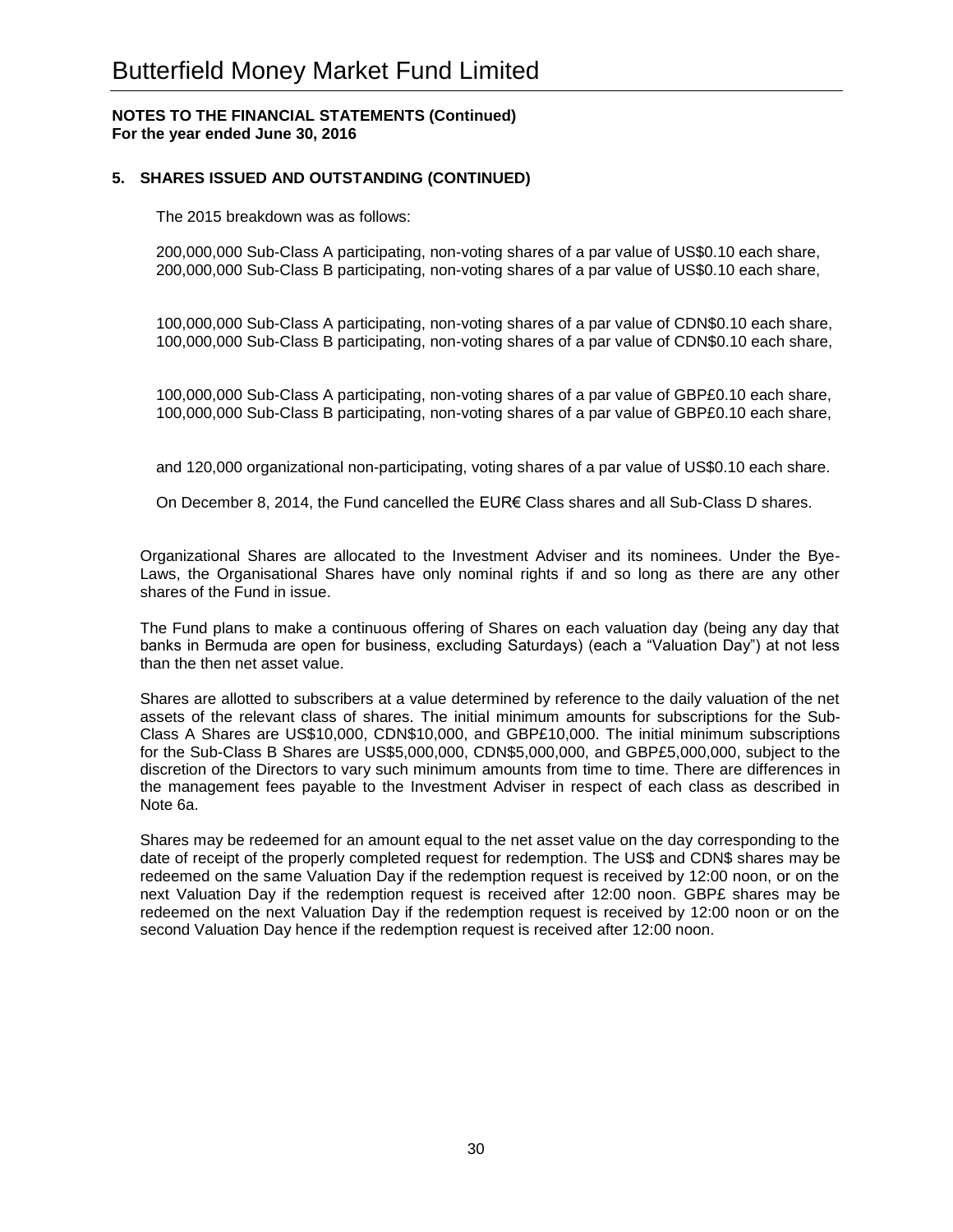## **5. SHARES ISSUED AND OUTSTANDING (CONTINUED)**

The 2015 breakdown was as follows:

200,000,000 Sub-Class A participating, non-voting shares of a par value of US\$0.10 each share, 200,000,000 Sub-Class B participating, non-voting shares of a par value of US\$0.10 each share,

100,000,000 Sub-Class A participating, non-voting shares of a par value of CDN\$0.10 each share, 100,000,000 Sub-Class B participating, non-voting shares of a par value of CDN\$0.10 each share,

100,000,000 Sub-Class A participating, non-voting shares of a par value of GBP£0.10 each share, 100,000,000 Sub-Class B participating, non-voting shares of a par value of GBP£0.10 each share,

and 120,000 organizational non-participating, voting shares of a par value of US\$0.10 each share.

On December 8, 2014, the Fund cancelled the EUR€ Class shares and all Sub-Class D shares.

Organizational Shares are allocated to the Investment Adviser and its nominees. Under the Bye-Laws, the Organisational Shares have only nominal rights if and so long as there are any other shares of the Fund in issue.

The Fund plans to make a continuous offering of Shares on each valuation day (being any day that banks in Bermuda are open for business, excluding Saturdays) (each a "Valuation Day") at not less than the then net asset value.

Shares are allotted to subscribers at a value determined by reference to the daily valuation of the net assets of the relevant class of shares. The initial minimum amounts for subscriptions for the Sub-Class A Shares are US\$10,000, CDN\$10,000, and GBP£10,000. The initial minimum subscriptions for the Sub-Class B Shares are US\$5,000,000, CDN\$5,000,000, and GBP£5,000,000, subject to the discretion of the Directors to vary such minimum amounts from time to time. There are differences in the management fees payable to the Investment Adviser in respect of each class as described in Note 6a.

Shares may be redeemed for an amount equal to the net asset value on the day corresponding to the date of receipt of the properly completed request for redemption. The US\$ and CDN\$ shares may be redeemed on the same Valuation Day if the redemption request is received by 12:00 noon, or on the next Valuation Day if the redemption request is received after 12:00 noon. GBP£ shares may be redeemed on the next Valuation Day if the redemption request is received by 12:00 noon or on the second Valuation Day hence if the redemption request is received after 12:00 noon.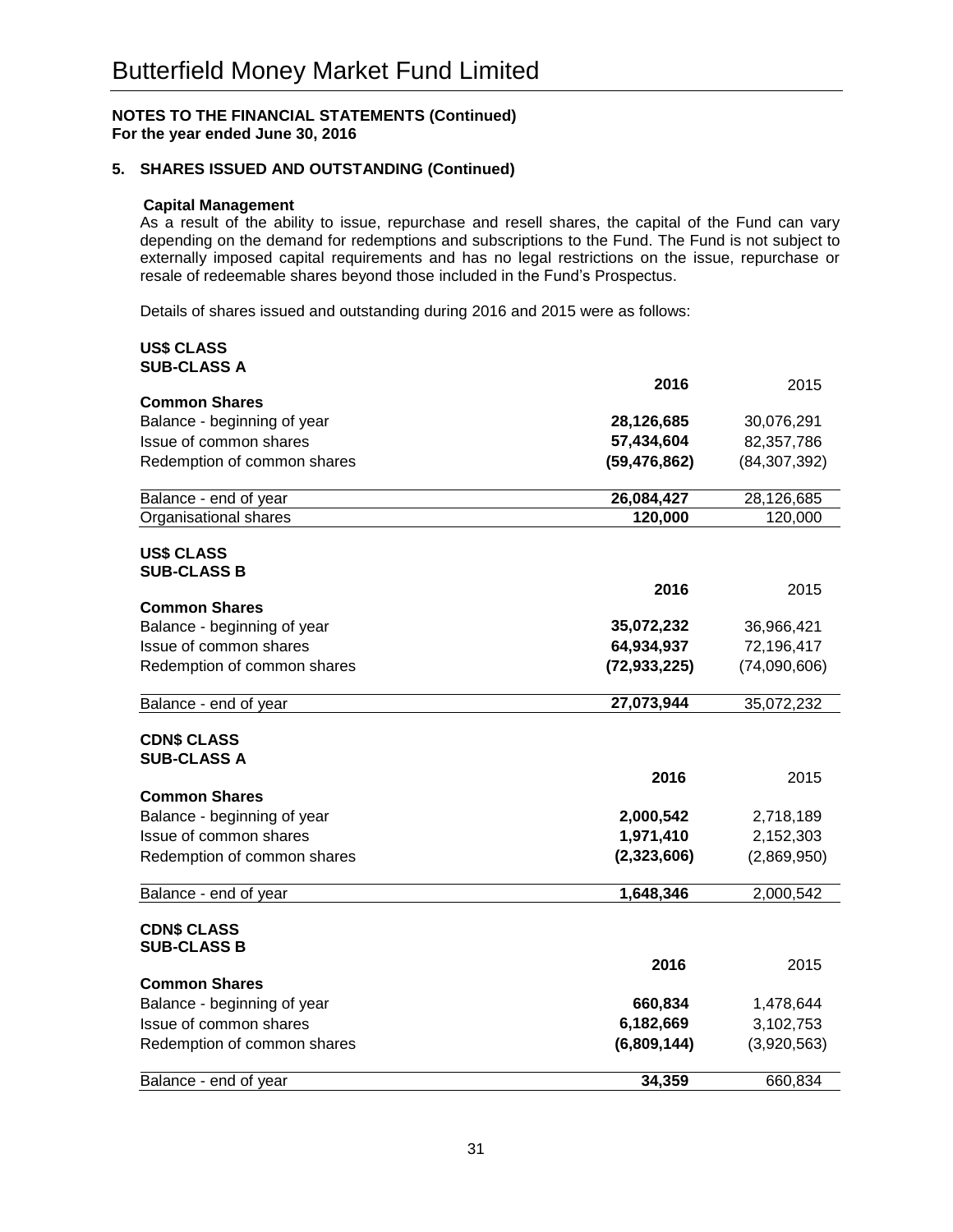#### **5. SHARES ISSUED AND OUTSTANDING (Continued)**

#### **Capital Management**

As a result of the ability to issue, repurchase and resell shares, the capital of the Fund can vary depending on the demand for redemptions and subscriptions to the Fund. The Fund is not subject to externally imposed capital requirements and has no legal restrictions on the issue, repurchase or resale of redeemable shares beyond those included in the Fund's Prospectus.

Details of shares issued and outstanding during 2016 and 2015 were as follows:

#### **US\$ CLASS SUB-CLASS A**

| งบ๒-ง∟ผงง ผ                              | 2016           |                |
|------------------------------------------|----------------|----------------|
| <b>Common Shares</b>                     |                | 2015           |
| Balance - beginning of year              | 28,126,685     | 30,076,291     |
| Issue of common shares                   | 57,434,604     | 82,357,786     |
| Redemption of common shares              | (59, 476, 862) | (84, 307, 392) |
|                                          |                |                |
| Balance - end of year                    | 26,084,427     | 28,126,685     |
| Organisational shares                    | 120,000        | 120,000        |
|                                          |                |                |
| <b>US\$ CLASS</b><br><b>SUB-CLASS B</b>  |                |                |
|                                          | 2016           | 2015           |
| <b>Common Shares</b>                     |                |                |
| Balance - beginning of year              | 35,072,232     | 36,966,421     |
| Issue of common shares                   | 64,934,937     | 72,196,417     |
| Redemption of common shares              | (72, 933, 225) | (74,090,606)   |
| Balance - end of year                    | 27,073,944     | 35,072,232     |
| <b>CDN\$ CLASS</b>                       |                |                |
| <b>SUB-CLASS A</b>                       |                |                |
|                                          | 2016           | 2015           |
| <b>Common Shares</b>                     |                |                |
| Balance - beginning of year              | 2,000,542      | 2,718,189      |
| Issue of common shares                   | 1,971,410      | 2,152,303      |
| Redemption of common shares              | (2,323,606)    | (2,869,950)    |
| Balance - end of year                    | 1,648,346      | 2,000,542      |
|                                          |                |                |
| <b>CDN\$ CLASS</b><br><b>SUB-CLASS B</b> |                |                |
|                                          | 2016           | 2015           |
| <b>Common Shares</b>                     |                |                |
| Balance - beginning of year              | 660,834        | 1,478,644      |
| Issue of common shares                   | 6,182,669      | 3,102,753      |
| Redemption of common shares              | (6,809,144)    | (3,920,563)    |
| Balance - end of year                    | 34,359         | 660,834        |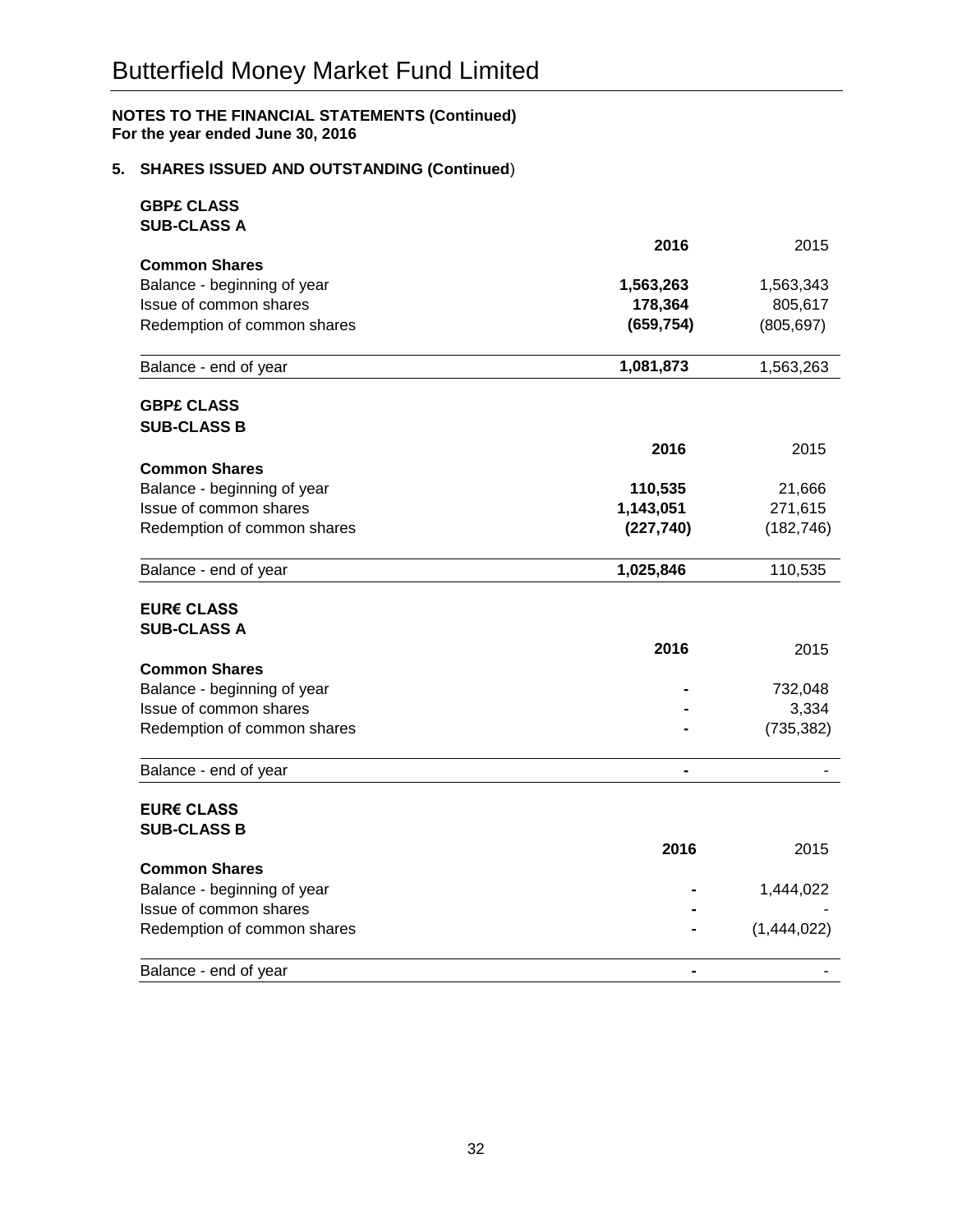## **5. SHARES ISSUED AND OUTSTANDING (Continued**)

| <b>GBP£ CLASS</b>                       |                |             |
|-----------------------------------------|----------------|-------------|
| <b>SUB-CLASS A</b>                      | 2016           | 2015        |
| <b>Common Shares</b>                    |                |             |
| Balance - beginning of year             | 1,563,263      | 1,563,343   |
| Issue of common shares                  | 178,364        | 805,617     |
| Redemption of common shares             | (659, 754)     | (805, 697)  |
|                                         |                |             |
| Balance - end of year                   | 1,081,873      | 1,563,263   |
| <b>GBP£ CLASS</b>                       |                |             |
| <b>SUB-CLASS B</b>                      |                |             |
|                                         | 2016           | 2015        |
| <b>Common Shares</b>                    |                |             |
| Balance - beginning of year             | 110,535        | 21,666      |
| Issue of common shares                  | 1,143,051      | 271,615     |
| Redemption of common shares             | (227, 740)     | (182, 746)  |
| Balance - end of year                   | 1,025,846      | 110,535     |
| <b>EUR€ CLASS</b>                       |                |             |
| <b>SUB-CLASS A</b>                      |                |             |
|                                         | 2016           | 2015        |
| <b>Common Shares</b>                    |                |             |
| Balance - beginning of year             |                | 732,048     |
| Issue of common shares                  |                | 3,334       |
| Redemption of common shares             |                | (735, 382)  |
| Balance - end of year                   | $\blacksquare$ |             |
|                                         |                |             |
| <b>EUR€ CLASS</b><br><b>SUB-CLASS B</b> |                |             |
|                                         | 2016           | 2015        |
| <b>Common Shares</b>                    |                |             |
| Balance - beginning of year             |                | 1,444,022   |
| Issue of common shares                  |                |             |
| Redemption of common shares             |                | (1,444,022) |
| Balance - end of year                   |                |             |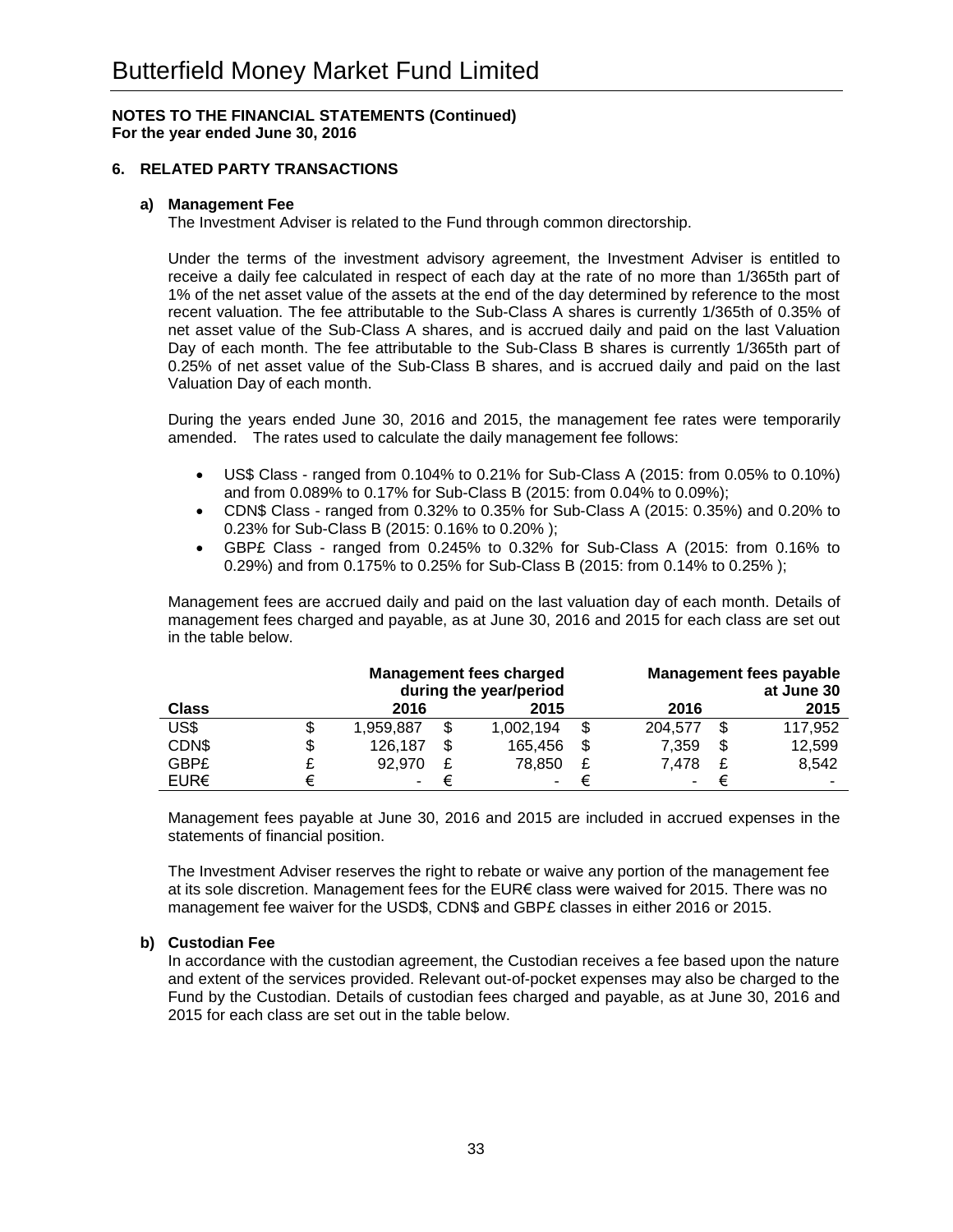## **6. RELATED PARTY TRANSACTIONS**

## **a) Management Fee**

The Investment Adviser is related to the Fund through common directorship.

Under the terms of the investment advisory agreement, the Investment Adviser is entitled to receive a daily fee calculated in respect of each day at the rate of no more than 1/365th part of 1% of the net asset value of the assets at the end of the day determined by reference to the most recent valuation. The fee attributable to the Sub-Class A shares is currently 1/365th of 0.35% of net asset value of the Sub-Class A shares, and is accrued daily and paid on the last Valuation Day of each month. The fee attributable to the Sub-Class B shares is currently 1/365th part of 0.25% of net asset value of the Sub-Class B shares, and is accrued daily and paid on the last Valuation Day of each month.

During the years ended June 30, 2016 and 2015, the management fee rates were temporarily amended. The rates used to calculate the daily management fee follows:

- US\$ Class ranged from 0.104% to 0.21% for Sub-Class A (2015: from 0.05% to 0.10%) and from 0.089% to 0.17% for Sub-Class B (2015: from 0.04% to 0.09%);
- CDN\$ Class ranged from 0.32% to 0.35% for Sub-Class A (2015: 0.35%) and 0.20% to 0.23% for Sub-Class B (2015: 0.16% to 0.20% );
- GBP£ Class ranged from 0.245% to 0.32% for Sub-Class A (2015: from 0.16% to 0.29%) and from 0.175% to 0.25% for Sub-Class B (2015: from 0.14% to 0.25% );

Management fees are accrued daily and paid on the last valuation day of each month. Details of management fees charged and payable, as at June 30, 2016 and 2015 for each class are set out in the table below.

|              |    | <b>Management fees charged</b><br>during the year/period |   |           |    |         |   | <b>Management fees payable</b><br>at June 30 |
|--------------|----|----------------------------------------------------------|---|-----------|----|---------|---|----------------------------------------------|
| <b>Class</b> |    | 2016                                                     |   | 2015      |    | 2016    |   | 2015                                         |
| US\$         |    | 1,959,887                                                | S | 1,002,194 | S  | 204,577 |   | 117,952                                      |
| CDN\$        | \$ | 126,187                                                  |   | 165,456   | \$ | 7.359   | S | 12.599                                       |
| GBP£         |    | 92.970                                                   |   | 78.850    | £  | 7.478   |   | 8,542                                        |
| EUR€         | €  |                                                          |   | -         | €  |         | € | ۰                                            |

Management fees payable at June 30, 2016 and 2015 are included in accrued expenses in the statements of financial position.

The Investment Adviser reserves the right to rebate or waive any portion of the management fee at its sole discretion. Management fees for the EUR€ class were waived for 2015. There was no management fee waiver for the USD\$, CDN\$ and GBP£ classes in either 2016 or 2015.

#### **b) Custodian Fee**

In accordance with the custodian agreement, the Custodian receives a fee based upon the nature and extent of the services provided. Relevant out-of-pocket expenses may also be charged to the Fund by the Custodian. Details of custodian fees charged and payable, as at June 30, 2016 and 2015 for each class are set out in the table below.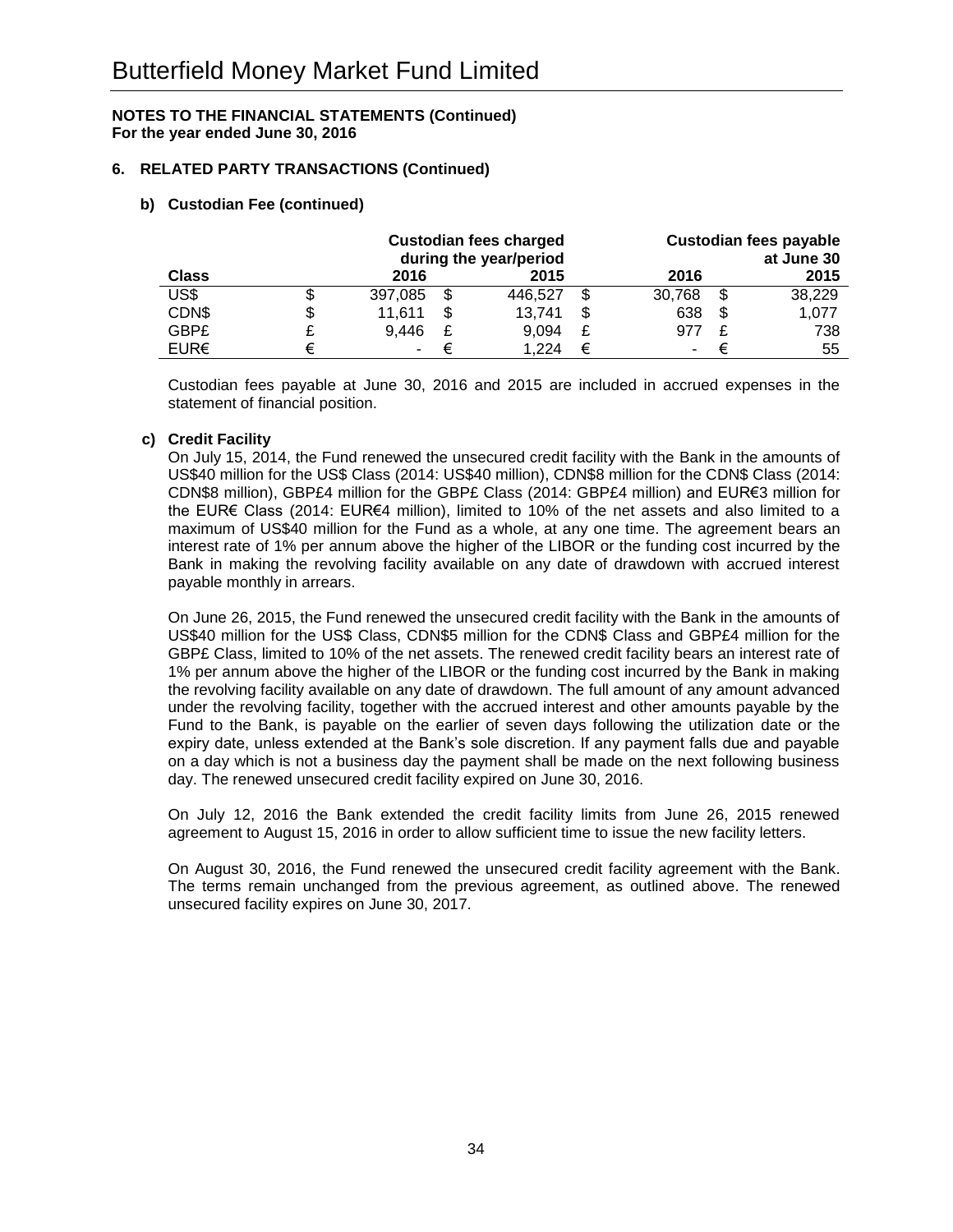## **6. RELATED PARTY TRANSACTIONS (Continued)**

## **b) Custodian Fee (continued)**

|              | <b>Custodian fees charged</b><br>during the year/period |  |         |    |        |    | <b>Custodian fees payable</b><br>at June 30 |
|--------------|---------------------------------------------------------|--|---------|----|--------|----|---------------------------------------------|
| <b>Class</b> | 2016                                                    |  | 2015    |    | 2016   |    | 2015                                        |
| US\$         | 397,085                                                 |  | 446.527 | \$ | 30,768 | S  | 38,229                                      |
| CDN\$        | \$<br>11,611                                            |  | 13,741  | \$ | 638    | \$ | 1,077                                       |
| <b>GBP£</b>  | 9,446                                                   |  | 9.094   | £  | 977    |    | 738                                         |
| EUR€         |                                                         |  | 1.224   | €  |        |    | 55                                          |

Custodian fees payable at June 30, 2016 and 2015 are included in accrued expenses in the statement of financial position.

## **c) Credit Facility**

On July 15, 2014, the Fund renewed the unsecured credit facility with the Bank in the amounts of US\$40 million for the US\$ Class (2014: US\$40 million), CDN\$8 million for the CDN\$ Class (2014: CDN\$8 million), GBP£4 million for the GBP£ Class (2014: GBP£4 million) and EUR€3 million for the EUR€ Class (2014: EUR€4 million), limited to 10% of the net assets and also limited to a maximum of US\$40 million for the Fund as a whole, at any one time. The agreement bears an interest rate of 1% per annum above the higher of the LIBOR or the funding cost incurred by the Bank in making the revolving facility available on any date of drawdown with accrued interest payable monthly in arrears.

On June 26, 2015, the Fund renewed the unsecured credit facility with the Bank in the amounts of US\$40 million for the US\$ Class, CDN\$5 million for the CDN\$ Class and GBP£4 million for the GBP£ Class, limited to 10% of the net assets. The renewed credit facility bears an interest rate of 1% per annum above the higher of the LIBOR or the funding cost incurred by the Bank in making the revolving facility available on any date of drawdown. The full amount of any amount advanced under the revolving facility, together with the accrued interest and other amounts payable by the Fund to the Bank, is payable on the earlier of seven days following the utilization date or the expiry date, unless extended at the Bank's sole discretion. If any payment falls due and payable on a day which is not a business day the payment shall be made on the next following business day. The renewed unsecured credit facility expired on June 30, 2016.

On July 12, 2016 the Bank extended the credit facility limits from June 26, 2015 renewed agreement to August 15, 2016 in order to allow sufficient time to issue the new facility letters.

On August 30, 2016, the Fund renewed the unsecured credit facility agreement with the Bank. The terms remain unchanged from the previous agreement, as outlined above. The renewed unsecured facility expires on June 30, 2017.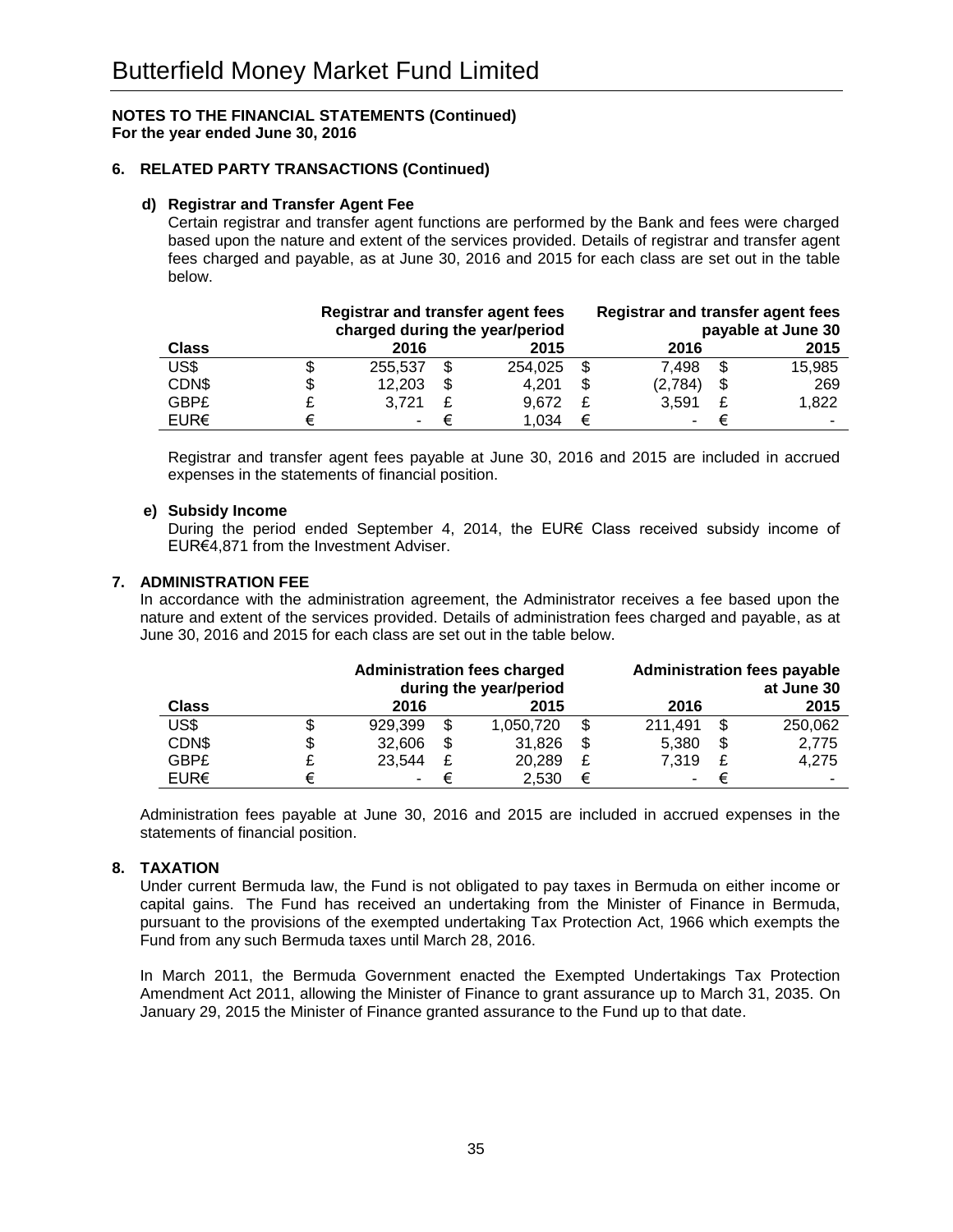## **6. RELATED PARTY TRANSACTIONS (Continued)**

## **d) Registrar and Transfer Agent Fee**

Certain registrar and transfer agent functions are performed by the Bank and fees were charged based upon the nature and extent of the services provided. Details of registrar and transfer agent fees charged and payable, as at June 30, 2016 and 2015 for each class are set out in the table below.

|              | <b>Registrar and transfer agent fees</b><br>charged during the year/period |    |         |    | <b>Registrar and transfer agent fees</b> |    | payable at June 30 |
|--------------|----------------------------------------------------------------------------|----|---------|----|------------------------------------------|----|--------------------|
| <b>Class</b> | 2016                                                                       |    | 2015    |    | 2016                                     |    | 2015               |
| US\$         | 255.537                                                                    |    | 254.025 | \$ | 7.498                                    | -S | 15,985             |
| CDN\$        | \$<br>12,203                                                               | \$ | 4.201   | \$ | (2,784)                                  |    | 269                |
| <b>GBP£</b>  | 3.721                                                                      |    | 9.672   | £  | 3.591                                    |    | 1,822              |
| EUR€         |                                                                            |    | 1.034   | €  |                                          |    |                    |

Registrar and transfer agent fees payable at June 30, 2016 and 2015 are included in accrued expenses in the statements of financial position.

## **e) Subsidy Income**

During the period ended September 4, 2014, the EUR€ Class received subsidy income of EUR€4,871 from the Investment Adviser.

## **7. ADMINISTRATION FEE**

In accordance with the administration agreement, the Administrator receives a fee based upon the nature and extent of the services provided. Details of administration fees charged and payable, as at June 30, 2016 and 2015 for each class are set out in the table below.

|              |    | <b>Administration fees charged</b><br>during the year/period |    |           |    |         |    | <b>Administration fees payable</b><br>at June 30 |
|--------------|----|--------------------------------------------------------------|----|-----------|----|---------|----|--------------------------------------------------|
| <b>Class</b> |    | 2016                                                         |    | 2015      |    | 2016    |    | 2015                                             |
| US\$         | \$ | 929,399                                                      | \$ | 1,050,720 | S  | 211.491 | S  | 250,062                                          |
| CDN\$        | \$ | 32,606                                                       | \$ | 31,826    | \$ | 5,380   | \$ | 2,775                                            |
| <b>GBP£</b>  | £  | 23.544                                                       | £  | 20.289    | £  | 7.319   | £  | 4.275                                            |
| EURE         | €  |                                                              |    | 2.530     | €  |         |    |                                                  |

Administration fees payable at June 30, 2016 and 2015 are included in accrued expenses in the statements of financial position.

#### **8. TAXATION**

Under current Bermuda law, the Fund is not obligated to pay taxes in Bermuda on either income or capital gains. The Fund has received an undertaking from the Minister of Finance in Bermuda, pursuant to the provisions of the exempted undertaking Tax Protection Act, 1966 which exempts the Fund from any such Bermuda taxes until March 28, 2016.

In March 2011, the Bermuda Government enacted the Exempted Undertakings Tax Protection Amendment Act 2011, allowing the Minister of Finance to grant assurance up to March 31, 2035. On January 29, 2015 the Minister of Finance granted assurance to the Fund up to that date.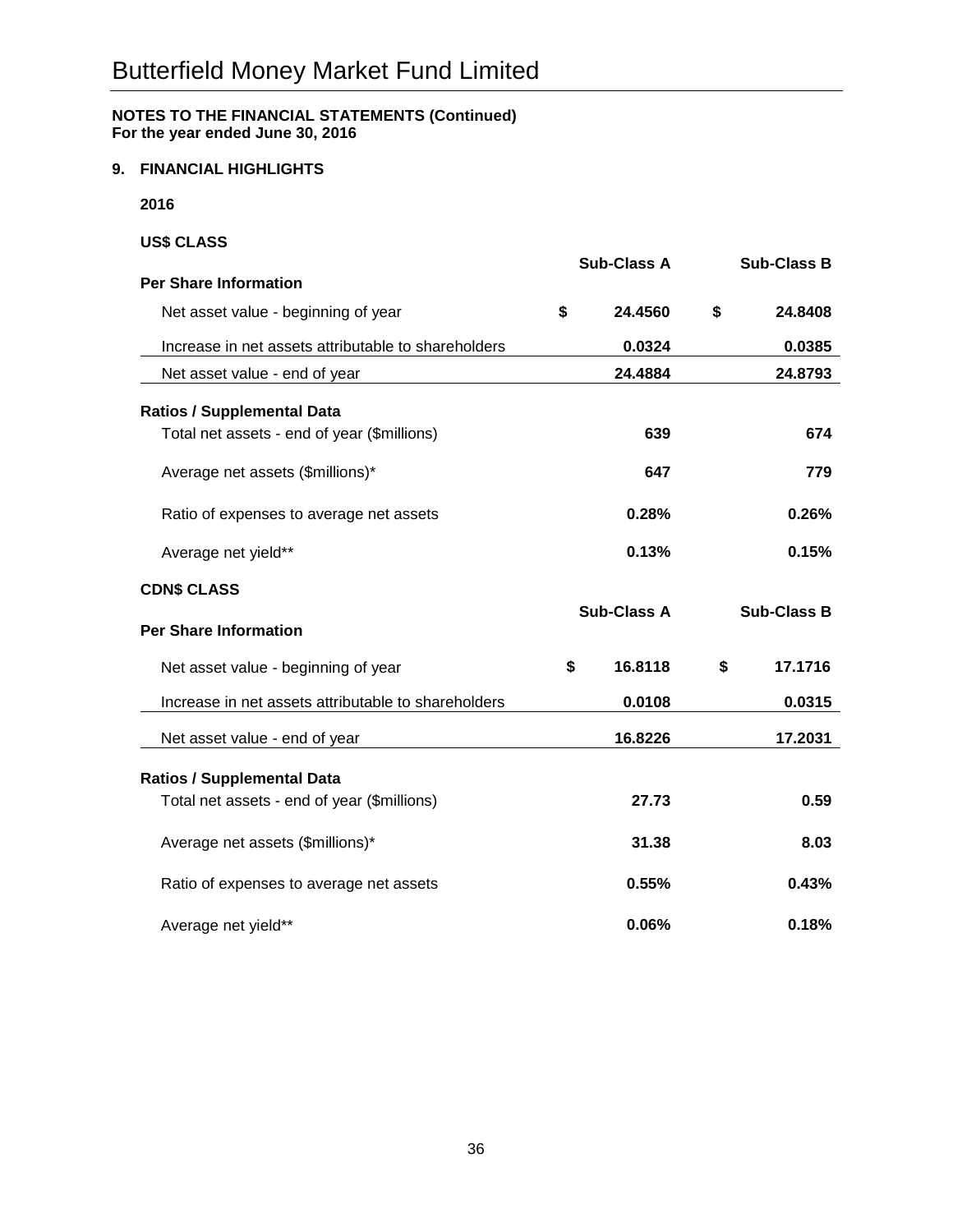## **9. FINANCIAL HIGHLIGHTS**

**2016**

## **US\$ CLASS**

|                                                     | <b>Sub-Class A</b> |                    | <b>Sub-Class B</b> |  |
|-----------------------------------------------------|--------------------|--------------------|--------------------|--|
| <b>Per Share Information</b>                        |                    |                    |                    |  |
| Net asset value - beginning of year                 | \$                 | 24.4560            | \$<br>24.8408      |  |
| Increase in net assets attributable to shareholders |                    | 0.0324             | 0.0385             |  |
| Net asset value - end of year                       |                    | 24.4884            | 24.8793            |  |
| <b>Ratios / Supplemental Data</b>                   |                    |                    |                    |  |
| Total net assets - end of year (\$millions)         |                    | 639                | 674                |  |
| Average net assets (\$millions)*                    |                    | 647                | 779                |  |
| Ratio of expenses to average net assets             |                    | 0.28%              | 0.26%              |  |
| Average net yield**                                 |                    | 0.13%              | 0.15%              |  |
| <b>CDN\$ CLASS</b>                                  |                    |                    |                    |  |
| <b>Per Share Information</b>                        |                    | <b>Sub-Class A</b> | <b>Sub-Class B</b> |  |
| Net asset value - beginning of year                 | \$                 | 16.8118            | \$<br>17.1716      |  |
| Increase in net assets attributable to shareholders |                    | 0.0108             | 0.0315             |  |
| Net asset value - end of year                       |                    | 16.8226            | 17.2031            |  |
|                                                     |                    |                    |                    |  |
| <b>Ratios / Supplemental Data</b>                   |                    |                    |                    |  |
| Total net assets - end of year (\$millions)         |                    | 27.73              | 0.59               |  |
| Average net assets (\$millions)*                    |                    | 31.38              | 8.03               |  |
| Ratio of expenses to average net assets             |                    | 0.55%              | 0.43%              |  |
| Average net yield**                                 |                    | 0.06%              | 0.18%              |  |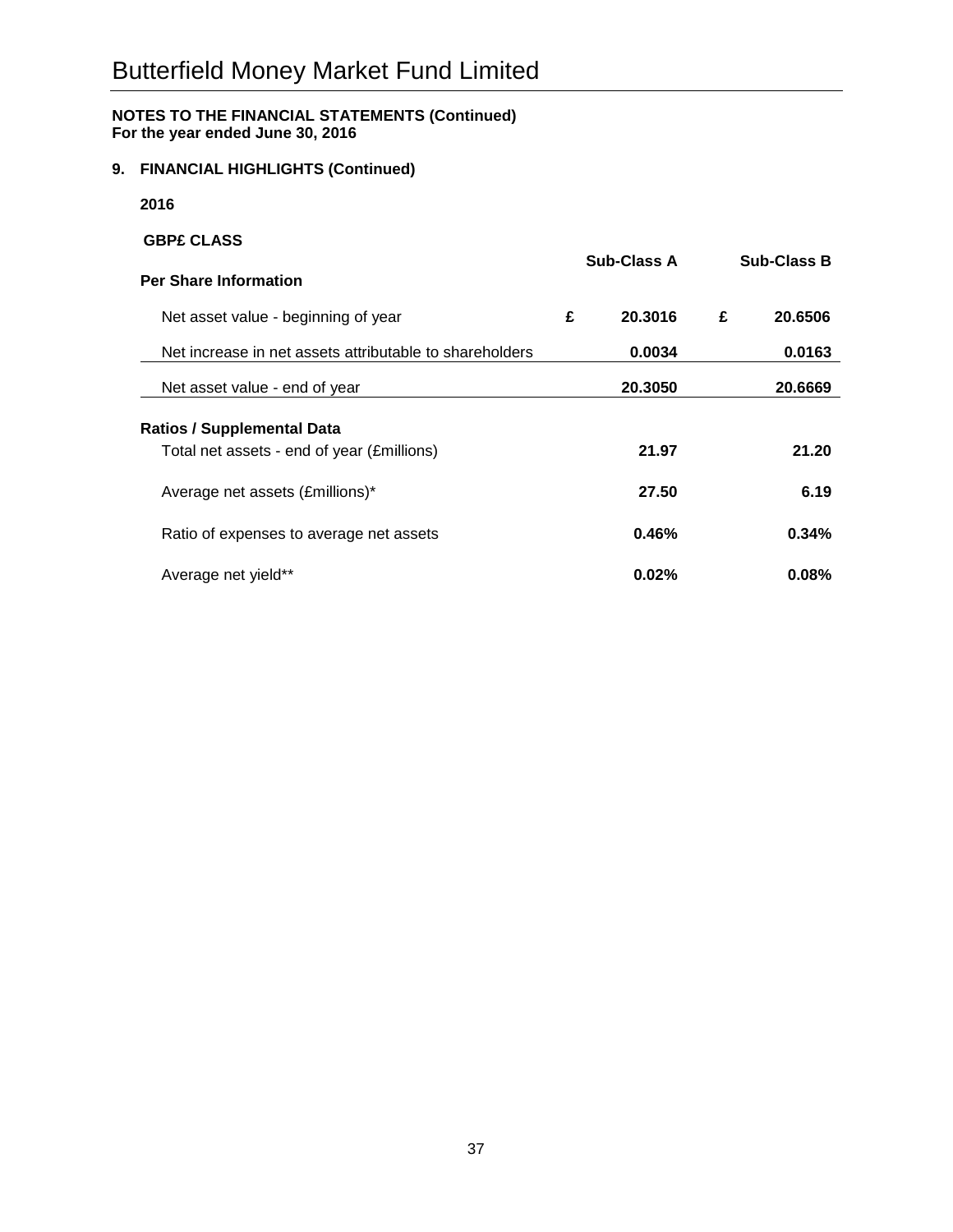## **9. FINANCIAL HIGHLIGHTS (Continued)**

**2016**

# **GBP£ CLASS Sub-Class A Sub-Class B Per Share Information** Net asset value - beginning of year **£ 20.3016 £ 20.6506** Net increase in net assets attributable to shareholders **0.0034 0.0163** Net asset value - end of year **20.3050 20.6669 Ratios / Supplemental Data** Total net assets - end of year (£millions) **21.97 21.20** Average net assets (£millions)\* **27.50 6.19** Ratio of expenses to average net assets **0.46% 0.34%** Average net yield\*\* **0.02% 0.08%**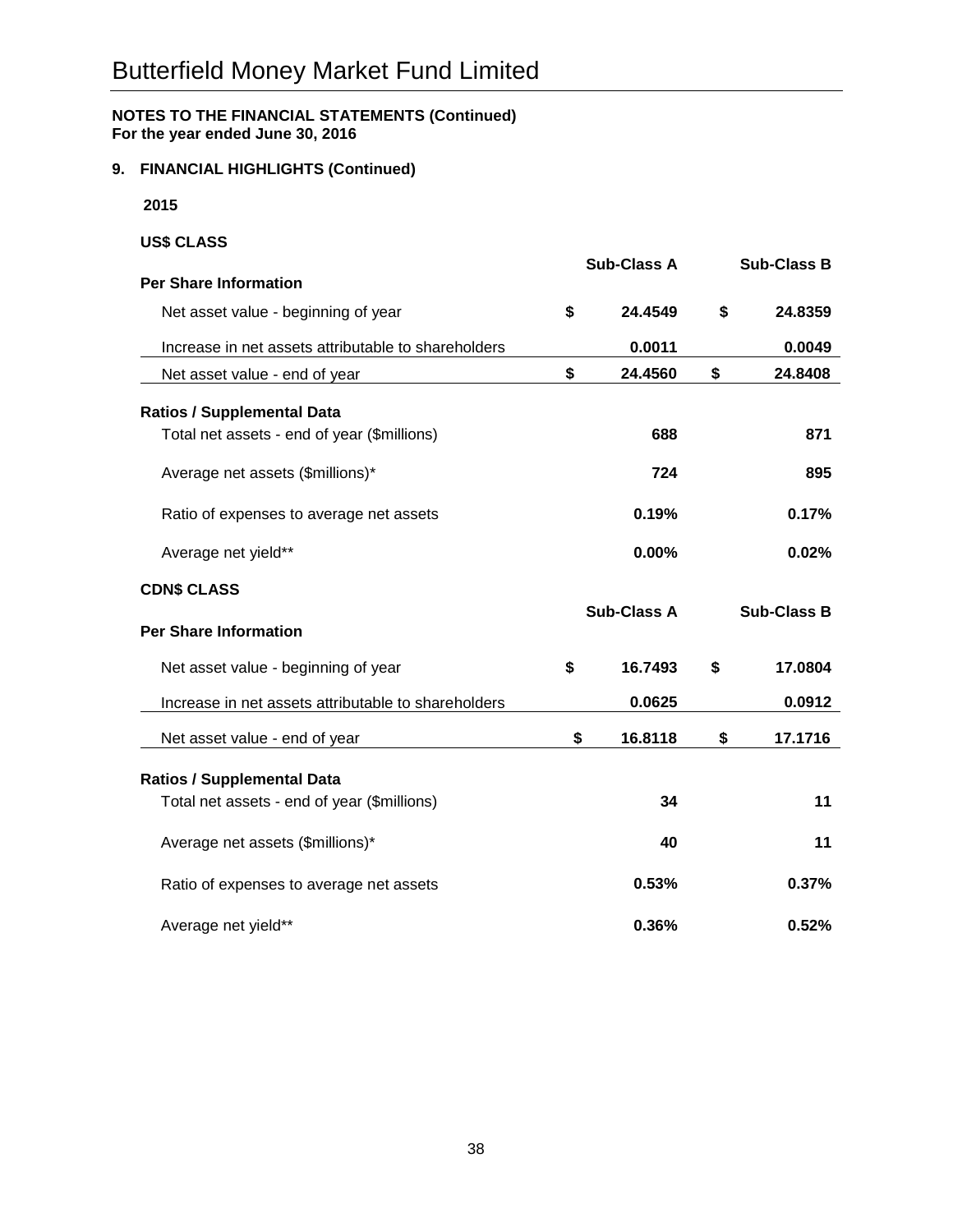## **9. FINANCIAL HIGHLIGHTS (Continued)**

**2015**

## **US\$ CLASS**

|                                                     | <b>Sub-Class A</b> |                    | <b>Sub-Class B</b> |  |
|-----------------------------------------------------|--------------------|--------------------|--------------------|--|
| <b>Per Share Information</b>                        |                    |                    |                    |  |
| Net asset value - beginning of year                 | \$                 | 24.4549            | \$<br>24.8359      |  |
| Increase in net assets attributable to shareholders |                    | 0.0011             | 0.0049             |  |
| Net asset value - end of year                       | \$                 | 24.4560            | \$<br>24.8408      |  |
| <b>Ratios / Supplemental Data</b>                   |                    |                    |                    |  |
| Total net assets - end of year (\$millions)         |                    | 688                | 871                |  |
| Average net assets (\$millions)*                    |                    | 724                | 895                |  |
| Ratio of expenses to average net assets             |                    | 0.19%              | 0.17%              |  |
| Average net yield**                                 |                    | 0.00%              | 0.02%              |  |
| <b>CDN\$ CLASS</b>                                  |                    |                    |                    |  |
| <b>Per Share Information</b>                        |                    | <b>Sub-Class A</b> | <b>Sub-Class B</b> |  |
| Net asset value - beginning of year                 | \$                 | 16.7493            | \$<br>17.0804      |  |
| Increase in net assets attributable to shareholders |                    | 0.0625             | 0.0912             |  |
| Net asset value - end of year                       | \$                 | 16.8118            | \$<br>17.1716      |  |
| <b>Ratios / Supplemental Data</b>                   |                    |                    |                    |  |
| Total net assets - end of year (\$millions)         |                    | 34                 | 11                 |  |
|                                                     |                    |                    |                    |  |
| Average net assets (\$millions)*                    |                    | 40                 | 11                 |  |
| Ratio of expenses to average net assets             |                    | 0.53%              | 0.37%              |  |
| Average net yield**                                 |                    | 0.36%              | 0.52%              |  |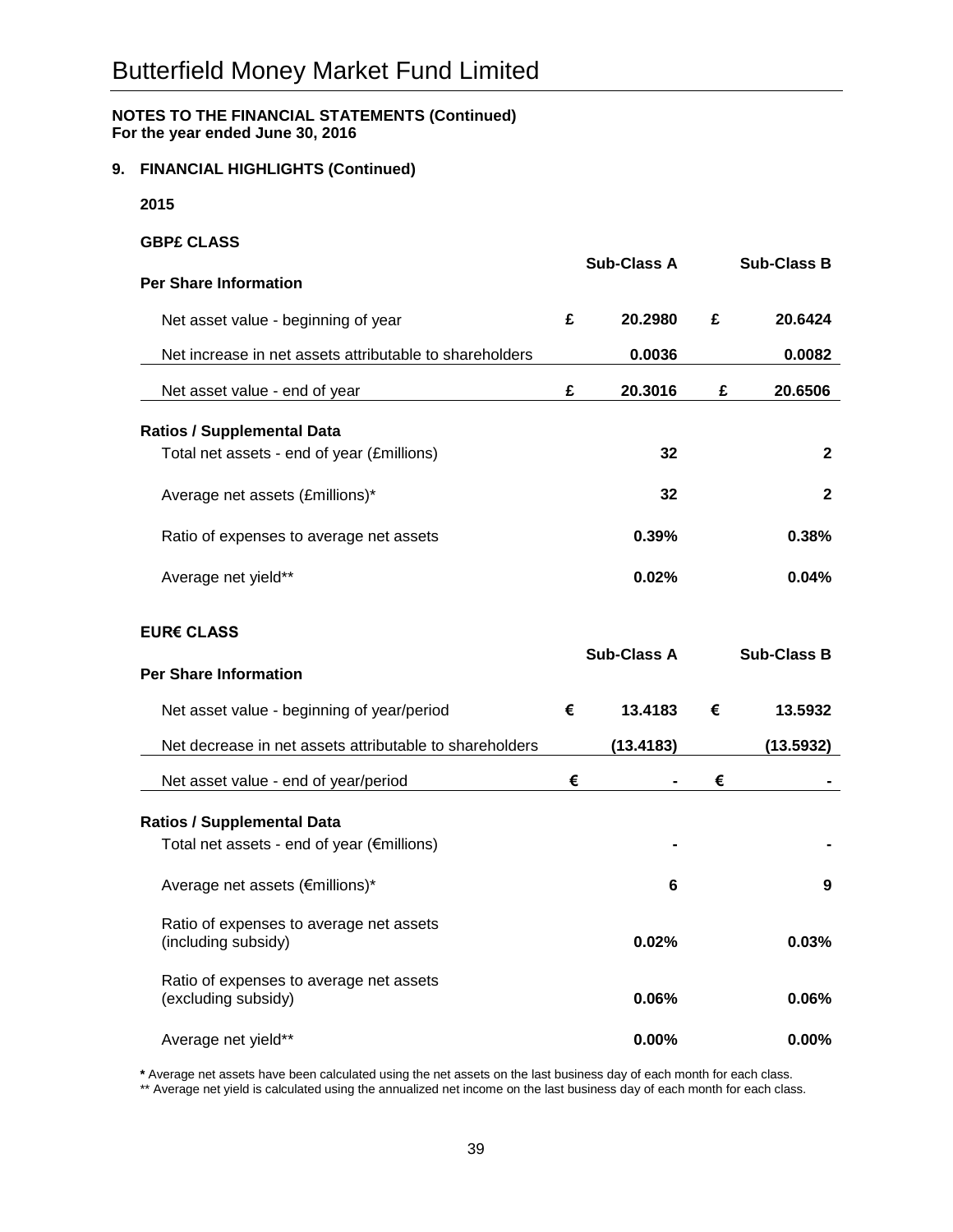## **9. FINANCIAL HIGHLIGHTS (Continued)**

**2015**

## **GBP£ CLASS**

|                                                                |   | <b>Sub-Class A</b> |   | <b>Sub-Class B</b> |
|----------------------------------------------------------------|---|--------------------|---|--------------------|
| <b>Per Share Information</b>                                   |   |                    |   |                    |
| Net asset value - beginning of year                            | £ | 20.2980            | £ | 20.6424            |
| Net increase in net assets attributable to shareholders        |   | 0.0036             |   | 0.0082             |
| Net asset value - end of year                                  | £ | 20.3016            | £ | 20.6506            |
| <b>Ratios / Supplemental Data</b>                              |   |                    |   |                    |
| Total net assets - end of year (£millions)                     |   | 32                 |   | $\mathbf{2}$       |
| Average net assets (£millions)*                                |   | 32                 |   | $\mathbf{2}$       |
| Ratio of expenses to average net assets                        |   | 0.39%              |   | 0.38%              |
| Average net yield**                                            |   | 0.02%              |   | 0.04%              |
| EUR€ CLASS                                                     |   | <b>Sub-Class A</b> |   | <b>Sub-Class B</b> |
| <b>Per Share Information</b>                                   |   |                    |   |                    |
| Net asset value - beginning of year/period                     | € | 13.4183            | € | 13.5932            |
| Net decrease in net assets attributable to shareholders        |   | (13.4183)          |   | (13.5932)          |
| Net asset value - end of year/period                           | € |                    | € |                    |
| <b>Ratios / Supplemental Data</b>                              |   |                    |   |                    |
| Total net assets - end of year (€millions)                     |   |                    |   |                    |
| Average net assets (€millions)*                                |   | 6                  |   | 9                  |
| Ratio of expenses to average net assets<br>(including subsidy) |   | $0.02\%$           |   | 0.03%              |
| Ratio of expenses to average net assets<br>(excluding subsidy) |   | $0.06\%$           |   | 0.06%              |
| Average net yield**                                            |   | $0.00\%$           |   | 0.00%              |

**\*** Average net assets have been calculated using the net assets on the last business day of each month for each class.